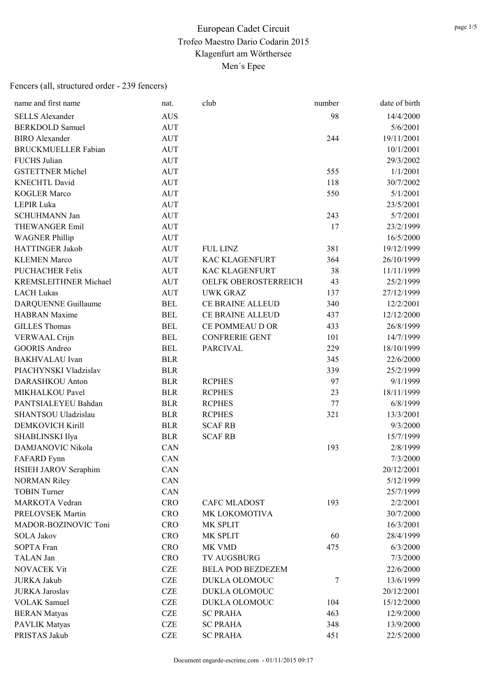| name and first name          | nat.       | club                     | number | date of birth |
|------------------------------|------------|--------------------------|--------|---------------|
| <b>SELLS Alexander</b>       | <b>AUS</b> |                          | 98     | 14/4/2000     |
| <b>BERKDOLD Samuel</b>       | <b>AUT</b> |                          |        | 5/6/2001      |
| <b>BIRO</b> Alexander        | <b>AUT</b> |                          | 244    | 19/11/2001    |
| <b>BRUCKMUELLER Fabian</b>   | <b>AUT</b> |                          |        | 10/1/2001     |
| <b>FUCHS Julian</b>          | <b>AUT</b> |                          |        | 29/3/2002     |
| <b>GSTETTNER Michel</b>      | <b>AUT</b> |                          | 555    | 1/1/2001      |
| <b>KNECHTL David</b>         | <b>AUT</b> |                          | 118    | 30/7/2002     |
| <b>KOGLER Marco</b>          | <b>AUT</b> |                          | 550    | 5/1/2001      |
| <b>LEPIR Luka</b>            | <b>AUT</b> |                          |        | 23/5/2001     |
| <b>SCHUHMANN Jan</b>         | <b>AUT</b> |                          | 243    | 5/7/2001      |
| <b>THEWANGER Emil</b>        | <b>AUT</b> |                          | 17     | 23/2/1999     |
| <b>WAGNER Phillip</b>        | <b>AUT</b> |                          |        | 16/5/2000     |
| HATTINGER Jakob              | <b>AUT</b> | <b>FUL LINZ</b>          | 381    | 19/12/1999    |
| <b>KLEMEN Marco</b>          | <b>AUT</b> | <b>KAC KLAGENFURT</b>    | 364    | 26/10/1999    |
| <b>PUCHACHER Felix</b>       | <b>AUT</b> | <b>KAC KLAGENFURT</b>    | 38     | 11/11/1999    |
| <b>KREMSLEITHNER Michael</b> | <b>AUT</b> | OELFK OBEROSTERREICH     | 43     | 25/2/1999     |
| <b>LACH Lukas</b>            | <b>AUT</b> | <b>UWK GRAZ</b>          | 137    | 27/12/1999    |
| <b>DARQUENNE Guillaume</b>   | <b>BEL</b> | <b>CE BRAINE ALLEUD</b>  | 340    | 12/2/2001     |
| <b>HABRAN</b> Maxime         | <b>BEL</b> | CE BRAINE ALLEUD         | 437    | 12/12/2000    |
| <b>GILLES Thomas</b>         | <b>BEL</b> | CE POMMEAU D OR          | 433    | 26/8/1999     |
| <b>VERWAAL Crijn</b>         | <b>BEL</b> | <b>CONFRERIE GENT</b>    | 101    | 14/7/1999     |
| <b>GOORIS Andreo</b>         | <b>BEL</b> | <b>PARCIVAL</b>          | 229    | 18/10/1999    |
| <b>BAKHVALAU</b> Ivan        | <b>BLR</b> |                          | 345    | 22/6/2000     |
| PIACHYNSKI Vladzislav        | <b>BLR</b> |                          | 339    | 25/2/1999     |
| <b>DARASHKOU Anton</b>       | <b>BLR</b> | <b>RCPHES</b>            | 97     | 9/1/1999      |
| MIKHALKOU Pavel              | <b>BLR</b> | <b>RCPHES</b>            | 23     | 18/11/1999    |
| PANTSIALEYEU Bahdan          | <b>BLR</b> | <b>RCPHES</b>            | 77     | 6/8/1999      |
| SHANTSOU Uladzislau          | <b>BLR</b> | <b>RCPHES</b>            | 321    | 13/3/2001     |
| <b>DEMKOVICH Kirill</b>      | <b>BLR</b> | <b>SCAF RB</b>           |        | 9/3/2000      |
| SHABLINSKI Ilya              | <b>BLR</b> | <b>SCAF RB</b>           |        | 15/7/1999     |
| DAMJANOVIC Nikola            | CAN        |                          | 193    | 2/8/1999      |
| FAFARD Fynn                  | CAN        |                          |        | 7/3/2000      |
| <b>HSIEH JAROV Seraphim</b>  | CAN        |                          |        | 20/12/2001    |
| <b>NORMAN Riley</b>          | CAN        |                          |        | 5/12/1999     |
| <b>TOBIN Turner</b>          | CAN        |                          |        | 25/7/1999     |
| MARKOTA Vedran               | <b>CRO</b> | <b>CAFC MLADOST</b>      | 193    | 2/2/2001      |
| <b>PRELOVSEK Martin</b>      | <b>CRO</b> | MK LOKOMOTIVA            |        | 30/7/2000     |
| MADOR-BOZINOVIC Toni         | <b>CRO</b> | MK SPLIT                 |        | 16/3/2001     |
| <b>SOLA Jakov</b>            | <b>CRO</b> | MK SPLIT                 | 60     | 28/4/1999     |
| <b>SOPTA Fran</b>            | <b>CRO</b> | MK VMD                   | 475    | 6/3/2000      |
| TALAN Jan                    | <b>CRO</b> | <b>TV AUGSBURG</b>       |        | 7/3/2000      |
| <b>NOVACEK Vit</b>           | <b>CZE</b> | <b>BELA POD BEZDEZEM</b> |        | 22/6/2000     |
| <b>JURKA Jakub</b>           | <b>CZE</b> | DUKLA OLOMOUC            | 7      | 13/6/1999     |
| <b>JURKA</b> Jaroslav        | <b>CZE</b> | DUKLA OLOMOUC            |        | 20/12/2001    |
| <b>VOLAK Samuel</b>          | <b>CZE</b> | DUKLA OLOMOUC            | 104    | 15/12/2000    |
| <b>BERAN Matyas</b>          | <b>CZE</b> | <b>SC PRAHA</b>          | 463    | 12/9/2000     |
| PAVLIK Matyas                | <b>CZE</b> | <b>SC PRAHA</b>          | 348    | 13/9/2000     |
| PRISTAS Jakub                | <b>CZE</b> | <b>SC PRAHA</b>          | 451    | 22/5/2000     |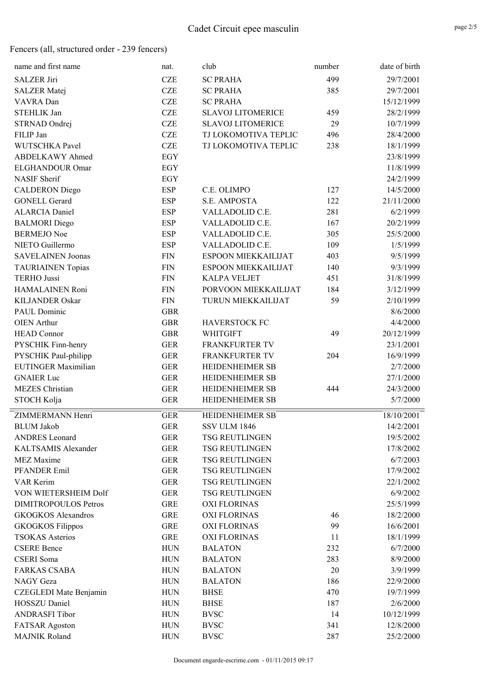| name and first name         | nat.       | club                     | number | date of birth |
|-----------------------------|------------|--------------------------|--------|---------------|
| <b>SALZER Jiri</b>          | <b>CZE</b> | <b>SC PRAHA</b>          | 499    | 29/7/2001     |
| <b>SALZER</b> Matej         | <b>CZE</b> | <b>SC PRAHA</b>          | 385    | 29/7/2001     |
| VAVRA Dan                   | <b>CZE</b> | <b>SC PRAHA</b>          |        | 15/12/1999    |
| STEHLIK Jan                 | <b>CZE</b> | <b>SLAVOJ LITOMERICE</b> | 459    | 28/2/1999     |
| STRNAD Ondrej               | <b>CZE</b> | <b>SLAVOJ LITOMERICE</b> | 29     | 10/7/1999     |
| FILIP Jan                   | <b>CZE</b> | TJ LOKOMOTIVA TEPLIC     | 496    | 28/4/2000     |
| WUTSCHKA Pavel              | <b>CZE</b> | TJ LOKOMOTIVA TEPLIC     | 238    | 18/1/1999     |
| <b>ABDELKAWY Ahmed</b>      | <b>EGY</b> |                          |        | 23/8/1999     |
| ELGHANDOUR Omar             | EGY        |                          |        | 11/8/1999     |
| <b>NASIF Sherif</b>         | EGY        |                          |        | 24/2/1999     |
| <b>CALDERON</b> Diego       | <b>ESP</b> | C.E. OLIMPO              | 127    | 14/5/2000     |
| <b>GONELL Gerard</b>        | <b>ESP</b> | S.E. AMPOSTA             | 122    | 21/11/2000    |
| <b>ALARCIA Daniel</b>       | <b>ESP</b> | VALLADOLID C.E.          | 281    | 6/2/1999      |
| <b>BALMORI</b> Diego        | <b>ESP</b> | VALLADOLID C.E.          | 167    | 20/2/1999     |
| <b>BERMEJO Noe</b>          | <b>ESP</b> | VALLADOLID C.E.          | 305    | 25/5/2000     |
| NIETO Guillermo             | <b>ESP</b> | VALLADOLID C.E.          | 109    | 1/5/1999      |
| <b>SAVELAINEN Joonas</b>    | <b>FIN</b> | ESPOON MIEKKAILIJAT      | 403    | 9/5/1999      |
| <b>TAURIAINEN Topias</b>    | <b>FIN</b> | ESPOON MIEKKAILIJAT      | 140    | 9/3/1999      |
| <b>TERHO Jussi</b>          | <b>FIN</b> | <b>KALPA VELJET</b>      | 451    | 31/8/1999     |
| HAMALAINEN Roni             | <b>FIN</b> | PORVOON MIEKKAILIJAT     | 184    | 3/12/1999     |
| <b>KILJANDER Oskar</b>      | <b>FIN</b> | TURUN MIEKKAILIJAT       | 59     | 2/10/1999     |
| <b>PAUL Dominic</b>         | <b>GBR</b> |                          |        | 8/6/2000      |
| <b>OIEN</b> Arthur          | <b>GBR</b> | <b>HAVERSTOCK FC</b>     |        | 4/4/2000      |
| <b>HEAD Connor</b>          | <b>GBR</b> | <b>WHITGIFT</b>          | 49     | 20/12/1999    |
| PYSCHIK Finn-henry          | <b>GER</b> | <b>FRANKFURTER TV</b>    |        | 23/1/2001     |
| PYSCHIK Paul-philipp        | <b>GER</b> | <b>FRANKFURTER TV</b>    | 204    | 16/9/1999     |
| EUTINGER Maximilian         | <b>GER</b> | HEIDENHEIMER SB          |        | 2/7/2000      |
| <b>GNAIER Luc</b>           | <b>GER</b> | HEIDENHEIMER SB          |        | 27/1/2000     |
| <b>MEZES</b> Christian      | <b>GER</b> | <b>HEIDENHEIMER SB</b>   | 444    | 24/3/2000     |
| STOCH Kolja                 | <b>GER</b> | HEIDENHEIMER SB          |        | 5/7/2000      |
| ZIMMERMANN Henri            | <b>GER</b> | <b>HEIDENHEIMER SB</b>   |        | 18/10/2001    |
| BLUM Jakob                  | <b>GER</b> | SSV ULM 1846             |        | 14/2/2001     |
| <b>ANDRES</b> Leonard       | <b>GER</b> | TSG REUTLINGEN           |        | 19/5/2002     |
| KALTSAMIS Alexander         | <b>GER</b> | <b>TSG REUTLINGEN</b>    |        | 17/8/2002     |
| <b>MEZ Maxime</b>           | <b>GER</b> | <b>TSG REUTLINGEN</b>    |        | 6/7/2003      |
| PFANDER Emil                | <b>GER</b> | <b>TSG REUTLINGEN</b>    |        | 17/9/2002     |
| VAR Kerim                   | <b>GER</b> | <b>TSG REUTLINGEN</b>    |        | 22/1/2002     |
| VON WIETERSHEIM Dolf        | <b>GER</b> | <b>TSG REUTLINGEN</b>    |        | 6/9/2002      |
| <b>DIMITROPOULOS Petros</b> | <b>GRE</b> | <b>OXI FLORINAS</b>      |        | 25/5/1999     |
| <b>GKOGKOS Alexandros</b>   | <b>GRE</b> | <b>OXI FLORINAS</b>      | 46     | 18/2/2000     |
| <b>GKOGKOS Filippos</b>     | <b>GRE</b> | <b>OXI FLORINAS</b>      | 99     | 16/6/2001     |
| <b>TSOKAS</b> Asterios      | <b>GRE</b> | <b>OXI FLORINAS</b>      | 11     | 18/1/1999     |
| <b>CSERE Bence</b>          | <b>HUN</b> | <b>BALATON</b>           | 232    | 6/7/2000      |
| <b>CSERI</b> Soma           | <b>HUN</b> | <b>BALATON</b>           | 283    | 8/9/2000      |
| <b>FARKAS CSABA</b>         | <b>HUN</b> | <b>BALATON</b>           | 20     | 3/9/1999      |
| NAGY Geza                   | <b>HUN</b> | <b>BALATON</b>           | 186    | 22/9/2000     |
| CZEGLEDI Mate Benjamin      | <b>HUN</b> | <b>BHSE</b>              | 470    | 19/7/1999     |
| <b>HOSSZU Daniel</b>        | <b>HUN</b> | <b>BHSE</b>              | 187    | 2/6/2000      |
| <b>ANDRASFI Tibor</b>       | <b>HUN</b> | <b>BVSC</b>              | 14     | 10/12/1999    |
| <b>FATSAR Agoston</b>       | <b>HUN</b> | <b>BVSC</b>              | 341    | 12/8/2000     |
| <b>MAJNIK Roland</b>        | <b>HUN</b> | <b>BVSC</b>              | 287    | 25/2/2000     |
|                             |            |                          |        |               |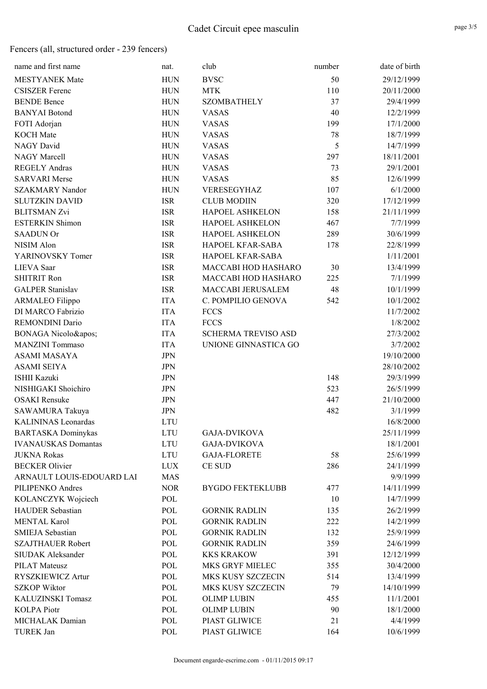| name and first name        | nat.                                                        | club                       | number     | date of birth          |
|----------------------------|-------------------------------------------------------------|----------------------------|------------|------------------------|
| <b>MESTYANEK Mate</b>      | <b>HUN</b>                                                  | <b>BVSC</b>                | 50         | 29/12/1999             |
| <b>CSISZER Ferenc</b>      | <b>HUN</b>                                                  | <b>MTK</b>                 | 110        | 20/11/2000             |
| <b>BENDE Bence</b>         | <b>HUN</b>                                                  | <b>SZOMBATHELY</b>         | 37         | 29/4/1999              |
| <b>BANYAI</b> Botond       | <b>HUN</b>                                                  | <b>VASAS</b>               | 40         | 12/2/1999              |
| FOTI Adorjan               | <b>HUN</b>                                                  | <b>VASAS</b>               | 199        | 17/1/2000              |
| <b>KOCH</b> Mate           | <b>HUN</b>                                                  | <b>VASAS</b>               | 78         | 18/7/1999              |
| NAGY David                 | <b>HUN</b>                                                  | <b>VASAS</b>               | 5          | 14/7/1999              |
| NAGY Marcell               | <b>HUN</b>                                                  | <b>VASAS</b>               | 297        | 18/11/2001             |
| <b>REGELY Andras</b>       | <b>HUN</b>                                                  | <b>VASAS</b>               | 73         | 29/1/2001              |
| <b>SARVARI Merse</b>       | <b>HUN</b>                                                  | <b>VASAS</b>               | 85         | 12/6/1999              |
| <b>SZAKMARY Nandor</b>     | <b>HUN</b>                                                  | VERESEGYHAZ                | 107        | 6/1/2000               |
| <b>SLUTZKIN DAVID</b>      | <b>ISR</b>                                                  | <b>CLUB MODIIN</b>         | 320        | 17/12/1999             |
| <b>BLITSMAN Zvi</b>        | <b>ISR</b>                                                  | HAPOEL ASHKELON            | 158        | 21/11/1999             |
| <b>ESTERKIN Shimon</b>     | <b>ISR</b>                                                  | HAPOEL ASHKELON            | 467        | 7/7/1999               |
| <b>SAADUN Or</b>           | <b>ISR</b>                                                  | <b>HAPOEL ASHKELON</b>     | 289        | 30/6/1999              |
| NISIM Alon                 | <b>ISR</b>                                                  | HAPOEL KFAR-SABA           | 178        | 22/8/1999              |
| YARINOVSKY Tomer           | <b>ISR</b>                                                  | HAPOEL KFAR-SABA           |            | 1/11/2001              |
| LIEVA Saar                 | <b>ISR</b>                                                  | MACCABI HOD HASHARO        | 30         | 13/4/1999              |
| <b>SHITRIT Ron</b>         | <b>ISR</b>                                                  | MACCABI HOD HASHARO        | 225        | 7/1/1999               |
| <b>GALPER Stanislav</b>    | <b>ISR</b>                                                  | MACCABI JERUSALEM          | 48         | 10/1/1999              |
| <b>ARMALEO Filippo</b>     | <b>ITA</b>                                                  | C. POMPILIO GENOVA         | 542        | 10/1/2002              |
| DI MARCO Fabrizio          | <b>ITA</b>                                                  | <b>FCCS</b>                |            | 11/7/2002              |
| <b>REMONDINI Dario</b>     | <b>ITA</b>                                                  | FCCS                       |            | 1/8/2002               |
| BONAGA Nicolo'             | <b>ITA</b>                                                  | <b>SCHERMA TREVISO ASD</b> |            | 27/3/2002              |
| <b>MANZINI</b> Tommaso     | <b>ITA</b>                                                  | UNIONE GINNASTICA GO       |            | 3/7/2002               |
| <b>ASAMI MASAYA</b>        | <b>JPN</b>                                                  |                            |            | 19/10/2000             |
| <b>ASAMI SEIYA</b>         | <b>JPN</b>                                                  |                            |            | 28/10/2002             |
| ISHII Kazuki               | <b>JPN</b>                                                  |                            |            |                        |
| NISHIGAKI Shoichiro        | <b>JPN</b>                                                  |                            | 148<br>523 | 29/3/1999<br>26/5/1999 |
|                            |                                                             |                            |            |                        |
| <b>OSAKI</b> Rensuke       | <b>JPN</b>                                                  |                            | 447<br>482 | 21/10/2000             |
| SAWAMURA Takuya            | <b>JPN</b>                                                  |                            |            | 3/1/1999               |
| <b>KALININAS Leonardas</b> | <b>LTU</b>                                                  | <b>GAJA-DVIKOVA</b>        |            | 16/8/2000              |
| <b>BARTASKA Dominykas</b>  | <b>LTU</b>                                                  |                            |            | 25/11/1999             |
| <b>IVANAUSKAS</b> Domantas | <b>LTU</b>                                                  | <b>GAJA-DVIKOVA</b>        |            | 18/1/2001              |
| <b>JUKNA Rokas</b>         | $\ensuremath{\text{L}\text{T}}\xspace\ensuremath{\text{U}}$ | <b>GAJA-FLORETE</b>        | 58         | 25/6/1999              |
| <b>BECKER</b> Olivier      | <b>LUX</b>                                                  | <b>CE SUD</b>              | 286        | 24/1/1999              |
| ARNAULT LOUIS-EDOUARD LAI  | <b>MAS</b>                                                  |                            |            | 9/9/1999               |
| PILIPENKO Andres           | <b>NOR</b>                                                  | <b>BYGDO FEKTEKLUBB</b>    | 477        | 14/11/1999             |
| KOLANCZYK Wojciech         | POL                                                         |                            | 10         | 14/7/1999              |
| <b>HAUDER Sebastian</b>    | POL                                                         | <b>GORNIK RADLIN</b>       | 135        | 26/2/1999              |
| <b>MENTAL Karol</b>        | POL                                                         | <b>GORNIK RADLIN</b>       | 222        | 14/2/1999              |
| <b>SMIEJA Sebastian</b>    | POL                                                         | <b>GORNIK RADLIN</b>       | 132        | 25/9/1999              |
| <b>SZAJTHAUER Robert</b>   | POL                                                         | <b>GORNIK RADLIN</b>       | 359        | 24/6/1999              |
| <b>SIUDAK Aleksander</b>   | POL                                                         | <b>KKS KRAKOW</b>          | 391        | 12/12/1999             |
| <b>PILAT Mateusz</b>       | POL                                                         | MKS GRYF MIELEC            | 355        | 30/4/2000              |
| RYSZKIEWICZ Artur          | POL                                                         | MKS KUSY SZCZECIN          | 514        | 13/4/1999              |
| <b>SZKOP Wiktor</b>        | POL                                                         | MKS KUSY SZCZECIN          | 79         | 14/10/1999             |
| KALUZINSKI Tomasz          | POL                                                         | <b>OLIMP LUBIN</b>         | 455        | 11/1/2001              |
| <b>KOLPA</b> Piotr         | POL                                                         | <b>OLIMP LUBIN</b>         | 90         | 18/1/2000              |
| MICHALAK Damian            | POL                                                         | PIAST GLIWICE              | 21         | 4/4/1999               |
| TUREK Jan                  | POL                                                         | PIAST GLIWICE              | 164        | 10/6/1999              |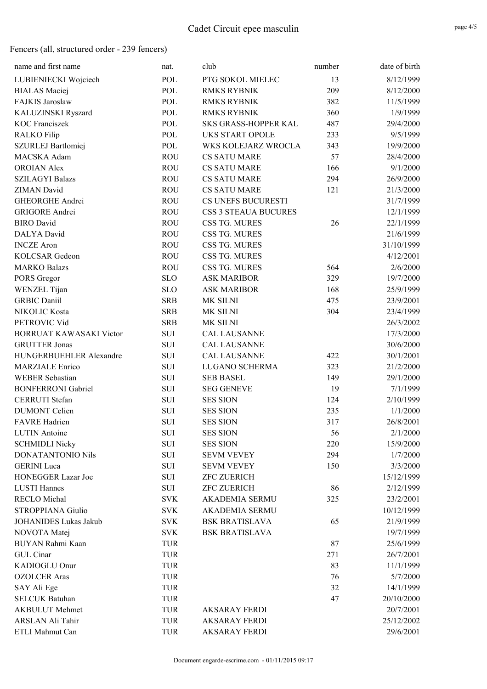| name and first name            | nat.       | club                        | number | date of birth |
|--------------------------------|------------|-----------------------------|--------|---------------|
| LUBIENIECKI Wojciech           | POL        | PTG SOKOL MIELEC            | 13     | 8/12/1999     |
| <b>BIALAS</b> Maciej           | POL        | <b>RMKS RYBNIK</b>          | 209    | 8/12/2000     |
| <b>FAJKIS Jaroslaw</b>         | POL        | <b>RMKS RYBNIK</b>          | 382    | 11/5/1999     |
| KALUZINSKI Ryszard             | POL        | <b>RMKS RYBNIK</b>          | 360    | 1/9/1999      |
| <b>KOC</b> Franciszek          | POL        | <b>SKS GRASS-HOPPER KAL</b> | 487    | 29/4/2000     |
| <b>RALKO Filip</b>             | POL        | <b>UKS START OPOLE</b>      | 233    | 9/5/1999      |
| SZURLEJ Bartlomiej             | POL        | WKS KOLEJARZ WROCLA         | 343    | 19/9/2000     |
| MACSKA Adam                    | <b>ROU</b> | <b>CS SATU MARE</b>         | 57     | 28/4/2000     |
| <b>OROIAN Alex</b>             | <b>ROU</b> | <b>CS SATU MARE</b>         | 166    | 9/1/2000      |
| <b>SZILAGYI Balazs</b>         | <b>ROU</b> | <b>CS SATU MARE</b>         | 294    | 26/9/2000     |
| <b>ZIMAN</b> David             | <b>ROU</b> | <b>CS SATU MARE</b>         | 121    | 21/3/2000     |
| <b>GHEORGHE Andrei</b>         | <b>ROU</b> | CS UNEFS BUCURESTI          |        | 31/7/1999     |
| <b>GRIGORE</b> Andrei          | <b>ROU</b> | <b>CSS 3 STEAUA BUCURES</b> |        | 12/1/1999     |
| <b>BIRO</b> David              | <b>ROU</b> | CSS TG. MURES               | 26     | 22/1/1999     |
| DALYA David                    | <b>ROU</b> | CSS TG. MURES               |        | 21/6/1999     |
| <b>INCZE</b> Aron              | <b>ROU</b> | CSS TG. MURES               |        | 31/10/1999    |
| <b>KOLCSAR</b> Gedeon          | <b>ROU</b> | CSS TG. MURES               |        | 4/12/2001     |
| <b>MARKO Balazs</b>            | <b>ROU</b> | CSS TG. MURES               | 564    | 2/6/2000      |
| PORS Gregor                    | <b>SLO</b> | <b>ASK MARIBOR</b>          | 329    | 19/7/2000     |
| WENZEL Tijan                   | <b>SLO</b> | <b>ASK MARIBOR</b>          | 168    | 25/9/1999     |
| <b>GRBIC Daniil</b>            | <b>SRB</b> | MK SILNI                    | 475    | 23/9/2001     |
| NIKOLIC Kosta                  | <b>SRB</b> | MK SILNI                    | 304    | 23/4/1999     |
| PETROVIC Vid                   | <b>SRB</b> | MK SILNI                    |        | 26/3/2002     |
| <b>BORRUAT KAWASAKI Victor</b> | SUI        | <b>CAL LAUSANNE</b>         |        | 17/3/2000     |
| <b>GRUTTER Jonas</b>           | SUI        | <b>CAL LAUSANNE</b>         |        | 30/6/2000     |
| HUNGERBUEHLER Alexandre        | SUI        | <b>CAL LAUSANNE</b>         | 422    | 30/1/2001     |
| <b>MARZIALE Enrico</b>         | SUI        | LUGANO SCHERMA              | 323    | 21/2/2000     |
| <b>WEBER Sebastian</b>         | SUI        | <b>SEB BASEL</b>            | 149    | 29/1/2000     |
| <b>BONFERRONI Gabriel</b>      | SUI        | <b>SEG GENEVE</b>           | 19     | 7/1/1999      |
| <b>CERRUTI</b> Stefan          | SUI        | <b>SES SION</b>             | 124    | 2/10/1999     |
| <b>DUMONT Celien</b>           | SUI        | <b>SES SION</b>             | 235    | 1/1/2000      |
| <b>FAVRE</b> Hadrien           | SUI        | <b>SES SION</b>             | 317    | 26/8/2001     |
| <b>LUTIN</b> Antoine           | SUI        | <b>SES SION</b>             | 56     | 2/1/2000      |
| <b>SCHMIDLI Nicky</b>          | SUI        | <b>SES SION</b>             | 220    | 15/9/2000     |
| DONATANTONIO Nils              | SUI        | <b>SEVM VEVEY</b>           | 294    | 1/7/2000      |
| <b>GERINI</b> Luca             | <b>SUI</b> | <b>SEVM VEVEY</b>           | 150    | 3/3/2000      |
| HONEGGER Lazar Joe             | SUI        | <b>ZFC ZUERICH</b>          |        | 15/12/1999    |
| <b>LUSTI Hannes</b>            | SUI        | <b>ZFC ZUERICH</b>          | 86     | 2/12/1999     |
| RECLO Michal                   | <b>SVK</b> | <b>AKADEMIA SERMU</b>       | 325    | 23/2/2001     |
| <b>STROPPIANA Giulio</b>       | <b>SVK</b> | <b>AKADEMIA SERMU</b>       |        | 10/12/1999    |
| <b>JOHANIDES Lukas Jakub</b>   | <b>SVK</b> | <b>BSK BRATISLAVA</b>       | 65     | 21/9/1999     |
| NOVOTA Matej                   | <b>SVK</b> | <b>BSK BRATISLAVA</b>       |        | 19/7/1999     |
| BUYAN Rahmi Kaan               | <b>TUR</b> |                             | 87     | 25/6/1999     |
| GUL Cinar                      | <b>TUR</b> |                             | 271    | 26/7/2001     |
| KADIOGLU Onur                  | <b>TUR</b> |                             | 83     | 11/1/1999     |
| <b>OZOLCER</b> Aras            | <b>TUR</b> |                             | 76     | 5/7/2000      |
| SAY Ali Ege                    | <b>TUR</b> |                             | 32     | 14/1/1999     |
| <b>SELCUK Batuhan</b>          | <b>TUR</b> |                             | 47     | 20/10/2000    |
| <b>AKBULUT</b> Mehmet          | <b>TUR</b> | <b>AKSARAY FERDI</b>        |        | 20/7/2001     |
| ARSLAN Ali Tahir               | <b>TUR</b> | <b>AKSARAY FERDI</b>        |        | 25/12/2002    |
| ETLI Mahmut Can                | <b>TUR</b> | <b>AKSARAY FERDI</b>        |        | 29/6/2001     |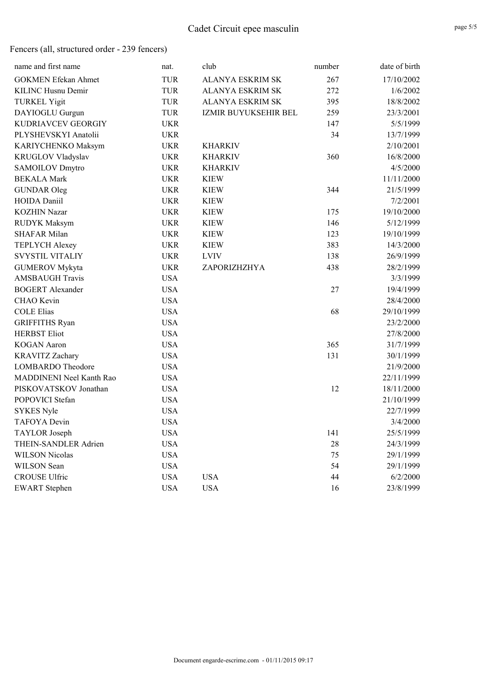| <b>TUR</b><br><b>GOKMEN Efekan Ahmet</b><br>267<br>17/10/2002<br>ALANYA ESKRIM SK<br><b>TUR</b><br><b>KILINC Husnu Demir</b><br><b>ALANYA ESKRIM SK</b><br>272<br>1/6/2002<br><b>TURKEL Yigit</b><br><b>TUR</b><br><b>ALANYA ESKRIM SK</b><br>395<br>18/8/2002<br>IZMIR BUYUKSEHIR BEL<br>DAYIOGLU Gurgun<br><b>TUR</b><br>259<br>23/3/2001<br>KUDRIAVCEV GEORGIY<br><b>UKR</b><br>147<br>5/5/1999<br>34<br>PLYSHEVSKYI Anatolii<br><b>UKR</b><br>13/7/1999<br><b>UKR</b><br><b>KHARKIV</b><br>2/10/2001<br>KARIYCHENKO Maksym<br>KRUGLOV Vladyslav<br><b>UKR</b><br><b>KHARKIV</b><br>360<br>16/8/2000<br>4/5/2000<br><b>UKR</b><br><b>KHARKIV</b><br><b>SAMOILOV Dmytro</b><br><b>BEKALA Mark</b><br><b>UKR</b><br><b>KIEW</b><br>11/11/2000<br><b>GUNDAR Oleg</b><br><b>UKR</b><br><b>KIEW</b><br>344<br>21/5/1999<br><b>HOIDA Daniil</b><br><b>UKR</b><br><b>KIEW</b><br>7/2/2001<br>19/10/2000<br><b>KOZHIN Nazar</b><br><b>UKR</b><br><b>KIEW</b><br>175<br><b>RUDYK Maksym</b><br><b>UKR</b><br><b>KIEW</b><br>146<br>5/12/1999<br><b>SHAFAR Milan</b><br><b>UKR</b><br><b>KIEW</b><br>123<br>19/10/1999<br>383<br><b>TEPLYCH Alexey</b><br><b>UKR</b><br><b>KIEW</b><br>14/3/2000<br><b>SVYSTIL VITALIY</b><br><b>UKR</b><br><b>LVIV</b><br>138<br>26/9/1999<br>438<br><b>GUMEROV Mykyta</b><br><b>UKR</b><br>ZAPORIZHZHYA<br>28/2/1999<br><b>AMSBAUGH Travis</b><br><b>USA</b><br>3/3/1999<br><b>BOGERT</b> Alexander<br><b>USA</b><br>27<br>19/4/1999<br>CHAO Kevin<br><b>USA</b><br>28/4/2000<br><b>COLE Elias</b><br><b>USA</b><br>68<br>29/10/1999<br><b>USA</b><br><b>GRIFFITHS Ryan</b><br>23/2/2000<br><b>HERBST Eliot</b><br><b>USA</b><br>27/8/2000<br><b>KOGAN</b> Aaron<br><b>USA</b><br>365<br>31/7/1999<br><b>USA</b><br>131<br><b>KRAVITZ Zachary</b><br>30/1/1999<br><b>USA</b><br><b>LOMBARDO</b> Theodore<br>21/9/2000<br>MADDINENI Neel Kanth Rao<br><b>USA</b><br>22/11/1999<br>12<br>PISKOVATSKOV Jonathan<br><b>USA</b><br>18/11/2000<br>POPOVICI Stefan<br><b>USA</b><br>21/10/1999<br><b>USA</b><br><b>SYKES Nyle</b><br>22/7/1999<br><b>TAFOYA</b> Devin<br><b>USA</b><br>3/4/2000<br><b>TAYLOR</b> Joseph<br><b>USA</b><br>141<br>25/5/1999<br>THEIN-SANDLER Adrien<br><b>USA</b><br>28<br>24/3/1999<br><b>USA</b><br><b>WILSON Nicolas</b><br>75<br>29/1/1999<br>WILSON Sean<br><b>USA</b><br>54<br>29/1/1999<br><b>CROUSE Ulfric</b><br><b>USA</b><br><b>USA</b><br>44<br>6/2/2000<br><b>USA</b><br><b>EWART</b> Stephen<br><b>USA</b><br>23/8/1999<br>16 | name and first name | nat. | club | number | date of birth |
|-----------------------------------------------------------------------------------------------------------------------------------------------------------------------------------------------------------------------------------------------------------------------------------------------------------------------------------------------------------------------------------------------------------------------------------------------------------------------------------------------------------------------------------------------------------------------------------------------------------------------------------------------------------------------------------------------------------------------------------------------------------------------------------------------------------------------------------------------------------------------------------------------------------------------------------------------------------------------------------------------------------------------------------------------------------------------------------------------------------------------------------------------------------------------------------------------------------------------------------------------------------------------------------------------------------------------------------------------------------------------------------------------------------------------------------------------------------------------------------------------------------------------------------------------------------------------------------------------------------------------------------------------------------------------------------------------------------------------------------------------------------------------------------------------------------------------------------------------------------------------------------------------------------------------------------------------------------------------------------------------------------------------------------------------------------------------------------------------------------------------------------------------------------------------------------------------------------------------------------------------------------------------------------------------------------------------------------------------------------------------------------------------------------------------------------------------------------------------------------------------|---------------------|------|------|--------|---------------|
|                                                                                                                                                                                                                                                                                                                                                                                                                                                                                                                                                                                                                                                                                                                                                                                                                                                                                                                                                                                                                                                                                                                                                                                                                                                                                                                                                                                                                                                                                                                                                                                                                                                                                                                                                                                                                                                                                                                                                                                                                                                                                                                                                                                                                                                                                                                                                                                                                                                                                               |                     |      |      |        |               |
|                                                                                                                                                                                                                                                                                                                                                                                                                                                                                                                                                                                                                                                                                                                                                                                                                                                                                                                                                                                                                                                                                                                                                                                                                                                                                                                                                                                                                                                                                                                                                                                                                                                                                                                                                                                                                                                                                                                                                                                                                                                                                                                                                                                                                                                                                                                                                                                                                                                                                               |                     |      |      |        |               |
|                                                                                                                                                                                                                                                                                                                                                                                                                                                                                                                                                                                                                                                                                                                                                                                                                                                                                                                                                                                                                                                                                                                                                                                                                                                                                                                                                                                                                                                                                                                                                                                                                                                                                                                                                                                                                                                                                                                                                                                                                                                                                                                                                                                                                                                                                                                                                                                                                                                                                               |                     |      |      |        |               |
|                                                                                                                                                                                                                                                                                                                                                                                                                                                                                                                                                                                                                                                                                                                                                                                                                                                                                                                                                                                                                                                                                                                                                                                                                                                                                                                                                                                                                                                                                                                                                                                                                                                                                                                                                                                                                                                                                                                                                                                                                                                                                                                                                                                                                                                                                                                                                                                                                                                                                               |                     |      |      |        |               |
|                                                                                                                                                                                                                                                                                                                                                                                                                                                                                                                                                                                                                                                                                                                                                                                                                                                                                                                                                                                                                                                                                                                                                                                                                                                                                                                                                                                                                                                                                                                                                                                                                                                                                                                                                                                                                                                                                                                                                                                                                                                                                                                                                                                                                                                                                                                                                                                                                                                                                               |                     |      |      |        |               |
|                                                                                                                                                                                                                                                                                                                                                                                                                                                                                                                                                                                                                                                                                                                                                                                                                                                                                                                                                                                                                                                                                                                                                                                                                                                                                                                                                                                                                                                                                                                                                                                                                                                                                                                                                                                                                                                                                                                                                                                                                                                                                                                                                                                                                                                                                                                                                                                                                                                                                               |                     |      |      |        |               |
|                                                                                                                                                                                                                                                                                                                                                                                                                                                                                                                                                                                                                                                                                                                                                                                                                                                                                                                                                                                                                                                                                                                                                                                                                                                                                                                                                                                                                                                                                                                                                                                                                                                                                                                                                                                                                                                                                                                                                                                                                                                                                                                                                                                                                                                                                                                                                                                                                                                                                               |                     |      |      |        |               |
|                                                                                                                                                                                                                                                                                                                                                                                                                                                                                                                                                                                                                                                                                                                                                                                                                                                                                                                                                                                                                                                                                                                                                                                                                                                                                                                                                                                                                                                                                                                                                                                                                                                                                                                                                                                                                                                                                                                                                                                                                                                                                                                                                                                                                                                                                                                                                                                                                                                                                               |                     |      |      |        |               |
|                                                                                                                                                                                                                                                                                                                                                                                                                                                                                                                                                                                                                                                                                                                                                                                                                                                                                                                                                                                                                                                                                                                                                                                                                                                                                                                                                                                                                                                                                                                                                                                                                                                                                                                                                                                                                                                                                                                                                                                                                                                                                                                                                                                                                                                                                                                                                                                                                                                                                               |                     |      |      |        |               |
|                                                                                                                                                                                                                                                                                                                                                                                                                                                                                                                                                                                                                                                                                                                                                                                                                                                                                                                                                                                                                                                                                                                                                                                                                                                                                                                                                                                                                                                                                                                                                                                                                                                                                                                                                                                                                                                                                                                                                                                                                                                                                                                                                                                                                                                                                                                                                                                                                                                                                               |                     |      |      |        |               |
|                                                                                                                                                                                                                                                                                                                                                                                                                                                                                                                                                                                                                                                                                                                                                                                                                                                                                                                                                                                                                                                                                                                                                                                                                                                                                                                                                                                                                                                                                                                                                                                                                                                                                                                                                                                                                                                                                                                                                                                                                                                                                                                                                                                                                                                                                                                                                                                                                                                                                               |                     |      |      |        |               |
|                                                                                                                                                                                                                                                                                                                                                                                                                                                                                                                                                                                                                                                                                                                                                                                                                                                                                                                                                                                                                                                                                                                                                                                                                                                                                                                                                                                                                                                                                                                                                                                                                                                                                                                                                                                                                                                                                                                                                                                                                                                                                                                                                                                                                                                                                                                                                                                                                                                                                               |                     |      |      |        |               |
|                                                                                                                                                                                                                                                                                                                                                                                                                                                                                                                                                                                                                                                                                                                                                                                                                                                                                                                                                                                                                                                                                                                                                                                                                                                                                                                                                                                                                                                                                                                                                                                                                                                                                                                                                                                                                                                                                                                                                                                                                                                                                                                                                                                                                                                                                                                                                                                                                                                                                               |                     |      |      |        |               |
|                                                                                                                                                                                                                                                                                                                                                                                                                                                                                                                                                                                                                                                                                                                                                                                                                                                                                                                                                                                                                                                                                                                                                                                                                                                                                                                                                                                                                                                                                                                                                                                                                                                                                                                                                                                                                                                                                                                                                                                                                                                                                                                                                                                                                                                                                                                                                                                                                                                                                               |                     |      |      |        |               |
|                                                                                                                                                                                                                                                                                                                                                                                                                                                                                                                                                                                                                                                                                                                                                                                                                                                                                                                                                                                                                                                                                                                                                                                                                                                                                                                                                                                                                                                                                                                                                                                                                                                                                                                                                                                                                                                                                                                                                                                                                                                                                                                                                                                                                                                                                                                                                                                                                                                                                               |                     |      |      |        |               |
|                                                                                                                                                                                                                                                                                                                                                                                                                                                                                                                                                                                                                                                                                                                                                                                                                                                                                                                                                                                                                                                                                                                                                                                                                                                                                                                                                                                                                                                                                                                                                                                                                                                                                                                                                                                                                                                                                                                                                                                                                                                                                                                                                                                                                                                                                                                                                                                                                                                                                               |                     |      |      |        |               |
|                                                                                                                                                                                                                                                                                                                                                                                                                                                                                                                                                                                                                                                                                                                                                                                                                                                                                                                                                                                                                                                                                                                                                                                                                                                                                                                                                                                                                                                                                                                                                                                                                                                                                                                                                                                                                                                                                                                                                                                                                                                                                                                                                                                                                                                                                                                                                                                                                                                                                               |                     |      |      |        |               |
|                                                                                                                                                                                                                                                                                                                                                                                                                                                                                                                                                                                                                                                                                                                                                                                                                                                                                                                                                                                                                                                                                                                                                                                                                                                                                                                                                                                                                                                                                                                                                                                                                                                                                                                                                                                                                                                                                                                                                                                                                                                                                                                                                                                                                                                                                                                                                                                                                                                                                               |                     |      |      |        |               |
|                                                                                                                                                                                                                                                                                                                                                                                                                                                                                                                                                                                                                                                                                                                                                                                                                                                                                                                                                                                                                                                                                                                                                                                                                                                                                                                                                                                                                                                                                                                                                                                                                                                                                                                                                                                                                                                                                                                                                                                                                                                                                                                                                                                                                                                                                                                                                                                                                                                                                               |                     |      |      |        |               |
|                                                                                                                                                                                                                                                                                                                                                                                                                                                                                                                                                                                                                                                                                                                                                                                                                                                                                                                                                                                                                                                                                                                                                                                                                                                                                                                                                                                                                                                                                                                                                                                                                                                                                                                                                                                                                                                                                                                                                                                                                                                                                                                                                                                                                                                                                                                                                                                                                                                                                               |                     |      |      |        |               |
|                                                                                                                                                                                                                                                                                                                                                                                                                                                                                                                                                                                                                                                                                                                                                                                                                                                                                                                                                                                                                                                                                                                                                                                                                                                                                                                                                                                                                                                                                                                                                                                                                                                                                                                                                                                                                                                                                                                                                                                                                                                                                                                                                                                                                                                                                                                                                                                                                                                                                               |                     |      |      |        |               |
|                                                                                                                                                                                                                                                                                                                                                                                                                                                                                                                                                                                                                                                                                                                                                                                                                                                                                                                                                                                                                                                                                                                                                                                                                                                                                                                                                                                                                                                                                                                                                                                                                                                                                                                                                                                                                                                                                                                                                                                                                                                                                                                                                                                                                                                                                                                                                                                                                                                                                               |                     |      |      |        |               |
|                                                                                                                                                                                                                                                                                                                                                                                                                                                                                                                                                                                                                                                                                                                                                                                                                                                                                                                                                                                                                                                                                                                                                                                                                                                                                                                                                                                                                                                                                                                                                                                                                                                                                                                                                                                                                                                                                                                                                                                                                                                                                                                                                                                                                                                                                                                                                                                                                                                                                               |                     |      |      |        |               |
|                                                                                                                                                                                                                                                                                                                                                                                                                                                                                                                                                                                                                                                                                                                                                                                                                                                                                                                                                                                                                                                                                                                                                                                                                                                                                                                                                                                                                                                                                                                                                                                                                                                                                                                                                                                                                                                                                                                                                                                                                                                                                                                                                                                                                                                                                                                                                                                                                                                                                               |                     |      |      |        |               |
|                                                                                                                                                                                                                                                                                                                                                                                                                                                                                                                                                                                                                                                                                                                                                                                                                                                                                                                                                                                                                                                                                                                                                                                                                                                                                                                                                                                                                                                                                                                                                                                                                                                                                                                                                                                                                                                                                                                                                                                                                                                                                                                                                                                                                                                                                                                                                                                                                                                                                               |                     |      |      |        |               |
|                                                                                                                                                                                                                                                                                                                                                                                                                                                                                                                                                                                                                                                                                                                                                                                                                                                                                                                                                                                                                                                                                                                                                                                                                                                                                                                                                                                                                                                                                                                                                                                                                                                                                                                                                                                                                                                                                                                                                                                                                                                                                                                                                                                                                                                                                                                                                                                                                                                                                               |                     |      |      |        |               |
|                                                                                                                                                                                                                                                                                                                                                                                                                                                                                                                                                                                                                                                                                                                                                                                                                                                                                                                                                                                                                                                                                                                                                                                                                                                                                                                                                                                                                                                                                                                                                                                                                                                                                                                                                                                                                                                                                                                                                                                                                                                                                                                                                                                                                                                                                                                                                                                                                                                                                               |                     |      |      |        |               |
|                                                                                                                                                                                                                                                                                                                                                                                                                                                                                                                                                                                                                                                                                                                                                                                                                                                                                                                                                                                                                                                                                                                                                                                                                                                                                                                                                                                                                                                                                                                                                                                                                                                                                                                                                                                                                                                                                                                                                                                                                                                                                                                                                                                                                                                                                                                                                                                                                                                                                               |                     |      |      |        |               |
|                                                                                                                                                                                                                                                                                                                                                                                                                                                                                                                                                                                                                                                                                                                                                                                                                                                                                                                                                                                                                                                                                                                                                                                                                                                                                                                                                                                                                                                                                                                                                                                                                                                                                                                                                                                                                                                                                                                                                                                                                                                                                                                                                                                                                                                                                                                                                                                                                                                                                               |                     |      |      |        |               |
|                                                                                                                                                                                                                                                                                                                                                                                                                                                                                                                                                                                                                                                                                                                                                                                                                                                                                                                                                                                                                                                                                                                                                                                                                                                                                                                                                                                                                                                                                                                                                                                                                                                                                                                                                                                                                                                                                                                                                                                                                                                                                                                                                                                                                                                                                                                                                                                                                                                                                               |                     |      |      |        |               |
|                                                                                                                                                                                                                                                                                                                                                                                                                                                                                                                                                                                                                                                                                                                                                                                                                                                                                                                                                                                                                                                                                                                                                                                                                                                                                                                                                                                                                                                                                                                                                                                                                                                                                                                                                                                                                                                                                                                                                                                                                                                                                                                                                                                                                                                                                                                                                                                                                                                                                               |                     |      |      |        |               |
|                                                                                                                                                                                                                                                                                                                                                                                                                                                                                                                                                                                                                                                                                                                                                                                                                                                                                                                                                                                                                                                                                                                                                                                                                                                                                                                                                                                                                                                                                                                                                                                                                                                                                                                                                                                                                                                                                                                                                                                                                                                                                                                                                                                                                                                                                                                                                                                                                                                                                               |                     |      |      |        |               |
|                                                                                                                                                                                                                                                                                                                                                                                                                                                                                                                                                                                                                                                                                                                                                                                                                                                                                                                                                                                                                                                                                                                                                                                                                                                                                                                                                                                                                                                                                                                                                                                                                                                                                                                                                                                                                                                                                                                                                                                                                                                                                                                                                                                                                                                                                                                                                                                                                                                                                               |                     |      |      |        |               |
|                                                                                                                                                                                                                                                                                                                                                                                                                                                                                                                                                                                                                                                                                                                                                                                                                                                                                                                                                                                                                                                                                                                                                                                                                                                                                                                                                                                                                                                                                                                                                                                                                                                                                                                                                                                                                                                                                                                                                                                                                                                                                                                                                                                                                                                                                                                                                                                                                                                                                               |                     |      |      |        |               |
|                                                                                                                                                                                                                                                                                                                                                                                                                                                                                                                                                                                                                                                                                                                                                                                                                                                                                                                                                                                                                                                                                                                                                                                                                                                                                                                                                                                                                                                                                                                                                                                                                                                                                                                                                                                                                                                                                                                                                                                                                                                                                                                                                                                                                                                                                                                                                                                                                                                                                               |                     |      |      |        |               |
|                                                                                                                                                                                                                                                                                                                                                                                                                                                                                                                                                                                                                                                                                                                                                                                                                                                                                                                                                                                                                                                                                                                                                                                                                                                                                                                                                                                                                                                                                                                                                                                                                                                                                                                                                                                                                                                                                                                                                                                                                                                                                                                                                                                                                                                                                                                                                                                                                                                                                               |                     |      |      |        |               |
|                                                                                                                                                                                                                                                                                                                                                                                                                                                                                                                                                                                                                                                                                                                                                                                                                                                                                                                                                                                                                                                                                                                                                                                                                                                                                                                                                                                                                                                                                                                                                                                                                                                                                                                                                                                                                                                                                                                                                                                                                                                                                                                                                                                                                                                                                                                                                                                                                                                                                               |                     |      |      |        |               |
|                                                                                                                                                                                                                                                                                                                                                                                                                                                                                                                                                                                                                                                                                                                                                                                                                                                                                                                                                                                                                                                                                                                                                                                                                                                                                                                                                                                                                                                                                                                                                                                                                                                                                                                                                                                                                                                                                                                                                                                                                                                                                                                                                                                                                                                                                                                                                                                                                                                                                               |                     |      |      |        |               |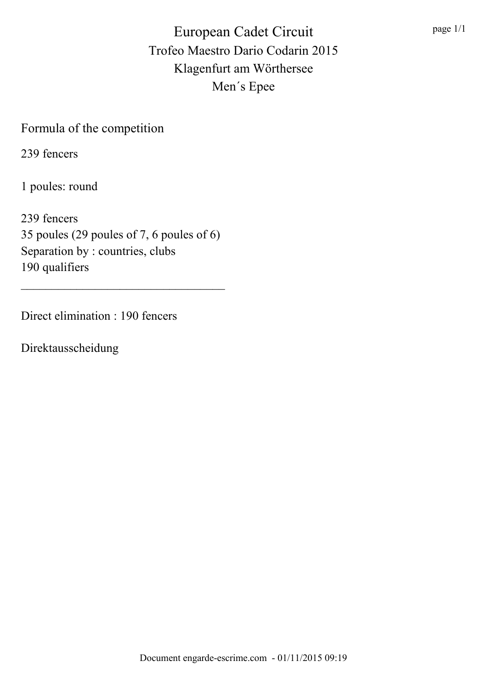Formula of the competition

239 fencers

1 poules: round

239 fencers 35 poules (29 poules of 7, 6 poules of 6) Separation by : countries, clubs 190 qualifiers

 $\overline{\phantom{a}}$  , where  $\overline{\phantom{a}}$  , where  $\overline{\phantom{a}}$  , where  $\overline{\phantom{a}}$  , where  $\overline{\phantom{a}}$ 

Direct elimination : 190 fencers

Direktausscheidung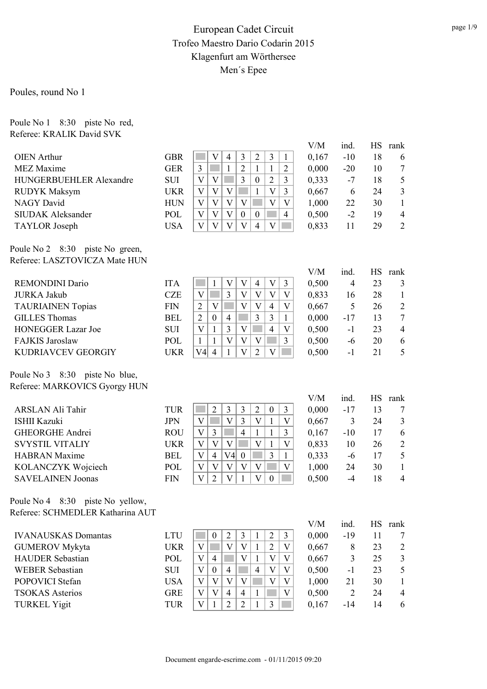Poules, round No 1

Poule No 1 8:30 piste No red, Referee: KRALIK David SVK

|                                  |            |                                                                                                                        | V/M   | ind.           |           | HS rank        |
|----------------------------------|------------|------------------------------------------------------------------------------------------------------------------------|-------|----------------|-----------|----------------|
| <b>OIEN</b> Arthur               | <b>GBR</b> | $\overline{V}$<br>$\overline{4}$<br>3<br>$\overline{2}$<br>3<br>$\mathbf{1}$                                           | 0,167 | $-10$          | 18        | 6              |
| <b>MEZ Maxime</b>                | <b>GER</b> | 3<br>$\mathbf{1}$<br>$\overline{2}$<br>$\mathbf{1}$<br>$\mathbf{1}$<br>$\overline{2}$                                  | 0,000 | $-20$          | 10        | 7              |
| HUNGERBUEHLER Alexandre          | <b>SUI</b> | $\overline{\mathsf{V}}$<br>$\mathbf V$<br>$\overline{3}$<br>$\overline{2}$<br>$\overline{3}$<br>$\boldsymbol{0}$       | 0,333 | $-7$           | 18        | 5              |
| <b>RUDYK Maksym</b>              | <b>UKR</b> | $\overline{V}$<br>$\overline{\mathsf{V}}$<br>$\overline{3}$<br>V<br>V<br>$\mathbf{1}$                                  | 0,667 | 6              | 24        | 3              |
| NAGY David                       | <b>HUN</b> | $\overline{V}$<br>V<br>V<br>$\overline{\mathsf{V}}$<br>$\overline{\mathbf{V}}$<br>V                                    | 1,000 | 22             | 30        | $\mathbf{1}$   |
| <b>SIUDAK Aleksander</b>         | POL        | $\overline{V}$<br>$\overline{V}$<br>V<br>$\boldsymbol{0}$<br>$\overline{4}$<br>$\boldsymbol{0}$                        | 0,500 | $-2$           | 19        | $\overline{4}$ |
| TAYLOR Joseph                    | <b>USA</b> | $\overline{\mathsf{V}}$<br>$\overline{\mathsf{V}}$<br>$\overline{\mathbf{V}}$<br>$\overline{4}$<br>$\overline{V}$<br>V | 0,833 | 11             | 29        | $\overline{2}$ |
| Poule No 2 8:30 piste No green,  |            |                                                                                                                        |       |                |           |                |
| Referee: LASZTOVICZA Mate HUN    |            |                                                                                                                        |       |                |           |                |
|                                  |            |                                                                                                                        | V/M   | ind.           | <b>HS</b> | rank           |
| <b>REMONDINI Dario</b>           | <b>ITA</b> | $\overline{\mathsf{V}}$<br>V<br>$\overline{\mathsf{V}}$<br>$\mathfrak{Z}$<br>$\overline{4}$<br>1                       | 0,500 | $\overline{4}$ | 23        | 3              |
| <b>JURKA Jakub</b>               | <b>CZE</b> | $\overline{3}$<br>$\overline{\mathbf{V}}$<br>$\mathbf V$<br>V<br>V<br>$\mathbf V$                                      | 0,833 | 16             | 28        | $\mathbf{1}$   |
| <b>TAURIAINEN Topias</b>         | <b>FIN</b> | $\mathbf V$<br>$\overline{V}$<br>$\overline{2}$<br>V<br>V<br>$\overline{4}$                                            | 0,667 | 5              | 26        | $\overline{2}$ |
| <b>GILLES Thomas</b>             | <b>BEL</b> | $\overline{3}$<br>3<br>$\overline{2}$<br>$\overline{4}$<br>$\mathbf{1}$<br>$\boldsymbol{0}$                            | 0,000 | $-17$          | 13        | 7              |
| <b>HONEGGER Lazar Joe</b>        | <b>SUI</b> | 3<br>V<br>$\overline{4}$<br>V<br>V<br>1                                                                                | 0,500 | $-1$           | 23        | $\overline{4}$ |
| <b>FAJKIS Jaroslaw</b>           | <b>POL</b> | $\overline{\mathsf{V}}$<br>V<br>$\overline{V}$<br>$\overline{3}$<br>1<br>1                                             | 0,500 | $-6$           | 20        | 6              |
| KUDRIAVCEV GEORGIY               | <b>UKR</b> | $\overline{V}$<br>V4<br>$\overline{2}$<br>$\mathbf{V}$<br>$\overline{4}$<br>1                                          | 0,500 | $-1$           | 21        | 5              |
| Poule No 3 8:30 piste No blue,   |            |                                                                                                                        |       |                |           |                |
| Referee: MARKOVICS Gyorgy HUN    |            |                                                                                                                        |       |                |           |                |
|                                  |            |                                                                                                                        | V/M   | ind.           |           | HS rank        |
| <b>ARSLAN Ali Tahir</b>          | <b>TUR</b> | 3<br>$\overline{3}$<br>$\overline{2}$<br>3<br>$\sqrt{2}$<br>$\boldsymbol{0}$                                           | 0,000 | $-17$          | 13        | 7              |
| <b>ISHII Kazuki</b>              | <b>JPN</b> | $\overline{3}$<br>V<br>$\overline{V}$<br>V<br>$\overline{\mathsf{V}}$<br>$\mathbf{1}$                                  | 0,667 | $\overline{3}$ | 24        | 3              |
| <b>GHEORGHE Andrei</b>           | <b>ROU</b> | 3<br>$\overline{4}$<br>$\overline{3}$<br>V<br>$\mathbf{1}$<br>1                                                        | 0,167 | $-10$          | 17        | 6              |
| <b>SVYSTIL VITALIY</b>           | <b>UKR</b> | $\overline{V}$<br>$\overline{\mathsf{V}}$<br>$\overline{\mathsf{V}}$<br>V<br>V<br>$\mathbf{1}$                         | 0,833 | 10             | 26        | $\overline{2}$ |
| <b>HABRAN</b> Maxime             | <b>BEL</b> | $\overline{\mathsf{V}}$<br>V4<br>3<br>$\overline{4}$<br>$\mathbf{0}$<br>$\mathbf{1}$                                   | 0,333 | $-6$           | 17        | 5              |
| KOLANCZYK Wojciech               | <b>POL</b> | $\overline{\mathsf{V}}$<br>$\mathbf{V}$<br>$\overline{V}$<br>$\overline{\mathsf{V}}$<br>$\overline{V}$<br>V            | 1,000 | 24             | 30        | 1              |
| <b>SAVELAINEN Joonas</b>         | <b>FIN</b> | $\overline{2}$<br>$\overline{V}$<br>$\overline{V}$<br>$\overline{\mathbf{V}}$<br>$\mathbf{1}$<br>$\mathbf{0}$          | 0,500 | $-4$           | 18        | 4              |
| Poule No 4 8:30 piste No yellow, |            |                                                                                                                        |       |                |           |                |
| Referee: SCHMEDLER Katharina AUT |            |                                                                                                                        |       |                |           |                |
|                                  |            |                                                                                                                        | V/M   | ind.           | HS.       | rank           |
| <b>IVANAUSKAS</b> Domantas       | <b>LTU</b> | $\overline{2}$<br>$\overline{3}$<br>$\mathbf{1}$<br>$\overline{2}$<br>3<br>$\boldsymbol{0}$                            | 0,000 | $-19$          | 11        | 7              |
|                                  |            |                                                                                                                        |       |                |           |                |

| <b>UUMEROV MYKYIA</b>   |
|-------------------------|
| <b>HAUDER Sebastian</b> |
| <b>WEBER Sebastian</b>  |
| <b>POPOVICI</b> Stefan  |
| <b>TSOKAS</b> Asterios  |
| THRKEL Vigit            |

| <b>WEBER Sebastian</b> | SUI | $\boldsymbol{0}$ | 4 | Δ | V            | 0.500 | - 1   | 23 |   |
|------------------------|-----|------------------|---|---|--------------|-------|-------|----|---|
| POPOVICI Stefan        | USA |                  |   |   | $\mathbf{V}$ | .000  |       | 30 |   |
| <b>TSOKAS Asterios</b> | GRE | T                | Δ |   | V            | 0.500 |       | 24 | 4 |
| <b>TURKEL Yigit</b>    | TUR |                  |   |   |              | 0.167 | $-14$ | 14 | 6 |
|                        |     |                  |   |   |              |       |       |    |   |

| <b>IVANAUSKAS Domantas</b> | <b>LTU</b> | $\theta$ |   |   |   | 2 | 3 | 0.000 | $-19$ |    | 7              |
|----------------------------|------------|----------|---|---|---|---|---|-------|-------|----|----------------|
| <b>GUMEROV Mykyta</b>      | <b>UKR</b> |          |   |   |   |   | V | 0,667 |       | 23 | $\overline{2}$ |
| <b>HAUDER Sebastian</b>    | POL        | 4        |   |   |   |   | V | 0,667 |       | 25 | 3              |
| <b>WEBER Sebastian</b>     | <b>SUI</b> | $\theta$ | 4 |   | 4 |   | V | 0,500 | -1    | 23 |                |
| POPOVICI Stefan            | <b>USA</b> |          |   |   |   |   | V | 1,000 | 21    | 30 |                |
| <b>TSOKAS Asterios</b>     | <b>GRE</b> |          | 4 | 4 |   |   | V | 0,500 |       | 24 | 4              |
| <b>TURKEL Yigit</b>        | TUR        |          |   |   |   |   |   | 0,167 | $-14$ | 14 | 6              |
|                            |            |          |   |   |   |   |   |       |       |    |                |

| V/M   | ind.  | <b>HS</b> | rank |
|-------|-------|-----------|------|
| 0,000 | $-19$ | 11        | 7    |
| 0,667 | 8     | 23        | 2    |
| 0,667 | 3     | 25        | 3    |
| 0,500 | -1    | 23        | 5    |
| 1,000 | 21    | 30        | 1    |
| 0,500 | 2     | 24        | 4    |
| በ 167 | -14   | 14        | 6    |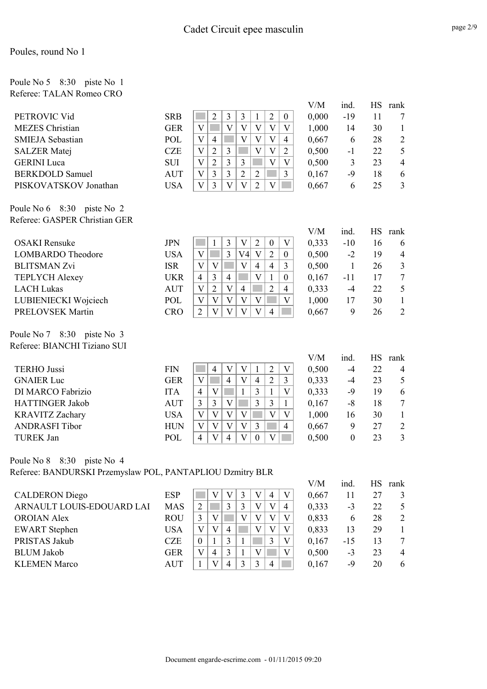#### Poule No 5 8:30 piste No 1 Referee: TALAN Romeo CRO

|                                                           |            |                                                                                                                          | V/M          | ind.           |                 | HS rank        |
|-----------------------------------------------------------|------------|--------------------------------------------------------------------------------------------------------------------------|--------------|----------------|-----------------|----------------|
| PETROVIC Vid                                              | <b>SRB</b> | $\overline{\mathbf{3}}$<br>$\overline{2}$<br>$\overline{2}$<br>$\overline{3}$<br>$\overline{0}$<br>1                     | 0,000        | $-19$          | 11              | 7              |
| <b>MEZES</b> Christian                                    | <b>GER</b> | $\overline{\mathbf{V}}$<br>V<br>V<br>$\overline{\mathsf{V}}$<br>V<br>V                                                   | 1,000        | 14             | 30              | 1              |
| <b>SMIEJA Sebastian</b>                                   | POL        | $\overline{V}$<br>$\mathbf V$<br>V<br>$\mathbf{V}$<br>$\overline{4}$<br>$\overline{4}$                                   | 0,667        | 6              | 28              | $\overline{2}$ |
| <b>SALZER Matej</b>                                       | <b>CZE</b> | $\mathbf V$<br>V<br>$\overline{2}$<br>$\mathbf{V}$<br>$\overline{2}$<br>3                                                | 0,500        | $-1$           | 22              | 5              |
| <b>GERINI</b> Luca                                        | <b>SUI</b> | $\overline{3}$<br>$\overline{\mathbf{V}}$<br>$\overline{2}$<br>$\overline{3}$<br>$\overline{\mathbf{V}}$<br>V            | 0,500        | $\mathfrak{Z}$ | 23              | $\overline{4}$ |
| <b>BERKDOLD Samuel</b>                                    | <b>AUT</b> | $\overline{3}$<br>$\overline{3}$<br>$\overline{2}$<br>$\overline{2}$<br>$\overline{3}$<br>$\overline{V}$                 | 0,167        | $-9$           | 18              | 6              |
| PISKOVATSKOV Jonathan                                     | <b>USA</b> | $\overline{3}$<br>$\overline{V}$<br>$\mathbf{V}$<br>$\overline{2}$<br>$\overline{V}$<br>$\mathbf{V}$                     | 0,667        | 6              | 25              | $\overline{3}$ |
| Poule No 6 8:30 piste No 2                                |            |                                                                                                                          |              |                |                 |                |
| Referee: GASPER Christian GER                             |            |                                                                                                                          |              |                |                 |                |
|                                                           |            |                                                                                                                          | V/M          | ind.           | <b>HS</b>       | rank           |
| <b>OSAKI</b> Rensuke                                      | <b>JPN</b> | 3<br>$\overline{V}$<br>$\overline{2}$<br>$\boldsymbol{0}$<br>V<br>$\mathbf{1}$                                           | 0,333        | $-10$          | 16              | 6              |
| <b>LOMBARDO</b> Theodore                                  | <b>USA</b> | $\overline{3}$<br>$\overline{2}$<br>V <sub>4</sub><br>V<br>$\overline{V}$<br>$\boldsymbol{0}$                            | 0,500        | $-2$           | 19              | $\overline{4}$ |
| <b>BLITSMAN Zvi</b>                                       | <b>ISR</b> | $\overline{\mathsf{V}}$<br>Ŧ<br>$\mathbf{V}$<br>$\overline{4}$<br>$\overline{3}$<br>$\mathbf{V}$<br>$\overline{4}$       | 0,500        | $\mathbf{1}$   | 26              | 3              |
| <b>TEPLYCH Alexey</b>                                     | <b>UKR</b> | $\mathbf{1}$<br>3<br>$\overline{4}$<br>V<br>$\overline{4}$<br>$\boldsymbol{0}$                                           | 0,167        | $-11$          | 17              | 7              |
| <b>LACH Lukas</b>                                         | <b>AUT</b> | $\overline{2}$<br>$\overline{2}$<br>$\mathbf V$<br>$\overline{V}$<br>$\overline{4}$<br>$\overline{4}$                    | 0,333        | $-4$           | 22              | 5              |
| LUBIENIECKI Wojciech                                      | <b>POL</b> | $\overline{V}$<br>$\overline{V}$<br>$\overline{\mathsf{V}}$<br>$\mathbf V$<br>$\overline{\mathsf{V}}$<br>V               | 1,000        | 17             | 30              | $\mathbf{1}$   |
| PRELOVSEK Martin                                          | <b>CRO</b> | $\overline{2}$<br>$\overline{V}$<br>$\overline{\mathbf{V}}$<br>$\overline{V}$<br>$\mathbf{V}$<br>$\overline{4}$          | 0,667        | 9              | 26              | $\overline{2}$ |
| Poule No 7 8:30 piste No 3                                |            |                                                                                                                          |              |                |                 |                |
| Referee: BIANCHI Tiziano SUI                              |            |                                                                                                                          |              |                |                 |                |
|                                                           |            |                                                                                                                          | V/M          | ind.           | <b>HS</b>       | rank           |
| <b>TERHO Jussi</b>                                        | <b>FIN</b> | $\mathbf V$<br>V<br>$\sqrt{2}$<br>$\overline{4}$<br>$\mathbf{1}$<br>$\mathbf V$                                          | 0,500        | $-4$           | 22              | $\overline{4}$ |
| <b>GNAIER Luc</b>                                         | <b>GER</b> | $\overline{4}$<br>V<br>$\overline{2}$<br>$\overline{3}$<br>V<br>$\overline{4}$                                           | 0,333        | $-4$           | 23              | 5              |
| <b>DI MARCO Fabrizio</b>                                  | <b>ITA</b> | $\overline{\mathsf{V}}$<br>$\overline{3}$<br>$\mathbf{1}$<br>$\overline{4}$<br>n.<br>$\mathbf{1}$<br>$\mathbf V$         | 0,333        | $-9$           | 19              | 6              |
| HATTINGER Jakob                                           | <b>AUT</b> | $\overline{3}$<br>$\overline{3}$<br>$\overline{3}$<br>3<br>$\mathbf V$<br>1                                              | 0,167        | $-8$           | 18              | 7              |
| <b>KRAVITZ Zachary</b>                                    | <b>USA</b> | $\overline{\mathbf{V}}$<br>$\overline{\mathbf{V}}$<br>$\mathbf V$<br>$\mathbf V$<br>$\mathbf{V}$<br>V                    | 1,000        | 16             | 30              | $\mathbf{1}$   |
| <b>ANDRASFI Tibor</b>                                     | <b>HUN</b> | $\mathbf{V}$<br>$\overline{\mathsf{V}}$<br>$\overline{V}$<br>$\overline{V}$<br>$\overline{\mathbf{3}}$<br>$\overline{4}$ | 0,667        | 9              | 27              | $\mathbf{2}$   |
| <b>TUREK Jan</b>                                          | <b>POL</b> | $\overline{V}$<br>$\overline{V}$<br>$\overline{4}$<br>$\overline{\mathsf{V}}$<br>$\overline{4}$<br>$\overline{0}$        | 0,500        | $\overline{0}$ | 23              | $\overline{3}$ |
| Poule No 8 8:30 piste No 4                                |            |                                                                                                                          |              |                |                 |                |
| Referee: BANDURSKI Przemyslaw POL, PANTAPLIOU Dzmitry BLR |            |                                                                                                                          |              |                |                 |                |
| <b>CALDERON</b> Diego                                     | <b>ESP</b> | $\mathbf{V}$<br>$\mathbf{V}$<br>$\mathbf{V}$<br>$\mathbf{V}$<br>$\overline{3}$<br>$\overline{4}$                         | V/M<br>0,667 | ind.<br>11     | <b>HS</b><br>27 | rank<br>3      |
|                                                           |            |                                                                                                                          |              |                |                 |                |

ARNAULT LOUIS-EDOUARD LAI MAS  $2|\square|3|3|V|V|4|0,333$  -3 22 5 OROIAN Alex ROU 3 V  $\parallel$  V  $\parallel$  V  $\parallel$  V  $\parallel$  V  $\parallel$  0,833 6 28 2 EWART Stephen USA  $V | V | 4 | W | V | V | 0,833$  13 29 1 PRISTAS Jakub CZE  $|0|1|3|1$  3  $|V|$  0,167 -15 13 7 BLUM Jakob GER  $|V|$  4  $|3$   $|1$   $|V|$   $|V|$  0,500 -3 23 4 KLEMEN Marco  $AUT \left[ 1 \right] \cup \left[ 4 \right] 3 \left[ 3 \right] 4 \left[ 0.167 \right] 20 \quad 6$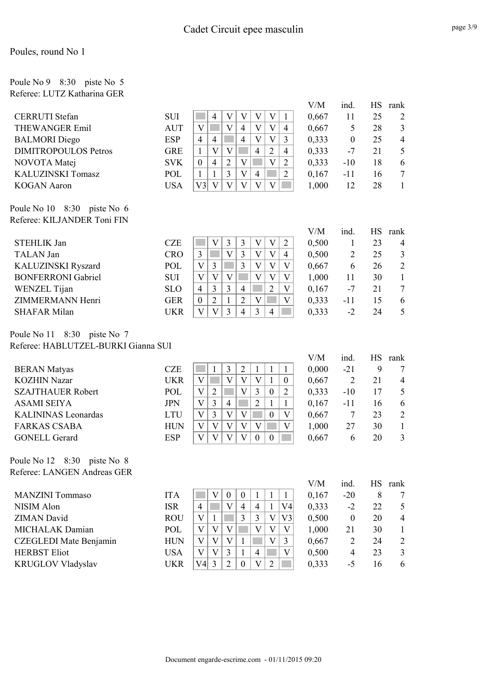### Poule No 9 8:30 piste No 5 Referee: LUTZ Katharina GER

| <b>CERRUTI</b> Stefan                           | <b>SUI</b>               | $\mathbf V$<br>$\overline{4}$<br>V<br>$\mathbf{V}$<br>V<br>$\mathbf{1}$                                                                                                  | 0,667          | 11               | 25        | $\overline{2}$ |
|-------------------------------------------------|--------------------------|--------------------------------------------------------------------------------------------------------------------------------------------------------------------------|----------------|------------------|-----------|----------------|
| <b>THEWANGER Emil</b>                           | <b>AUT</b>               | $\mathbf{V}$<br>$\mathbf{V}$<br>$\mathbf{V}$<br>$\overline{\mathsf{V}}$<br>$\overline{4}$<br>$\overline{4}$                                                              | 0,667          | 5                | 28        | 3              |
| <b>BALMORI</b> Diego                            | <b>ESP</b>               | $\overline{3}$<br>$\overline{4}$<br>$\overline{\mathsf{V}}$<br>$\mathbf{V}$<br>$\overline{4}$<br>$\overline{4}$                                                          | 0,333          | $\boldsymbol{0}$ | 25        | $\overline{4}$ |
| <b>DIMITROPOULOS Petros</b>                     | <b>GRE</b>               | V<br>$\overline{4}$<br>$\overline{2}$<br>V<br>$\overline{4}$<br>$\mathbf{1}$                                                                                             | 0,333          | $-7$             | 21        | 5              |
| NOVOTA Matej                                    | <b>SVK</b>               | $\overline{V}$<br>$\mathbf{V}$<br>$\overline{2}$<br>$\overline{4}$<br>$\overline{2}$<br>$\boldsymbol{0}$                                                                 | 0,333          | $-10$            | 18        | 6              |
| <b>KALUZINSKI Tomasz</b>                        | POL                      | $\overline{V}$<br>$\overline{2}$<br>$\mathbf{1}$<br>$\overline{3}$<br>$\overline{4}$<br>$\mathbf{1}$                                                                     | 0,167          | $-11$            | 16        | 7              |
| <b>KOGAN</b> Aaron                              | <b>USA</b>               | V<br>V<br>V3<br>V<br>$\mathbf{V}$<br>$\mathbf V$                                                                                                                         | 1,000          | 12               | 28        | 1              |
| Poule No 10 8:30 piste No 6                     |                          |                                                                                                                                                                          |                |                  |           |                |
| Referee: KILJANDER Toni FIN                     |                          |                                                                                                                                                                          |                |                  |           |                |
|                                                 |                          |                                                                                                                                                                          | V/M            | ind.             | <b>HS</b> | rank           |
| <b>STEHLIK Jan</b>                              | <b>CZE</b>               | 3<br>V<br>$\boldsymbol{\mathrm{V}}$<br>3<br>V<br>$\overline{2}$                                                                                                          | 0,500          | 1                | 23        | $\overline{4}$ |
| <b>TALAN Jan</b>                                | <b>CRO</b>               | 3<br>V<br>3<br>$\mathbf V$<br>V<br>$\overline{4}$                                                                                                                        | 0,500          | $\overline{2}$   | 25        | 3              |
| KALUZINSKI Ryszard                              | POL                      | $\overline{3}$<br>$\overline{3}$<br>$\overline{\mathsf{V}}$<br>$\mathbf V$<br>$\overline{\mathsf{V}}$<br>V                                                               | 0,667          | 6                | 26        | $\sqrt{2}$     |
| <b>BONFERRONI</b> Gabriel                       | <b>SUI</b>               | V<br>$\overline{\mathsf{V}}$<br>V<br>$\mathbf{V}$<br>$\mathbf V$<br>V                                                                                                    | 1,000          | 11               | 30        | $\mathbf{1}$   |
| WENZEL Tijan                                    | <b>SLO</b>               | $\overline{2}$<br>$\overline{3}$<br>$\overline{3}$<br>$\mathbf V$<br>$\overline{4}$<br>$\overline{4}$                                                                    | 0,167          | $-7$             | 21        | $\tau$         |
| ZIMMERMANN Henri                                | <b>GER</b>               | $\overline{2}$<br>$\overline{2}$<br>$\overline{\mathsf{V}}$<br>$\mathbf{1}$<br>V<br>$\mathbf{0}$                                                                         | 0,333          | $-11$            | 15        | 6              |
| <b>SHAFAR Milan</b>                             | <b>UKR</b>               | V<br>$\overline{3}$<br>$\overline{4}$<br>3<br>$\overline{4}$<br>$\overline{\mathsf{V}}$                                                                                  | 0,333          | $-2$             | 24        | 5              |
| Poule No 11 8:30 piste No 7                     |                          |                                                                                                                                                                          |                |                  |           |                |
| Referee: HABLUTZEL-BURKI Gianna SUI             |                          |                                                                                                                                                                          |                |                  |           |                |
|                                                 |                          |                                                                                                                                                                          | V/M            | ind.             | <b>HS</b> | rank           |
| <b>BERAN Matyas</b>                             | <b>CZE</b>               | 3<br>$\overline{2}$<br>$\mathbf{1}$<br>$\mathbf{1}$<br>$\mathbf{1}$<br>$\mathbf{1}$                                                                                      | 0,000          | $-21$            | 9         | 7              |
| <b>KOZHIN Nazar</b>                             | <b>UKR</b>               | V<br>$\mathbf V$<br>V<br>$\mathbf V$<br>$\mathbf{1}$<br>$\overline{0}$                                                                                                   | 0,667          | $\overline{2}$   | 21        | $\overline{4}$ |
| <b>SZAJTHAUER Robert</b>                        | POL                      | V<br>3<br>$\overline{2}$<br>$\mathbf{V}$<br>$\overline{2}$<br>$\boldsymbol{0}$                                                                                           | 0,333          | $-10$            | 17        | 5              |
| <b>ASAMI SEIYA</b>                              | <b>JPN</b>               | $\overline{3}$<br>$\overline{2}$<br>$\mathbf{1}$<br>$\overline{V}$<br>$\mathbf{1}$<br>$\overline{4}$                                                                     | 0,167          | $-11$            | 16        | 6              |
| <b>KALININAS Leonardas</b>                      | <b>LTU</b>               | $\overline{3}$<br>V<br>V<br>$\mathbf V$<br>$\boldsymbol{0}$<br>V                                                                                                         | 0,667          | 7                | 23        | $\sqrt{2}$     |
| <b>FARKAS CSABA</b>                             | <b>HUN</b>               | $\mathbf V$<br>$\mathbf V$<br>$\mathbf V$<br>$\overline{\mathsf{V}}$<br>$\mathbf{V}$<br>$\mathbf V$                                                                      | 1,000          | 27               | 30        | 1              |
| <b>GONELL Gerard</b>                            | <b>ESP</b>               | $\overline{\mathbf{V}}$<br>$\mathbf{V}$<br>$\overline{\mathsf{V}}$<br>V<br>$\boldsymbol{0}$<br>$\boldsymbol{0}$                                                          | 0,667          | 6                | 20        | 3              |
| Poule No 12 8:30 piste No 8                     |                          |                                                                                                                                                                          |                |                  |           |                |
| Referee: LANGEN Andreas GER                     |                          |                                                                                                                                                                          |                |                  |           |                |
|                                                 |                          |                                                                                                                                                                          | V/M            | ind.             | <b>HS</b> | rank           |
| <b>MANZINI</b> Tommaso                          | <b>ITA</b>               | $\mathbf V$<br>$\boldsymbol{0}$<br>$\boldsymbol{0}$<br>$\mathbf{1}$<br>$\mathbf{1}$<br>$\mathbf{1}$                                                                      | 0,167          | $-20$            | 8         | 7              |
| <b>NISIM Alon</b>                               | <b>ISR</b>               | $\mathbf{V}$<br>$\overline{4}$<br>$\mathbf{1}$<br>V <sub>4</sub><br>$\overline{4}$<br>$\overline{4}$                                                                     | 0,333          | $-2$             | 22        | 5              |
| <b>ZIMAN</b> David                              | <b>ROU</b>               | $\overline{3}$<br>3<br>$\mathbf V$<br>V <sub>3</sub><br>$\mathbf V$<br>$\mathbf{1}$                                                                                      | 0,500          | $\boldsymbol{0}$ | 20        | $\overline{4}$ |
| <b>MICHALAK Damian</b>                          | <b>POL</b>               | $\mathbf{V}$<br>V<br>$\overline{\mathsf{V}}$<br>$\mathbf V$<br>$\mathbf{V}$<br>V                                                                                         | 1,000          | 21               | 30        | 1              |
| <b>CZEGLEDI</b> Mate Benjamin                   | <b>HUN</b>               | V<br>V<br>V<br>$\mathbf{1}$<br>$\overline{3}$<br>V                                                                                                                       | 0,667          | $\overline{2}$   | 24        | $\overline{2}$ |
| <b>HERBST Eliot</b><br><b>KRUGLOV Vladyslav</b> | <b>USA</b><br><b>UKR</b> | V<br>$\mathbf{V}$<br>V<br>$\mathfrak{Z}$<br>$\overline{4}$<br>$\mathbf{1}$<br>$\overline{V}$<br>$\mathfrak{Z}$<br>$\overline{2}$<br>$\sqrt{2}$<br>V4<br>$\boldsymbol{0}$ | 0,500<br>0,333 | $\overline{4}$   | 23        | 3              |

V/M ind. HS rank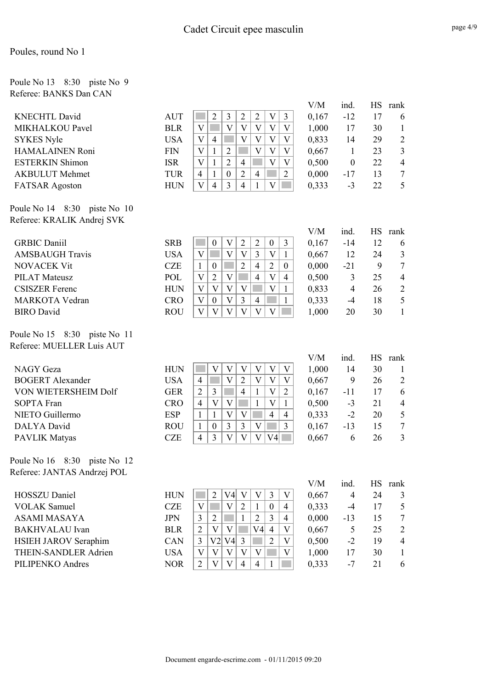### Poule No 13 8:30 piste No 9 Referee: BANKS Dan CAN

|                                    |            |                                                                                                                      | V/M   | ind.             | HS        | rank             |
|------------------------------------|------------|----------------------------------------------------------------------------------------------------------------------|-------|------------------|-----------|------------------|
| <b>KNECHTL David</b>               | <b>AUT</b> | $\overline{2}$<br>$\overline{2}$<br>3<br>$\mathfrak{2}$<br>$\mathbf{V}$<br>$\overline{3}$                            | 0,167 | $-12$            | 17        | 6                |
| MIKHALKOU Pavel                    | <b>BLR</b> | $\overline{\mathsf{V}}$<br>$\overline{\mathbf{V}}$<br>$\overline{V}$<br>$\mathbf V$<br>$\overline{V}$<br>$\mathbf V$ | 1,000 | 17               | 30        | $\mathbf{1}$     |
| <b>SYKES Nyle</b>                  | <b>USA</b> | $\overline{V}$<br>$\overline{4}$<br>$\mathbf{V}$<br>V<br>$\mathbf V$<br>$\boldsymbol{\mathrm{V}}$                    | 0,833 | 14               | 29        | $\overline{2}$   |
| <b>HAMALAINEN Roni</b>             | <b>FIN</b> | V<br>$\overline{2}$<br>V<br>V<br>1<br>V                                                                              | 0,667 | $\mathbf{1}$     | 23        | $\overline{3}$   |
| <b>ESTERKIN Shimon</b>             | <b>ISR</b> | $\overline{2}$<br>V<br>$\overline{4}$<br>$\overline{\mathsf{V}}$<br>$\mathbf{V}$<br>$\mathbf{1}$                     | 0,500 | $\boldsymbol{0}$ | 22        | $\overline{4}$   |
| <b>AKBULUT</b> Mehmet              | <b>TUR</b> | $\overline{2}$<br>$\overline{0}$<br>$\overline{2}$<br>$\overline{4}$<br>$\mathbf{1}$<br>$\overline{4}$               | 0,000 | $-17$            | 13        | $\tau$           |
| <b>FATSAR</b> Agoston              | <b>HUN</b> | $\overline{4}$<br>V<br>$\overline{4}$<br>3<br>$\mathbf{1}$<br>$\mathbf V$                                            | 0,333 | $-3$             | 22        | 5                |
| Poule No 14 8:30 piste No 10       |            |                                                                                                                      |       |                  |           |                  |
| Referee: KRALIK Andrej SVK         |            |                                                                                                                      |       |                  |           |                  |
|                                    |            |                                                                                                                      | V/M   | ind.             | <b>HS</b> | rank             |
| <b>GRBIC Daniil</b>                | <b>SRB</b> | $\mathfrak{2}$<br>$\overline{2}$<br>$\mathbf V$<br>3<br>$\boldsymbol{0}$<br>$\boldsymbol{0}$                         | 0,167 | $-14$            | 12        | 6                |
| <b>AMSBAUGH Travis</b>             | <b>USA</b> | V<br>V<br>$\mathbf{V}$<br>$\mathfrak{Z}$<br>V<br>$\mathbf{1}$                                                        | 0,667 | 12               | 24        | 3                |
| <b>NOVACEK Vit</b>                 | <b>CZE</b> | $\overline{2}$<br>$\overline{4}$<br>$\overline{2}$<br>$\mathbf{1}$<br>$\boldsymbol{0}$<br>$\boldsymbol{0}$           | 0,000 | $-21$            | 9         | $\tau$           |
| <b>PILAT Mateusz</b>               | POL        | $\overline{V}$<br>$\overline{\mathsf{V}}$<br>$\mathbf V$<br>$\overline{2}$<br>$\overline{4}$<br>$\overline{4}$       | 0,500 | 3                | 25        | $\overline{4}$   |
| <b>CSISZER Ferenc</b>              | <b>HUN</b> | $\overline{\mathbf{V}}$<br>$\overline{V}$<br>$\overline{V}$<br>$\overline{V}$<br>$\overline{V}$<br>$\mathbf{1}$      | 0,833 | $\overline{4}$   | 26        | $\mathbf{2}$     |
| <b>MARKOTA Vedran</b>              | <b>CRO</b> | $\overline{V}$<br>$\overline{3}$<br>$\overline{4}$<br>$\mathbf V$<br>$\boldsymbol{0}$<br>$\mathbf{1}$                | 0,333 | $-4$             | 18        | 5                |
| <b>BIRO</b> David                  | <b>ROU</b> | $\overline{\mathsf{V}}$<br>$\overline{\mathsf{V}}$<br>$\mathbf{V}$<br>$\mathbf{V}$<br>$\mathbf{V}$<br>V              | 1,000 | 20               | 30        | $\mathbf{1}$     |
| Poule No 15 8:30 piste No 11       |            |                                                                                                                      |       |                  |           |                  |
|                                    |            |                                                                                                                      |       |                  |           |                  |
| Referee: MUELLER Luis AUT          |            |                                                                                                                      |       |                  |           |                  |
|                                    |            |                                                                                                                      | V/M   | ind.             | <b>HS</b> | rank             |
| <b>NAGY</b> Geza                   | <b>HUN</b> | $\mathbf V$<br>V<br>$\mathbf V$<br>$\mathbf V$<br>$\mathbf V$<br>$\boldsymbol{\mathrm{V}}$                           | 1,000 | 14               | 30        | 1                |
| <b>BOGERT Alexander</b>            | <b>USA</b> | $\mathbf{V}$<br>$\overline{2}$<br>V<br>V<br>$\overline{4}$<br>V                                                      | 0,667 | 9                | 26        | $\overline{2}$   |
| VON WIETERSHEIM Dolf               | <b>GER</b> | $\overline{c}$<br>$\overline{3}$<br>$\overline{4}$<br>$\overline{V}$<br>$\mathbf{1}$<br>$\overline{2}$               | 0,167 | $-11$            | 17        | 6                |
| <b>SOPTA Fran</b>                  | <b>CRO</b> | $\overline{\mathbf{V}}$<br>$\overline{4}$<br>$\mathbf V$<br>$\overline{V}$<br>$\mathbf{1}$<br>$\mathbf{1}$           | 0,500 | $-3$             | 21        | $\overline{4}$   |
| NIETO Guillermo                    | <b>ESP</b> | $\mathbf{1}$<br>$\mathbf{1}$<br>$\mathbf{V}$<br>$\mathbf V$<br>$\overline{4}$<br>$\overline{4}$                      | 0,333 | $-2$             | 20        | $\sqrt{5}$       |
| DALYA David                        | <b>ROU</b> | $\overline{3}$<br>V<br>3<br>$\overline{3}$<br>$\mathbf{1}$<br>$\mathbf{0}$                                           | 0,167 | $-13$            | 15        | $\boldsymbol{7}$ |
| <b>PAVLIK Matyas</b>               | <b>CZE</b> | $\overline{V}$<br>$\overline{4}$<br>$\overline{3}$<br>V<br>$\mathbf{V}$<br>V4                                        | 0,667 | 6                | 26        | $\overline{3}$   |
| Poule No 16<br>8:30<br>piste No 12 |            |                                                                                                                      |       |                  |           |                  |
| Referee: JANTAS Andrzej POL        |            |                                                                                                                      |       |                  |           |                  |
|                                    |            |                                                                                                                      | V/M   | ind.             | HS        | rank             |
| <b>HOSSZU Daniel</b>               | <b>HUN</b> | $\mathbf V$<br>$\overline{2}$<br>V4<br>V<br>$\mathfrak{Z}$<br>$\boldsymbol{\mathrm{V}}$                              | 0,667 | $\overline{4}$   | 24        | 3                |
| <b>VOLAK Samuel</b>                | <b>CZE</b> | $\mathbf V$<br>$\mathbf V$<br>$\sqrt{2}$<br>$\mathbf{1}$<br>$\boldsymbol{0}$<br>$\overline{4}$                       | 0,333 | $-4$             | 17        | 5                |
| <b>ASAMI MASAYA</b>                | <b>JPN</b> | $\overline{3}$<br>3<br>$\mathbf{1}$<br>$\overline{2}$<br>$\overline{2}$<br>$\overline{4}$                            | 0,000 | $-13$            | 15        | $\tau$           |
| <b>BAKHVALAU</b> Ivan              | <b>BLR</b> | $\overline{2}$<br>$\mathbf{V}$<br>$\mathbf V$<br>V4<br>$\overline{4}$<br>$\boldsymbol{\mathrm{V}}$                   | 0,667 | 5                | 25        | $\overline{2}$   |
| <b>HSIEH JAROV Seraphim</b>        | CAN        | $\mathfrak{Z}$<br>V <sub>2</sub><br>$\overline{2}$<br>V4<br>$\overline{3}$<br>$\mathbf V$                            | 0,500 | $-2$             | 19        | $\overline{4}$   |
| THEIN-SANDLER Adrien               | <b>USA</b> | $\ensuremath{\mathbf{V}}$<br>V<br>$\mathbf V$<br>V<br>V<br>V                                                         | 1,000 | 17               | 30        | $\mathbf{1}$     |
| PILIPENKO Andres                   | <b>NOR</b> | $\overline{2}$<br>V<br>$\overline{4}$<br>V<br>$\overline{4}$<br>$\mathbf{1}$                                         | 0,333 | $-7$             | 21        | 6                |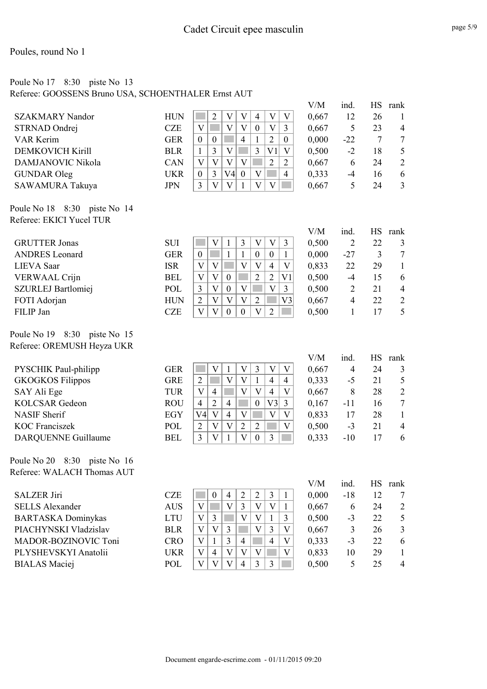### Poule No 17 8:30 piste No 13 Referee: GOOSSENS Bruno USA, SCHOENTHALER Ernst AUT

|                                                            |            |                                                                                                                           | V/M          | ind.           | HS              | rank           |
|------------------------------------------------------------|------------|---------------------------------------------------------------------------------------------------------------------------|--------------|----------------|-----------------|----------------|
| <b>SZAKMARY Nandor</b>                                     | <b>HUN</b> | $\overline{V}$<br>$\overline{2}$<br>$\ensuremath{\mathbf{V}}$<br>$\mathbf{V}$<br>$\overline{4}$<br>V                      | 0,667        | 12             | 26              | $\mathbf{1}$   |
| STRNAD Ondrej                                              | <b>CZE</b> | $\mathbf V$<br>V<br>$\mathbf{V}$<br>$\mathbf V$<br>$\boldsymbol{0}$<br>3                                                  | 0,667        | 5              | 23              | $\overline{4}$ |
| <b>VAR Kerim</b>                                           | <b>GER</b> | $\overline{2}$<br>$\overline{4}$<br>$\boldsymbol{0}$<br>$\boldsymbol{0}$<br>1<br>$\mathbf{0}$                             | 0,000        | $-22$          | 7               | $\tau$         |
| <b>DEMKOVICH Kirill</b>                                    | <b>BLR</b> | $\overline{3}$<br>$\overline{3}$<br>$\mathbf{V}$<br>V <sub>1</sub><br>$\mathbf{1}$<br>V                                   | 0,500        | $-2$           | 18              | 5              |
| DAMJANOVIC Nikola                                          | CAN        | $\overline{V}$<br>$\overline{2}$<br>V<br>V<br>$\mathbf{2}$<br>$\mathbf V$                                                 | 0,667        | 6              | 24              | $\overline{2}$ |
| <b>GUNDAR Oleg</b>                                         | <b>UKR</b> | V4<br>$\mathbf{V}$<br>$\overline{3}$<br>$\overline{4}$<br>$\boldsymbol{0}$<br>$\boldsymbol{0}$                            | 0,333        | $-4$           | 16              | 6              |
| SAWAMURA Takuya                                            | <b>JPN</b> | $\overline{3}$<br>$\mathbf{V}$<br>$\mathbf V$<br>$\mathbf{V}$<br>$\mathbf{1}$<br>V                                        | 0,667        | 5              | 24              | $\mathfrak{Z}$ |
| Poule No 18 8:30 piste No 14<br>Referee: EKICI Yucel TUR   |            |                                                                                                                           |              |                |                 |                |
|                                                            |            |                                                                                                                           | V/M          | ind.           | HS              | rank           |
| <b>GRUTTER Jonas</b>                                       | <b>SUI</b> | $\mathfrak{Z}$<br>$\overline{\mathsf{V}}$<br>$\mathfrak{Z}$<br>V<br>$\mathbf{1}$<br>V                                     | 0,500        | $\overline{2}$ | 22              | 3              |
| <b>ANDRES</b> Leonard                                      | <b>GER</b> | $\mathbf{1}$<br>$\mathbf{1}$<br>$\boldsymbol{0}$<br>$\mathbf{0}$<br>$\boldsymbol{0}$<br>$\mathbf{1}$                      | 0,000        | $-27$          | 3               | $\tau$         |
| LIEVA Saar                                                 | <b>ISR</b> | V<br>$\mathbf V$<br>V<br>$\overline{4}$<br>V<br>V                                                                         | 0,833        | 22             | 29              | $\mathbf{1}$   |
| <b>VERWAAL Crijn</b>                                       | <b>BEL</b> | $\overline{2}$<br>$\mathbf{V}$<br>$\overline{2}$<br>V<br>$\boldsymbol{0}$<br>V1                                           | 0,500        | $-4$           | 15              | 6              |
| SZURLEJ Bartlomiej                                         | <b>POL</b> | $\overline{3}$<br>$\mathbf V$<br>$\overline{\mathsf{V}}$<br>$\overline{\mathsf{V}}$<br>$\boldsymbol{0}$<br>$\overline{3}$ | 0,500        | $\overline{2}$ | 21              | $\overline{4}$ |
| FOTI Adorjan                                               | <b>HUN</b> | V<br>$\mathbf{V}$<br>$\mathbf V$<br>$\overline{2}$<br>$\overline{2}$<br>V <sub>3</sub>                                    | 0,667        | $\overline{4}$ | 22              | $\overline{2}$ |
| FILIP Jan                                                  | <b>CZE</b> | $\overline{V}$<br>$\overline{2}$<br>V<br>V<br>$\boldsymbol{0}$<br>$\boldsymbol{0}$                                        | 0,500        | $\mathbf{1}$   | 17              | 5              |
| Poule No 19 8:30 piste No 15<br>Referee: OREMUSH Heyza UKR |            |                                                                                                                           |              |                |                 |                |
|                                                            |            |                                                                                                                           | V/M          | ind.           | <b>HS</b>       | rank           |
| PYSCHIK Paul-philipp                                       | <b>GER</b> | $\mathbf{V}$<br>$\mathbf V$<br>$\overline{3}$<br>$\mathbf V$<br>V<br>$\mathbf{1}$                                         | 0,667        | 4              | 24              | 3              |
| <b>GKOGKOS Filippos</b>                                    | <b>GRE</b> | V<br>$\overline{2}$<br>$\mathbf V$<br>$\mathbf{1}$<br>$\overline{4}$<br>$\overline{4}$                                    | 0,333        | $-5$           | 21              | $\mathfrak s$  |
| SAY Ali Ege                                                | <b>TUR</b> | $\overline{\mathsf{V}}$<br>$\mathbf{V}$<br>$\mathbf V$<br>$\overline{4}$<br>$\mathbf{V}$<br>$\overline{4}$                | 0,667        | 8              | 28              | $\overline{2}$ |
| <b>KOLCSAR</b> Gedeon                                      | <b>ROU</b> | $\overline{4}$<br>$\overline{2}$<br>V <sub>3</sub><br>$\overline{4}$<br>$\mathbf{0}$<br>$\overline{3}$                    | 0,167        | $-11$          | 16              | $\tau$         |
| <b>NASIF Sherif</b>                                        | <b>EGY</b> | $\mathbf V$<br>$\mathbf V$<br>$\overline{4}$<br>V<br>$\operatorname{V4}$<br>$\boldsymbol{\mathrm{V}}$                     | 0,833        | 17             | 28              | $\mathbf{1}$   |
| <b>KOC</b> Franciszek                                      | POL        | $\sqrt{2}$<br>$\sqrt{2}$<br>$\mathbf V$<br>$\mathbf{V}$<br>$\overline{2}$<br>$\mathbf V$                                  | 0,500        | $-3$           | 21              | $\overline{4}$ |
| <b>DARQUENNE Guillaume</b>                                 | <b>BEL</b> | $\mathbf{V}$<br>$\overline{V}$<br>3<br>$\boldsymbol{0}$<br>3<br>$\mathbf{1}$                                              | 0,333        | $-10$          | 17              | 6              |
| Poule No 20 8:30<br>piste No 16                            |            |                                                                                                                           |              |                |                 |                |
| Referee: WALACH Thomas AUT                                 |            |                                                                                                                           |              |                |                 |                |
| <b>SALZER Jiri</b>                                         | <b>CZE</b> | 3<br>$\overline{2}$<br>$\boldsymbol{0}$<br>$\overline{2}$<br>$\overline{4}$<br>$\mathbf{1}$                               | V/M<br>0,000 | ind.<br>$-18$  | <b>HS</b><br>12 | rank<br>7      |
| <b>SELLS Alexander</b>                                     | <b>AUS</b> | $\overline{\mathsf{V}}$<br>$\overline{3}$<br>$\mathbf{V}$<br>V<br>V<br>1                                                  | 0,667        | 6              | 24              | $\overline{c}$ |
| <b>BARTASKA Dominykas</b>                                  | <b>LTU</b> | V<br>3<br>$\mathbf V$<br>V<br>$\mathbf{1}$<br>3                                                                           | 0,500        | $-3$           | 22              | 5              |
| PIACHYNSKI Vladzislav                                      | <b>BLR</b> | $\overline{V}$<br>$\mathbf V$<br>3<br>3<br>V<br>V                                                                         | 0,667        | $\mathfrak{Z}$ | 26              | $\mathfrak{Z}$ |
| MADOR-BOZINOVIC Toni                                       | <b>CRO</b> | $\overline{3}$<br>V<br>$\overline{4}$<br>$\overline{4}$<br>V<br>1                                                         | 0,333        | $-3$           | 22              | 6              |
| PLYSHEVSKYI Anatolii                                       | <b>UKR</b> | $\ensuremath{\mathbf{V}}$<br>V<br>V<br>$\mathbf{V}$<br>$\overline{4}$<br>V                                                | 0,833        | 10             | 29              | $\mathbf{1}$   |
| <b>BIALAS</b> Maciej                                       | POL        | $\mathbf V$<br>$\mathbf{V}$<br>$\mathbf{V}$<br>$\overline{4}$<br>$\overline{3}$<br>3                                      | 0,500        | 5              | 25              | $\overline{4}$ |
|                                                            |            |                                                                                                                           |              |                |                 |                |
|                                                            |            |                                                                                                                           |              |                |                 |                |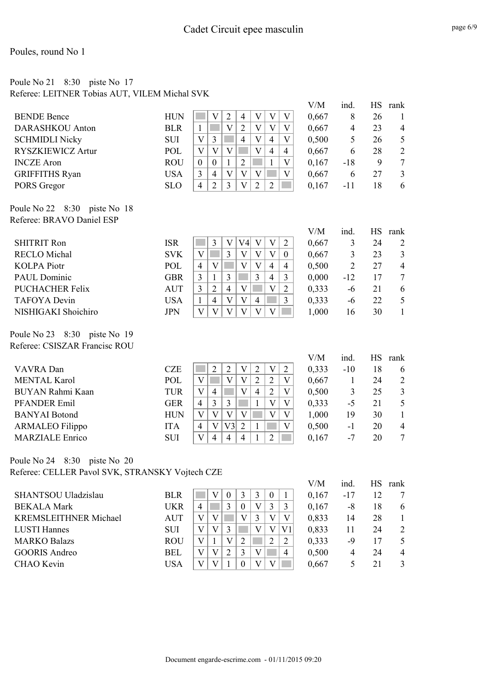### Poule No 21 8:30 piste No 17 Referee: LEITNER Tobias AUT, VILEM Michal SVK

|                                                 |            |                                                                                                                  | V/M   | ind.           | <b>HS</b> | rank                    |
|-------------------------------------------------|------------|------------------------------------------------------------------------------------------------------------------|-------|----------------|-----------|-------------------------|
| <b>BENDE Bence</b>                              | <b>HUN</b> | V<br>$\overline{2}$<br>$\ensuremath{\mathbf{V}}$<br>$\mathbf V$<br>$\overline{4}$<br>$\mathbf V$                 | 0,667 | 8              | 26        | 1                       |
| <b>DARASHKOU Anton</b>                          | <b>BLR</b> | $\overline{V}$<br>$\overline{2}$<br>$\overline{\mathsf{V}}$<br>$\overline{V}$<br>$\mathbf{V}$<br>$\mathbf{1}$    | 0,667 | $\overline{4}$ | 23        | $\overline{4}$          |
| <b>SCHMIDLI Nicky</b>                           | <b>SUI</b> | $\overline{3}$<br>V<br>$\overline{4}$<br>V<br>$\overline{4}$<br>V                                                | 0,500 | 5              | 26        | 5                       |
| RYSZKIEWICZ Artur                               | POL        | $\overline{\mathsf{V}}$<br>$\overline{4}$<br>V<br>V<br>V<br>$\overline{4}$                                       | 0,667 | 6              | 28        | $\overline{2}$          |
| <b>INCZE</b> Aron                               | <b>ROU</b> | $\sqrt{2}$<br>V<br>$\mathbf{1}$<br>$\boldsymbol{0}$<br>$\mathbf{0}$<br>$\mathbf{1}$                              | 0,167 | $-18$          | 9         | $\overline{7}$          |
| <b>GRIFFITHS Ryan</b>                           | <b>USA</b> | $\boldsymbol{\mathrm{V}}$<br>V<br>3<br>$\overline{4}$<br>$\mathbf V$<br>V                                        | 0,667 | 6              | 27        | 3                       |
| PORS Gregor                                     | <b>SLO</b> | $\overline{2}$<br>$\overline{3}$<br>$\overline{2}$<br>V<br>$\overline{2}$<br>$\overline{4}$                      | 0,167 | $-11$          | 18        | 6                       |
| Poule No 22 8:30 piste No 18                    |            |                                                                                                                  |       |                |           |                         |
| Referee: BRAVO Daniel ESP                       |            |                                                                                                                  |       |                |           |                         |
|                                                 |            |                                                                                                                  | V/M   | ind.           | <b>HS</b> | rank                    |
| <b>SHITRIT Ron</b>                              | <b>ISR</b> | $\mathfrak{Z}$<br>$\mathbf V$<br>$\mathbf V$<br>V4<br>$\mathbf V$<br>$\overline{2}$                              | 0,667 | 3              | 24        | 2                       |
| <b>RECLO</b> Michal                             | <b>SVK</b> | $\overline{3}$<br>$\overline{V}$<br>$\overline{\mathsf{V}}$<br>$\overline{V}$<br>$\mathbf V$<br>$\boldsymbol{0}$ | 0,667 | 3              | 23        | 3                       |
| <b>KOLPA</b> Piotr                              | POL        | $\mathbf{V}$<br>V<br>$\overline{4}$<br>$\mathbf V$<br>$\overline{4}$<br>$\overline{4}$                           | 0,500 | $\overline{2}$ | 27        | $\overline{4}$          |
| <b>PAUL Dominic</b>                             | <b>GBR</b> | $\overline{3}$<br>$\overline{3}$<br>$\overline{4}$<br>3<br>3<br>1                                                | 0,000 | $-12$          | 17        | 7                       |
| <b>PUCHACHER Felix</b>                          | <b>AUT</b> | $\overline{2}$<br>$\mathbf V$<br>$\overline{V}$<br>3<br>$\overline{4}$<br>$\overline{2}$                         | 0,333 | $-6$           | 21        | 6                       |
| <b>TAFOYA</b> Devin                             | <b>USA</b> | $\overline{3}$<br>$\overline{4}$<br>V<br>$\mathbf V$<br>$\overline{4}$<br>1                                      | 0,333 | $-6$           | 22        | 5                       |
| NISHIGAKI Shoichiro                             | <b>JPN</b> | $\overline{V}$<br>V<br>V<br>$\overline{\mathsf{V}}$<br>V<br>$\mathbf{V}$                                         | 1,000 | 16             | 30        | $\mathbf{1}$            |
| Poule No 23 8:30 piste No 19                    |            |                                                                                                                  |       |                |           |                         |
| Referee: CSISZAR Francisc ROU                   |            |                                                                                                                  |       |                |           |                         |
|                                                 |            |                                                                                                                  | V/M   | ind.           | <b>HS</b> | rank                    |
| VAVRA Dan                                       | <b>CZE</b> | $\overline{2}$<br>$\overline{2}$<br>$\overline{2}$<br>V<br>$\mathbf V$<br>$\overline{2}$                         | 0,333 | $-10$          | 18        | 6                       |
| <b>MENTAL Karol</b>                             | POL        | V<br>$\mathbf{V}$<br>$\mathbf V$<br>$\overline{2}$<br>$\overline{2}$<br>$\boldsymbol{\mathrm{V}}$                | 0,667 | $\mathbf{1}$   | 24        | $\overline{2}$          |
| <b>BUYAN Rahmi Kaan</b>                         | <b>TUR</b> | $\overline{2}$<br>$\mathbf{V}$<br>$\overline{4}$<br>V<br>V<br>$\overline{4}$                                     | 0,500 | 3              | 25        | $\overline{\mathbf{3}}$ |
| PFANDER Emil                                    | <b>GER</b> | 3<br>$\overline{3}$<br>$\mathbf{1}$<br>$\overline{\mathsf{V}}$<br>$\mathbf V$<br>$\overline{4}$                  | 0,333 | $-5$           | 21        | 5                       |
| <b>BANYAI</b> Botond                            | <b>HUN</b> | V<br>V<br>$\mathbf V$<br>$\mathbf V$<br>$\mathbf{V}$<br>$\mathbf V$                                              | 1,000 | 19             | 30        | $\mathbf{1}$            |
| <b>ARMALEO</b> Filippo                          | <b>ITA</b> | $\overline{2}$<br>V<br>V <sub>3</sub><br>$\mathbf{1}$<br>$\mathbf V$<br>$\overline{4}$                           | 0,500 | $-1$           | 20        | $\overline{4}$          |
| <b>MARZIALE Enrico</b>                          | <b>SUI</b> | $\mathbf{V}$<br>$\overline{4}$<br>$\overline{4}$<br>$\overline{4}$<br>$\mathbf{1}$<br>$\overline{2}$             | 0,167 | $-7$           | 20        | 7                       |
| Poule No 24 8:30<br>piste No 20                 |            |                                                                                                                  |       |                |           |                         |
| Referee: CELLER Pavol SVK, STRANSKY Vojtech CZE |            |                                                                                                                  |       |                |           |                         |
|                                                 |            |                                                                                                                  | V/M   | ind.           |           | HS rank                 |
| SHANTSOU Uladzislau                             | <b>BLR</b> | 3<br>3<br>V<br>$\boldsymbol{0}$<br>$\boldsymbol{0}$<br>1                                                         | 0,167 | $-17$          | 12        | 7                       |
| <b>BEKALA Mark</b>                              | <b>UKR</b> | 3<br>$\overline{3}$<br>$\boldsymbol{0}$<br>$\boldsymbol{\mathrm{V}}$<br>3<br>$\overline{4}$                      | 0,167 | $-8$           | 18        | 6                       |
| <b>KREMSLEITHNER Michael</b>                    | <b>AUT</b> | $\overline{\mathsf{V}}$<br>V<br>$\overline{3}$<br>V<br>V<br>V                                                    | 0,833 | 14             | 28        | $\mathbf{1}$            |
| <b>LUSTI Hannes</b>                             | SUI        | V<br>$\mathfrak{Z}$<br>$\boldsymbol{\mathrm{V}}$<br>V<br>V <sub>1</sub><br>V                                     | 0,833 | 11             | 24        | $\overline{c}$          |
| <b>MARKO Balazs</b>                             | <b>ROU</b> | $\overline{2}$<br>$\overline{2}$<br>$\overline{2}$<br>V<br>V<br>1                                                | 0,333 | $-9$           | 17        | 5                       |
| <b>GOORIS Andreo</b>                            | <b>BEL</b> | $\mathfrak{Z}$<br>$\mathbf V$<br>V<br>$\overline{2}$<br>V<br>$\overline{4}$                                      | 0,500 | 4              | 24        | 4                       |
| CHAO Kevin                                      | <b>USA</b> | $\overline{V}$<br>V<br>$\boldsymbol{0}$<br>$\mathbf{V}$<br>V<br>$\mathbf{1}$                                     | 0,667 | 5              | 21        | $\mathfrak{Z}$          |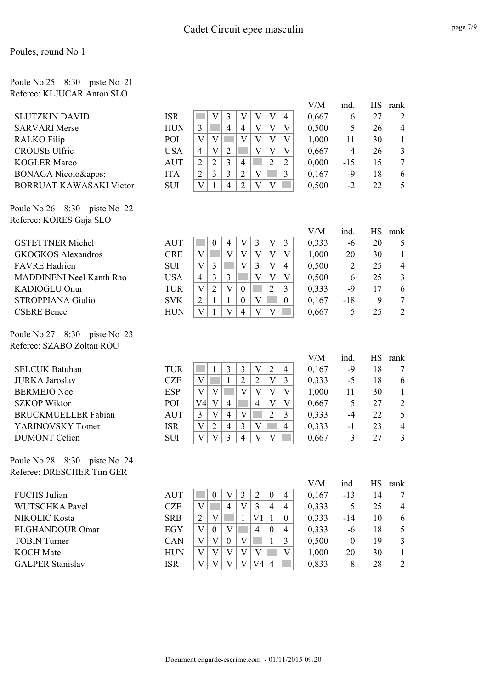#### Poule No 25 8:30 piste No 21 Referee: KLJUCAR Anton SLO

|                                                                    |            |                |   |                |                |              |                |                | V/M   | ind.           | <b>HS</b> | rank |
|--------------------------------------------------------------------|------------|----------------|---|----------------|----------------|--------------|----------------|----------------|-------|----------------|-----------|------|
| <b>SLUTZKIN DAVID</b>                                              | <b>ISR</b> |                | V | 3              | V              | V            | V              | $\overline{4}$ | 0,667 | 6              | 27        | 2    |
| <b>SARVARI Merse</b>                                               | <b>HUN</b> | 3              |   | $\overline{4}$ | 4              | V            | V              | V              | 0,500 | 5              | 26        | 4    |
| <b>RALKO</b> Filip                                                 | POL        | V              | V |                | V              | V            | V              | V              | 1,000 | 11             | 30        |      |
| <b>CROUSE Ulfric</b>                                               | <b>USA</b> | 4              | V | 2              |                | V            | V              | V              | 0,667 | $\overline{4}$ | 26        | 3    |
| <b>KOGLER Marco</b>                                                | <b>AUT</b> | $\overline{2}$ | 2 | 3              | $\overline{4}$ |              | $\overline{2}$ | $\overline{2}$ | 0,000 | $-15$          | 15        |      |
| BONAGA Nicolo & apos;                                              | <b>ITA</b> | $\overline{2}$ | 3 | 3              | $\overline{2}$ | V            |                | 3              | 0,167 | -9             | 18        | 6    |
| <b>BORRUAT KAWASAKI Victor</b>                                     | <b>SUI</b> | V              |   | 4              | $\overline{2}$ | $\mathbf{V}$ | V              |                | 0,500 | $-2$           | 22        |      |
| Poule No $26 \quad 8:30$<br>piste No 22<br>Referee: KORES Gaja SLO |            |                |   |                |                |              |                |                |       |                |           |      |
|                                                                    |            |                |   |                |                |              |                |                | V/M   | ind.           | <b>HS</b> | rank |
| <b>GSTETTNER Michel</b>                                            | <b>AUT</b> |                | 0 | 4              |                | 3            | V              | 3              | 0.333 | -6             | 20        | 5    |

| VIO LE L'INER IVIIUITT          |
|---------------------------------|
| <b>GKOGKOS Alexandros</b>       |
| <b>FAVRE</b> Hadrien            |
| <b>MADDINENI Neel Kanth Rao</b> |
| KADIOGLU Onur                   |
| <b>STROPPIANA Giulio</b>        |
| <b>CSERE Bence</b>              |

Poule No 27 8:30 piste No 23 Referee: SZABO Zoltan ROU

| <b>SELCUK Batuhan</b>      |
|----------------------------|
| <b>JURKA</b> Jaroslav      |
| <b>BERMEJO</b> Noe         |
| <b>SZKOP Wiktor</b>        |
| <b>BRUCKMUELLER Fabian</b> |
| YARINOVSKY Tomer           |
| <b>DUMONT Celien</b>       |

Poule No 28 8:30 piste No 24 Referee: DRESCHER Tim GER

|                         |            |          |   |    |          |                | V / IVI | шч.   | пэ | танк |
|-------------------------|------------|----------|---|----|----------|----------------|---------|-------|----|------|
| FUCHS Julian            | <b>AUT</b> | $\theta$ |   |    | $\theta$ | $\overline{4}$ | 0,167   | $-13$ | 14 | 7    |
| WUTSCHKA Pavel          | <b>CZE</b> |          | 4 |    | 4        | $\overline{4}$ | 0,333   |       | 25 | 4    |
| NIKOLIC Kosta           | <b>SRB</b> |          |   |    |          | $\theta$       | 0,333   | $-14$ | 10 | 6    |
| ELGHANDOUR Omar         | EGY        | $\theta$ |   | 4  | $\theta$ | $\overline{4}$ | 0,333   | -6    | 18 |      |
| <b>TOBIN Turner</b>     | <b>CAN</b> |          |   |    |          | 3              | 0,500   |       | 19 | 3    |
| <b>KOCH Mate</b>        | <b>HUN</b> |          |   |    |          | V              | 1,000   | 20    | 30 |      |
| <b>GALPER Stanislav</b> | ISR        |          |   | V4 |          |                | 0,833   |       | 28 | 2    |

| V/M   | ind.  | НS | rank |
|-------|-------|----|------|
| 0,167 | $-13$ | 14 | 7    |
| 0,333 | 5     | 25 | 4    |
| 0,333 | -14   | 10 | 6    |
| 0,333 | -6    | 18 | 5    |
| 0,500 | 0     | 19 | 3    |
| 1,000 | 20    | 30 | 1    |

| <b>GKOGKOS Alexandros</b>       | <b>GRE</b> |   |  |  | V              | 1,000 | 20    | 30 |                |
|---------------------------------|------------|---|--|--|----------------|-------|-------|----|----------------|
| <b>FAVRE</b> Hadrien            | <b>SUI</b> |   |  |  | $\overline{4}$ | 0,500 |       | 25 | 4              |
| <b>MADDINENI Neel Kanth Rao</b> | <b>USA</b> | 3 |  |  |                | 0,500 |       | 25 | 3              |
| KADIOGLU Onur                   | TUR        |   |  |  |                | 0,333 | -9    |    | 6              |
| <b>STROPPIANA Giulio</b>        | <b>SVK</b> |   |  |  | $\theta$       | 0,167 | $-18$ |    | 7              |
| <b>CSERE Bence</b>              | <b>HUN</b> |   |  |  |                | 0,667 |       | 25 | $\overline{2}$ |
|                                 |            |   |  |  |                |       |       |    |                |
|                                 |            |   |  |  |                |       |       |    |                |

| V/M   | ind. | HУ | rank |
|-------|------|----|------|
| 0,333 | -6   | 20 | 5    |
| 1,000 | 20   | 30 | 1    |
| 0,500 | 2    | 25 | 4    |
| 0,500 | 6    | 25 | 3    |
| 0,333 | -9   | 17 | 6    |
| ,167  | -18  | 9  | 7    |
| 0,667 | 5    | 25 | 2    |
|       |      |    |      |

|                            |            |     |   |   |   |   |                | V/M   | ına. | HS. | rank           |
|----------------------------|------------|-----|---|---|---|---|----------------|-------|------|-----|----------------|
| <b>SELCUK Batuhan</b>      | <b>TUR</b> |     |   |   |   |   | $\overline{4}$ | 0,167 | -9   | 18  | 7              |
| <b>JURKA Jaroslav</b>      | <b>CZE</b> |     |   |   |   |   | 3              | 0,333 | -5   | 18  | 6              |
| <b>BERMEJO Noe</b>         | <b>ESP</b> |     |   |   |   |   | V              | 1,000 | 11   | 30  |                |
| <b>SZKOP Wiktor</b>        | POL        | V4l |   | 4 |   | 4 | V              | 0,667 |      | 27  | $\overline{2}$ |
| <b>BRUCKMUELLER Fabian</b> | <b>AUT</b> |     | V |   |   |   | 3              | 0,333 | -4   | 22  |                |
| YARINOVSKY Tomer           | <b>ISR</b> |     | 2 | 4 | ว |   | 4              | 0,333 | -1   | 23  | 4              |
| <b>DUMONT Celien</b>       | <b>SUI</b> |     |   |   | 4 |   |                | 0,667 |      | 27  | 3              |
|                            |            |     |   |   |   |   |                |       |      |     |                |

| V/M   | ind. | HS | rank |
|-------|------|----|------|
| 0,167 | -9   | 18 | 7    |
| 0,333 | -5   | 18 | 6    |
| 1,000 | 11   | 30 | 1    |
| 0,667 | 5    | 27 | 2    |
| 0,333 | $-4$ | 22 | 5    |
| 0,333 | $-1$ | 23 | 4    |
| 0,667 | 3    | 27 | 3    |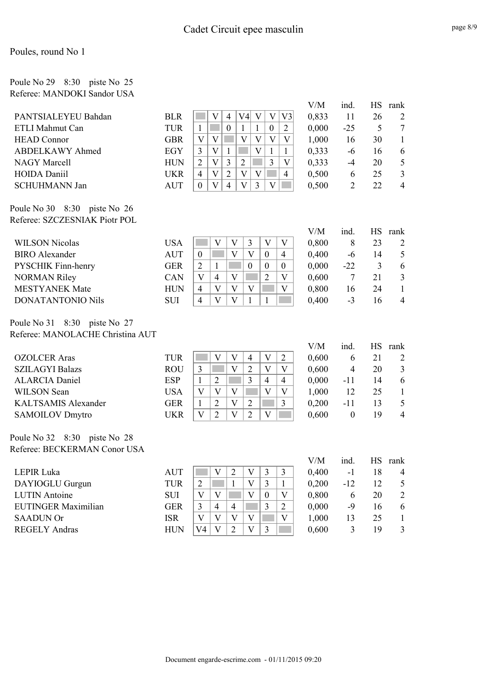### Poule No 29 8:30 piste No 25 Referee: MANDOKI Sandor USA

|                                  |            |                                                                                                               | V/M   | ind.             | <b>HS</b> | rank           |
|----------------------------------|------------|---------------------------------------------------------------------------------------------------------------|-------|------------------|-----------|----------------|
| PANTSIALEYEU Bahdan              | <b>BLR</b> | V<br>$\mathbf V$<br>V4<br>V<br>V <sub>3</sub><br>$\overline{4}$                                               | 0,833 | 11               | 26        | 2              |
| ETLI Mahmut Can                  | <b>TUR</b> | $\boldsymbol{0}$<br>$\mathbf{1}$<br>$\mathbf{1}$<br>$\overline{2}$<br>1<br>$\boldsymbol{0}$                   | 0,000 | $-25$            | 5         | 7              |
| <b>HEAD Connor</b>               | <b>GBR</b> | $\overline{\mathsf{V}}$<br>$\mathbf V$<br>V<br>V<br>$\mathbf{V}$<br>V                                         | 1,000 | 16               | 30        | $\mathbf{1}$   |
| <b>ABDELKAWY Ahmed</b>           | <b>EGY</b> | $\overline{\mathsf{V}}$<br>$\overline{V}$<br>3<br>$\mathbf{1}$<br>$\mathbf{1}$<br>1                           | 0,333 | $-6$             | 16        | 6              |
| <b>NAGY Marcell</b>              | <b>HUN</b> | $\mathbf V$<br>$\overline{2}$<br>$\overline{c}$<br>3<br>3<br>$\mathbf V$                                      | 0,333 | $-4$             | 20        | 5              |
| <b>HOIDA Daniil</b>              | <b>UKR</b> | $\mathbf V$<br>$\overline{2}$<br>V<br>$\mathbf V$<br>$\overline{4}$<br>$\overline{4}$                         | 0,500 | 6                | 25        | 3              |
| <b>SCHUHMANN Jan</b>             | <b>AUT</b> | $\mathbf V$<br>V<br>$\overline{3}$<br>V<br>$\mathbf{0}$<br>$\overline{4}$                                     | 0,500 | $\overline{2}$   | 22        | $\overline{4}$ |
| Poule No 30 8:30 piste No 26     |            |                                                                                                               |       |                  |           |                |
| Referee: SZCZESNIAK Piotr POL    |            |                                                                                                               |       |                  |           |                |
|                                  |            |                                                                                                               | V/M   | ind.             | <b>HS</b> | rank           |
| <b>WILSON Nicolas</b>            | <b>USA</b> | $\mathfrak{Z}$<br>$\rm V$<br>V<br>$\mathbf V$<br>$\mathbf V$                                                  | 0,800 | 8                | 23        | 2              |
| <b>BIRO</b> Alexander            | <b>AUT</b> | V<br>V<br>$\boldsymbol{0}$<br>$\boldsymbol{0}$<br>$\overline{4}$                                              | 0,400 | -6               | 14        | 5              |
| PYSCHIK Finn-henry               | <b>GER</b> | $\overline{2}$<br>$\mathbf{0}$<br>$\mathbf{1}$<br>$\boldsymbol{0}$<br>$\mathbf{0}$                            | 0,000 | $-22$            | 3         | 6              |
| <b>NORMAN Riley</b>              | CAN        | $\overline{2}$<br>$\mathbf{V}$<br>$\overline{4}$<br>V<br>V                                                    | 0,600 | $\overline{7}$   | 21        | 3              |
| <b>MESTYANEK Mate</b>            | <b>HUN</b> | $\mathbf{V}$<br>$\mathbf{V}$<br>V<br>$\mathbf{V}$<br>$\overline{4}$                                           | 0,800 | 16               | 24        | 1              |
| <b>DONATANTONIO Nils</b>         | <b>SUI</b> | V<br>V<br>$\overline{4}$<br>$\mathbf{1}$<br>$\mathbf{1}$                                                      | 0,400 | $-3$             | 16        | $\overline{4}$ |
| Poule No 31 8:30 piste No 27     |            |                                                                                                               |       |                  |           |                |
| Referee: MANOLACHE Christina AUT |            |                                                                                                               |       |                  |           |                |
|                                  |            |                                                                                                               | V/M   | ind.             | <b>HS</b> | rank           |
| <b>OZOLCER Aras</b>              | <b>TUR</b> | $\mathbf{V}$<br>V<br>$\mathbf V$<br>$\overline{2}$<br>$\overline{4}$                                          | 0,600 | 6                | 21        | $\overline{2}$ |
| <b>SZILAGYI Balazs</b>           | <b>ROU</b> | $\overline{\mathsf{V}}$<br>$\overline{2}$<br>$\overline{\mathsf{V}}$<br>3<br>$\mathbf{V}$                     | 0,600 | $\overline{4}$   | 20        | 3              |
| <b>ALARCIA Daniel</b>            | <b>ESP</b> | $\overline{3}$<br>$\mathbf{1}$<br>$\overline{2}$<br>$\overline{4}$<br>$\overline{4}$                          | 0,000 | $-11$            | 14        | 6              |
| <b>WILSON</b> Sean               | <b>USA</b> | $\overline{\mathsf{V}}$<br>$\overline{\mathsf{V}}$<br>$\overline{\mathsf{V}}$<br>V<br>$\overline{\mathsf{V}}$ | 1,000 | 12               | 25        | $\mathbf{1}$   |
| <b>KALTSAMIS Alexander</b>       | <b>GER</b> | $\overline{2}$<br>V<br>$\overline{2}$<br>$\overline{3}$<br>$\mathbf{1}$                                       | 0,200 | $-11$            | 13        | 5              |
| <b>SAMOILOV Dmytro</b>           | <b>UKR</b> | $\mathbf{V}$<br>$\overline{2}$<br>$\mathbf{V}$<br>$\overline{2}$<br>$\mathbf V$                               | 0,600 | $\boldsymbol{0}$ | 19        | $\overline{4}$ |
| Poule No 32 8:30 piste No 28     |            |                                                                                                               |       |                  |           |                |
| Referee: BECKERMAN Conor USA     |            |                                                                                                               |       |                  |           |                |
|                                  |            |                                                                                                               | V/M   | ind.             |           | HS rank        |
| <b>LEPIR Luka</b>                | <b>AUT</b> | V<br>V<br>3<br>$\mathfrak{Z}$<br>$\overline{2}$                                                               | 0,400 | $-1$             | 18        | 4              |
| DAYIOGLU Gurgun                  | <b>TUR</b> | $\overline{2}$<br>V<br>3<br>1<br>1                                                                            | 0,200 | $-12$            | 12        | 5              |
| <b>LUTIN</b> Antoine             | SUI        | $\mathbf{V}$<br>$\mathbf{V}$<br>V<br>$\boldsymbol{0}$<br>$\mathbf{V}$                                         | 0,800 | 6                | 20        | $\overline{2}$ |
| <b>EUTINGER Maximilian</b>       | <b>GER</b> | 3<br>3<br>$\overline{2}$<br>$\overline{4}$<br>$\overline{4}$                                                  | 0,000 | $-9$             | 16        | 6              |
| <b>SAADUN Or</b>                 | <b>ISR</b> | $\mathbf{V}$<br>V<br>$\mathbf{V}$<br>$\mathbf{V}$<br>V                                                        | 1,000 | 13               | 25        | 1              |
| <b>REGELY Andras</b>             | <b>HUN</b> | $\overline{\mathsf{V}}$<br>V <sub>4</sub><br>V<br>$\overline{2}$<br>$\overline{3}$                            | 0,600 | $\mathfrak{Z}$   | 19        | 3              |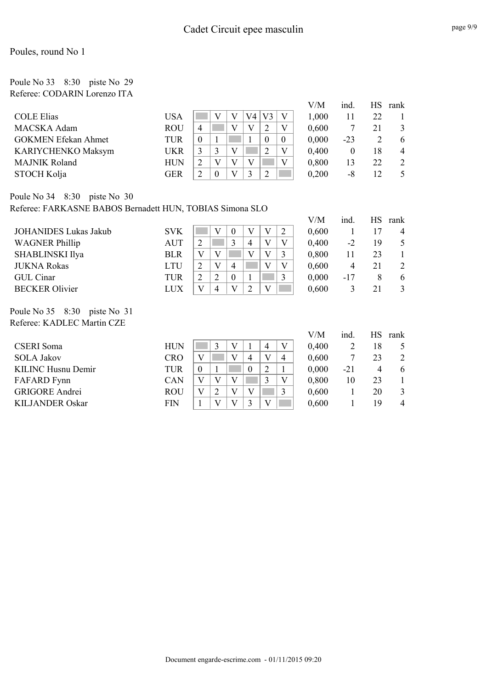#### Poule No 33 8:30 piste No 29 Referee: CODARIN Lorenzo ITA

|                            |            |   |          |     |          | V/M   | ind.     | <b>HS</b> | rank |
|----------------------------|------------|---|----------|-----|----------|-------|----------|-----------|------|
| <b>COLE Elias</b>          | <b>USA</b> |   |          | V4. |          | 1,000 | 11       | 22        |      |
| MACSKA Adam                | <b>ROU</b> | 4 |          |     |          | 0,600 |          | 21        |      |
| <b>GOKMEN Efekan Ahmet</b> | TUR        |   |          |     | $\theta$ | 0,000 | $-23$    |           | h    |
| <b>KARIYCHENKO Maksym</b>  | <b>UKR</b> |   | 3        |     |          | 0,400 | $\theta$ | 18        |      |
| <b>MAJNIK Roland</b>       | HUN        |   |          |     |          | 0,800 | 13       | 22        |      |
| STOCH Kolja                | <b>GER</b> |   | $\theta$ |     |          | 0,200 | -8       | 12        |      |

Poule No 34 8:30 piste No 30 Referee: FARKASNE BABOS Bernadett HUN, TOBIAS Simona SLO

| <b>JOHANIDES Lukas Jakub</b> | <b>SVK</b> |        |   | $\theta$         |  |              | 0,600 |       |    | 4 |
|------------------------------|------------|--------|---|------------------|--|--------------|-------|-------|----|---|
| <b>WAGNER Phillip</b>        | <b>AUT</b> | ◠<br>∠ |   |                  |  | V            | 0,400 | -2    | 19 | 5 |
| SHABLINSKI Ilya              | <b>BLR</b> |        |   |                  |  | $\mathbf{R}$ | 0,800 |       | 23 |   |
| <b>JUKNA Rokas</b>           | LTU        | ↑      |   | $\overline{4}$   |  | V            | 0.600 | 4     | 21 |   |
| <b>GUL</b> Cinar             | TUR        | ◠      |   | $\boldsymbol{0}$ |  |              | 0,000 | $-17$ |    | 6 |
| <b>BECKER Olivier</b>        | LUX        |        | 4 |                  |  |              | 0,600 |       | 21 | 3 |
|                              |            |        |   |                  |  |              |       |       |    |   |

Poule No 35 8:30 piste No 31 Referee: KADLEC Martin CZE

| <b>CSERI</b> Soma         | <b>HUN</b> |                  |  |   |   | $\mathbf{V}$ | 0,400 |       | 18 |   |
|---------------------------|------------|------------------|--|---|---|--------------|-------|-------|----|---|
| <b>SOLA Jakov</b>         | <b>CRO</b> | $\mathbf{V}$     |  | 4 |   | 4            | 0,600 |       | 23 |   |
| <b>KILINC Husnu Demir</b> | TUR        | $\boldsymbol{0}$ |  |   | ∸ |              | 0,000 | $-21$ |    |   |
| FAFARD Fynn               | <b>CAN</b> |                  |  |   |   |              | 0,800 | 10    | 23 |   |
| <b>GRIGORE</b> Andrei     | <b>ROU</b> |                  |  |   |   | ◠            | 0,600 |       | 20 |   |
| <b>KILJANDER Oskar</b>    | <b>FIN</b> |                  |  |   |   |              | 0.600 |       | 19 | 4 |

| V/M   | ind.  | НS | rank |
|-------|-------|----|------|
| 0,600 | 1     | 17 | 4    |
| 0,400 | $-2$  | 19 | 5    |
| 0,800 | 11    | 23 | 1    |
| 0,600 | 4     | 21 | 2    |
| 0,000 | $-17$ | 8  | 6    |
| 0,600 | 3     | 21 | 3    |
|       |       |    |      |

| V/M   | ind.  | <b>HS</b> | rank |
|-------|-------|-----------|------|
| 0,400 | 2     | 18        | 5    |
| 0,600 | 7     | 23        | 2    |
| 0,000 | $-21$ | 4         | 6    |
| 0,800 | 10    | 23        | 1    |
| 0,600 | 1     | 20        | 3    |
| 0,600 | 1     | 19        | 4    |
|       |       |           |      |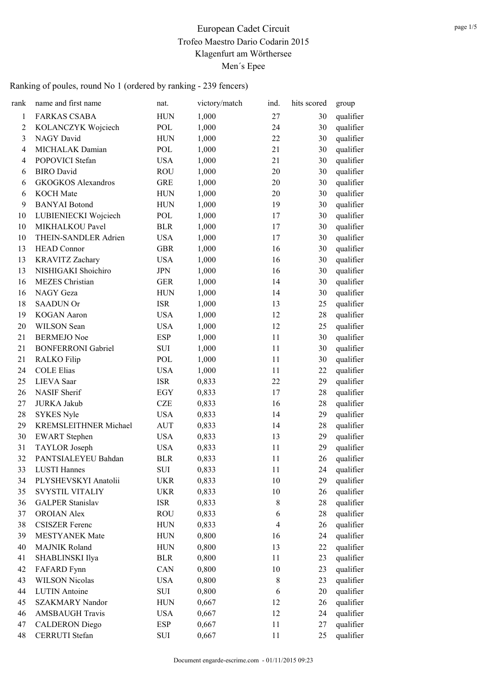| rank           | name and first name          | nat.       | victory/match | ind.           | hits scored | group     |
|----------------|------------------------------|------------|---------------|----------------|-------------|-----------|
| $\mathbf{1}$   | <b>FARKAS CSABA</b>          | <b>HUN</b> | 1,000         | 27             | 30          | qualifier |
| $\overline{2}$ | KOLANCZYK Wojciech           | POL        | 1,000         | 24             | 30          | qualifier |
| 3              | NAGY David                   | <b>HUN</b> | 1,000         | 22             | 30          | qualifier |
| $\overline{4}$ | MICHALAK Damian              | POL        | 1,000         | 21             | 30          | qualifier |
| $\overline{4}$ | POPOVICI Stefan              | <b>USA</b> | 1,000         | 21             | 30          | qualifier |
| 6              | <b>BIRO</b> David            | <b>ROU</b> | 1,000         | 20             | 30          | qualifier |
| 6              | <b>GKOGKOS</b> Alexandros    | <b>GRE</b> | 1,000         | 20             | 30          | qualifier |
| 6              | <b>KOCH</b> Mate             | <b>HUN</b> | 1,000         | 20             | 30          | qualifier |
| 9              | <b>BANYAI</b> Botond         | <b>HUN</b> | 1,000         | 19             | 30          | qualifier |
| 10             | LUBIENIECKI Wojciech         | POL        | 1,000         | 17             | 30          | qualifier |
| 10             | MIKHALKOU Pavel              | <b>BLR</b> | 1,000         | 17             | 30          | qualifier |
| 10             | THEIN-SANDLER Adrien         | <b>USA</b> | 1,000         | 17             | 30          | qualifier |
| 13             | <b>HEAD Connor</b>           | <b>GBR</b> | 1,000         | 16             | 30          | qualifier |
| 13             | <b>KRAVITZ Zachary</b>       | <b>USA</b> | 1,000         | 16             | 30          | qualifier |
| 13             | NISHIGAKI Shoichiro          | <b>JPN</b> | 1,000         | 16             | 30          | qualifier |
| 16             | <b>MEZES</b> Christian       | <b>GER</b> | 1,000         | 14             | 30          | qualifier |
| 16             | NAGY Geza                    | <b>HUN</b> | 1,000         | 14             | 30          | qualifier |
| 18             | <b>SAADUN Or</b>             | <b>ISR</b> | 1,000         | 13             | 25          | qualifier |
| 19             | <b>KOGAN</b> Aaron           | <b>USA</b> | 1,000         | 12             | 28          | qualifier |
| 20             | WILSON Sean                  | <b>USA</b> | 1,000         | 12             | 25          | qualifier |
| 21             | <b>BERMEJO Noe</b>           | <b>ESP</b> | 1,000         | 11             | 30          | qualifier |
| 21             | <b>BONFERRONI Gabriel</b>    | <b>SUI</b> | 1,000         | 11             | 30          | qualifier |
| 21             | <b>RALKO</b> Filip           | POL        | 1,000         | 11             | 30          | qualifier |
| 24             | <b>COLE Elias</b>            | <b>USA</b> | 1,000         | 11             | 22          | qualifier |
| 25             | <b>LIEVA</b> Saar            | <b>ISR</b> | 0,833         | 22             | 29          | qualifier |
| 26             | <b>NASIF Sherif</b>          | EGY        | 0,833         | 17             | 28          | qualifier |
| 27             | <b>JURKA Jakub</b>           | <b>CZE</b> | 0,833         | 16             | 28          | qualifier |
| 28             | <b>SYKES Nyle</b>            | <b>USA</b> | 0,833         | 14             | 29          | qualifier |
| 29             | <b>KREMSLEITHNER Michael</b> | <b>AUT</b> | 0,833         | 14             | 28          | qualifier |
| 30             | <b>EWART</b> Stephen         | <b>USA</b> | 0,833         | 13             | 29          | qualifier |
| 31             | TAYLOR Joseph                | <b>USA</b> | 0,833         | 11             | 29          | qualifier |
| 32             | PANTSIALEYEU Bahdan          | <b>BLR</b> | 0,833         | 11             | 26          | qualifier |
| 33             | <b>LUSTI Hannes</b>          | SUI        | 0,833         | 11             | 24          | qualifier |
| 34             | PLYSHEVSKYI Anatolii         | <b>UKR</b> | 0,833         | 10             | 29          | qualifier |
| 35             | SVYSTIL VITALIY              | <b>UKR</b> | 0,833         | 10             | 26          | qualifier |
| 36             | <b>GALPER Stanislav</b>      | <b>ISR</b> | 0,833         | $\,$ 8 $\,$    | 28          | qualifier |
| 37             | <b>OROIAN Alex</b>           | <b>ROU</b> | 0,833         | 6              | 28          | qualifier |
| 38             | <b>CSISZER</b> Ferenc        | <b>HUN</b> | 0,833         | $\overline{4}$ | 26          | qualifier |
| 39             | <b>MESTYANEK Mate</b>        | <b>HUN</b> | 0,800         | 16             | 24          | qualifier |
| 40             | <b>MAJNIK Roland</b>         | <b>HUN</b> | 0,800         | 13             | 22          | qualifier |
| 41             | SHABLINSKI Ilya              | <b>BLR</b> | 0,800         | 11             | 23          | qualifier |
| 42             | FAFARD Fynn                  | CAN        | 0,800         | 10             | 23          | qualifier |
| 43             | <b>WILSON Nicolas</b>        | <b>USA</b> | 0,800         | $\,$ $\,$      | 23          | qualifier |
| 44             | <b>LUTIN</b> Antoine         | SUI        | 0,800         | 6              | 20          | qualifier |
| 45             | <b>SZAKMARY Nandor</b>       | <b>HUN</b> | 0,667         | 12             | 26          | qualifier |
| 46             | <b>AMSBAUGH Travis</b>       | <b>USA</b> | 0,667         | 12             | 24          | qualifier |
| 47             | <b>CALDERON Diego</b>        | <b>ESP</b> | 0,667         | 11             | 27          | qualifier |
| 48             | CERRUTI Stefan               | SUI        | 0,667         | 11             | 25          | qualifier |
|                |                              |            |               |                |             |           |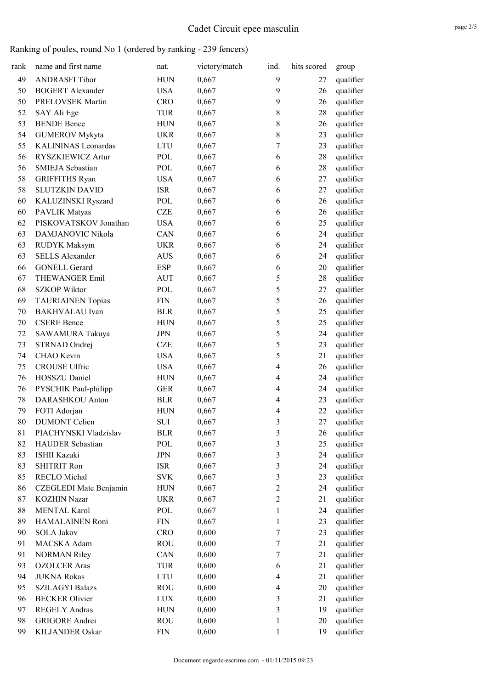| rank | name and first name        | nat.       | victory/match | ind.                    | hits scored | group     |
|------|----------------------------|------------|---------------|-------------------------|-------------|-----------|
| 49   | <b>ANDRASFI Tibor</b>      | <b>HUN</b> | 0,667         | 9                       | 27          | qualifier |
| 50   | <b>BOGERT Alexander</b>    | <b>USA</b> | 0,667         | 9                       | 26          | qualifier |
| 50   | PRELOVSEK Martin           | <b>CRO</b> | 0,667         | 9                       | 26          | qualifier |
| 52   | SAY Ali Ege                | <b>TUR</b> | 0,667         | $8\,$                   | 28          | qualifier |
| 53   | <b>BENDE Bence</b>         | <b>HUN</b> | 0,667         | $\,8\,$                 | 26          | qualifier |
| 54   | <b>GUMEROV Mykyta</b>      | <b>UKR</b> | 0,667         | $\,8\,$                 | 23          | qualifier |
| 55   | <b>KALININAS Leonardas</b> | <b>LTU</b> | 0,667         | $\boldsymbol{7}$        | 23          | qualifier |
| 56   | RYSZKIEWICZ Artur          | POL        | 0,667         | 6                       | 28          | qualifier |
| 56   | SMIEJA Sebastian           | POL        | 0,667         | 6                       | 28          | qualifier |
| 58   | <b>GRIFFITHS Ryan</b>      | <b>USA</b> | 0,667         | 6                       | 27          | qualifier |
| 58   | <b>SLUTZKIN DAVID</b>      | ISR        | 0,667         | 6                       | 27          | qualifier |
| 60   | KALUZINSKI Ryszard         | POL        | 0,667         | 6                       | 26          | qualifier |
| 60   | <b>PAVLIK Matyas</b>       | <b>CZE</b> | 0,667         | 6                       | 26          | qualifier |
| 62   | PISKOVATSKOV Jonathan      | <b>USA</b> | 0,667         | 6                       | 25          | qualifier |
| 63   | DAMJANOVIC Nikola          | CAN        | 0,667         | 6                       | 24          | qualifier |
| 63   | RUDYK Maksym               | <b>UKR</b> | 0,667         | 6                       | 24          | qualifier |
| 63   | <b>SELLS Alexander</b>     | <b>AUS</b> | 0,667         | 6                       | 24          | qualifier |
| 66   | <b>GONELL Gerard</b>       | <b>ESP</b> | 0,667         | 6                       | 20          | qualifier |
| 67   | THEWANGER Emil             | <b>AUT</b> | 0,667         | 5                       | 28          | qualifier |
| 68   | <b>SZKOP Wiktor</b>        | POL        | 0,667         | 5                       | 27          | qualifier |
| 69   | <b>TAURIAINEN Topias</b>   | FIN        | 0,667         | 5                       | 26          | qualifier |
| 70   | <b>BAKHVALAU</b> Ivan      | <b>BLR</b> | 0,667         | 5                       | 25          | qualifier |
| 70   | <b>CSERE Bence</b>         | <b>HUN</b> | 0,667         | 5                       | 25          | qualifier |
| 72   | SAWAMURA Takuya            | <b>JPN</b> | 0,667         | 5                       | 24          | qualifier |
| 73   | STRNAD Ondrej              | <b>CZE</b> | 0,667         | 5                       | 23          | qualifier |
| 74   | CHAO Kevin                 | <b>USA</b> | 0,667         | 5                       | 21          | qualifier |
| 75   | <b>CROUSE Ulfric</b>       | <b>USA</b> | 0,667         | 4                       | 26          | qualifier |
| 76   | HOSSZU Daniel              | <b>HUN</b> | 0,667         | 4                       | 24          | qualifier |
| 76   | PYSCHIK Paul-philipp       | <b>GER</b> | 0,667         | 4                       | 24          | qualifier |
| 78   | DARASHKOU Anton            | <b>BLR</b> | 0,667         | 4                       | 23          | qualifier |
| 79   | FOTI Adorjan               | <b>HUN</b> | 0,667         | 4                       | 22          | qualifier |
| 80   | <b>DUMONT Celien</b>       | <b>SUI</b> | 0,667         | 3                       | 27          | qualifier |
| 81   | PIACHYNSKI Vladzislav      | <b>BLR</b> | 0,667         | $\mathfrak{Z}$          | 26          | qualifier |
| 82   | <b>HAUDER Sebastian</b>    | POL        | 0,667         | $\mathfrak{Z}$          | 25          | qualifier |
| 83   | ISHII Kazuki               | JPN        | 0,667         | $\overline{\mathbf{3}}$ | 24          | qualifier |
| 83   | <b>SHITRIT Ron</b>         | ISR        | 0,667         | $\mathfrak{Z}$          | 24          | qualifier |
| 85   | <b>RECLO Michal</b>        | <b>SVK</b> | 0,667         | $\mathfrak{Z}$          | 23          | qualifier |
| 86   | CZEGLEDI Mate Benjamin     | <b>HUN</b> | 0,667         | $\sqrt{2}$              | 24          | qualifier |
| 87   | <b>KOZHIN Nazar</b>        | <b>UKR</b> | 0,667         | $\overline{2}$          | 21          | qualifier |
| 88   | <b>MENTAL Karol</b>        | POL        | 0,667         | 1                       | 24          | qualifier |
| 89   | HAMALAINEN Roni            | FIN        | 0,667         | $\mathbf{1}$            | 23          | qualifier |
| 90   | <b>SOLA Jakov</b>          | <b>CRO</b> | 0,600         | $\boldsymbol{7}$        | 23          | qualifier |
| 91   | MACSKA Adam                | <b>ROU</b> | 0,600         | 7                       | 21          | qualifier |
| 91   | <b>NORMAN Riley</b>        | CAN        | 0,600         | 7                       | 21          | qualifier |
| 93   | <b>OZOLCER</b> Aras        | TUR        | 0,600         | 6                       | 21          | qualifier |
| 94   | <b>JUKNA Rokas</b>         | <b>LTU</b> | 0,600         | $\overline{4}$          | 21          | qualifier |
| 95   | <b>SZILAGYI Balazs</b>     | <b>ROU</b> | 0,600         | $\overline{4}$          | 20          | qualifier |
| 96   | <b>BECKER</b> Olivier      | <b>LUX</b> | 0,600         | $\mathfrak{Z}$          | 21          | qualifier |
| 97   | <b>REGELY Andras</b>       | <b>HUN</b> | 0,600         | $\overline{\mathbf{3}}$ | 19          | qualifier |
| 98   | <b>GRIGORE</b> Andrei      | <b>ROU</b> | 0,600         | 1                       | 20          | qualifier |
| 99   | <b>KILJANDER Oskar</b>     | FIN        | 0,600         | $\mathbf{1}$            | 19          | qualifier |
|      |                            |            |               |                         |             |           |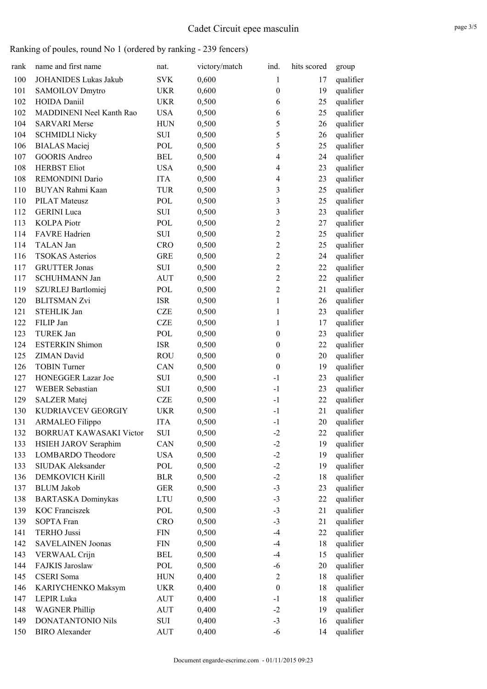| rank | name and first name          | nat.       | victory/match | ind.                    | hits scored | group                  |
|------|------------------------------|------------|---------------|-------------------------|-------------|------------------------|
| 100  | <b>JOHANIDES Lukas Jakub</b> | <b>SVK</b> | 0,600         | $\mathbf{1}$            | 17          | qualifier              |
| 101  | SAMOILOV Dmytro              | <b>UKR</b> | 0,600         | $\boldsymbol{0}$        | 19          | qualifier              |
| 102  | <b>HOIDA Daniil</b>          | <b>UKR</b> | 0,500         | 6                       | 25          | qualifier              |
| 102  | MADDINENI Neel Kanth Rao     | <b>USA</b> | 0,500         | 6                       | 25          | qualifier              |
| 104  | <b>SARVARI</b> Merse         | <b>HUN</b> | 0,500         | 5                       | 26          | qualifier              |
| 104  | <b>SCHMIDLI Nicky</b>        | SUI        | 0,500         | 5                       | 26          | qualifier              |
| 106  | <b>BIALAS</b> Maciej         | POL        | 0,500         | 5                       | 25          | qualifier              |
| 107  | <b>GOORIS Andreo</b>         | <b>BEL</b> | 0,500         | $\overline{4}$          | 24          | qualifier              |
| 108  | <b>HERBST Eliot</b>          | <b>USA</b> | 0,500         | $\overline{4}$          | 23          | qualifier              |
| 108  | <b>REMONDINI Dario</b>       | <b>ITA</b> | 0,500         | $\overline{4}$          | 23          | qualifier              |
| 110  | BUYAN Rahmi Kaan             | <b>TUR</b> | 0,500         | $\mathfrak{Z}$          | 25          | qualifier              |
| 110  | PILAT Mateusz                | POL        | 0,500         | $\mathfrak{Z}$          | 25          | qualifier              |
| 112  | <b>GERINI</b> Luca           | SUI        | 0,500         | $\overline{\mathbf{3}}$ | 23          | qualifier              |
| 113  | <b>KOLPA Piotr</b>           | POL        | 0,500         | $\overline{2}$          | 27          | qualifier              |
| 114  | <b>FAVRE</b> Hadrien         | SUI        | 0,500         | $\overline{c}$          | 25          | qualifier              |
| 114  | TALAN Jan                    | <b>CRO</b> | 0,500         | $\sqrt{2}$              | 25          | qualifier              |
| 116  | <b>TSOKAS</b> Asterios       | <b>GRE</b> | 0,500         | $\overline{2}$          | 24          | qualifier              |
| 117  | <b>GRUTTER Jonas</b>         | SUI        | 0,500         | $\sqrt{2}$              | 22          | qualifier              |
| 117  | <b>SCHUHMANN Jan</b>         | <b>AUT</b> | 0,500         | $\overline{2}$          | 22          | qualifier              |
| 119  | SZURLEJ Bartlomiej           | POL        | 0,500         | $\sqrt{2}$              | 21          | qualifier              |
| 120  | <b>BLITSMAN Zvi</b>          | <b>ISR</b> | 0,500         | 1                       | 26          | qualifier              |
| 121  | STEHLIK Jan                  | <b>CZE</b> | 0,500         | 1                       | 23          | qualifier              |
| 122  | FILIP Jan                    | <b>CZE</b> | 0,500         | 1                       | 17          | qualifier              |
| 123  | TUREK Jan                    | POL        | 0,500         | $\boldsymbol{0}$        | 23          | qualifier              |
| 124  | <b>ESTERKIN Shimon</b>       | <b>ISR</b> | 0,500         | $\boldsymbol{0}$        | 22          | qualifier              |
| 125  | <b>ZIMAN</b> David           | <b>ROU</b> | 0,500         | $\boldsymbol{0}$        | 20          | qualifier              |
| 126  | <b>TOBIN Turner</b>          | CAN        | 0,500         | $\boldsymbol{0}$        | 19          | qualifier              |
| 127  | HONEGGER Lazar Joe           | SUI        | 0,500         | $-1$                    | 23          | qualifier              |
| 127  | <b>WEBER Sebastian</b>       | SUI        | 0,500         | $-1$                    | 23          | qualifier              |
| 129  | <b>SALZER Matej</b>          | <b>CZE</b> | 0,500         | $-1$                    | 22          | qualifier              |
| 130  | KUDRIAVCEV GEORGIY           | <b>UKR</b> | 0,500         | $-1$                    | 21          | qualifier              |
| 131  | <b>ARMALEO Filippo</b>       | <b>ITA</b> | 0,500         | $-1$                    | 20          | qualifier              |
| 132  | BORRUAT KAWASAKI Victor      | SUI        | 0,500         | $-2$                    | 22          | qualifier              |
| 133  | HSIEH JAROV Seraphim         | CAN        | 0,500         | $-2$                    | 19          | qualifier              |
| 133  | <b>LOMBARDO</b> Theodore     | <b>USA</b> | 0,500         | $-2$                    | 19          | qualifier              |
| 133  | <b>SIUDAK Aleksander</b>     | POL        | 0,500         | $-2$                    | 19          | qualifier              |
| 136  | DEMKOVICH Kirill             | <b>BLR</b> | 0,500         | $-2$                    | 18          | qualifier              |
| 137  | <b>BLUM</b> Jakob            | <b>GER</b> | 0,500         | $-3$                    | 23          | qualifier              |
| 138  | <b>BARTASKA Dominykas</b>    | LTU        | 0,500         | $-3$                    | 22          | qualifier              |
| 139  | <b>KOC Franciszek</b>        | POL        | 0,500         | $-3$                    | 21          | qualifier              |
| 139  | <b>SOPTA Fran</b>            | <b>CRO</b> | 0,500         | $-3$                    | 21          | qualifier              |
| 141  | <b>TERHO Jussi</b>           | <b>FIN</b> | 0,500         | $-4$                    | 22          | qualifier              |
| 142  | <b>SAVELAINEN Joonas</b>     | <b>FIN</b> | 0,500         | $-4$                    | 18          | qualifier              |
| 143  | <b>VERWAAL Crijn</b>         | <b>BEL</b> | 0,500         | $-4$                    | 15          | qualifier              |
| 144  | FAJKIS Jaroslaw              | POL        | 0,500         | $-6$                    | 20          | qualifier              |
| 145  | CSERI Soma                   | <b>HUN</b> | 0,400         | $\overline{2}$          | 18          |                        |
| 146  | KARIYCHENKO Maksym           | <b>UKR</b> | 0,400         | $\boldsymbol{0}$        | 18          | qualifier<br>qualifier |
| 147  | LEPIR Luka                   | AUT        | 0,400         | $-1$                    | 18          | qualifier              |
| 148  | <b>WAGNER Phillip</b>        | <b>AUT</b> | 0,400         | $-2$                    | 19          | qualifier              |
| 149  | DONATANTONIO Nils            | SUI        | 0,400         | $-3$                    | 16          | qualifier              |
| 150  | <b>BIRO</b> Alexander        | AUT        | 0,400         | $-6$                    | 14          | qualifier              |
|      |                              |            |               |                         |             |                        |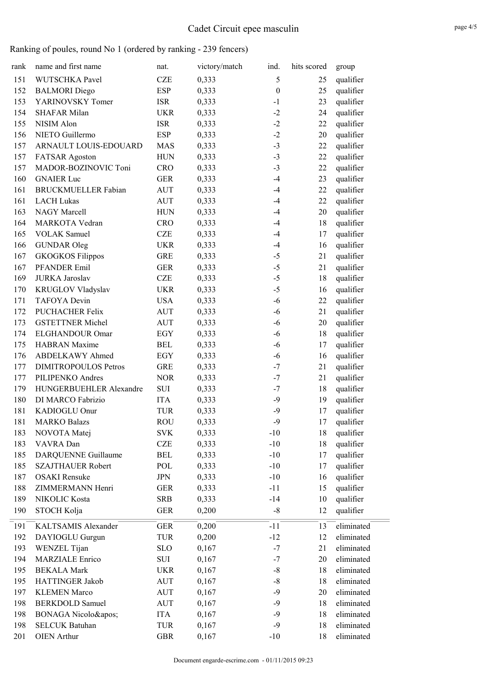| rank | name and first name                              | nat.                     | victory/match  | ind.             | hits scored | group      |
|------|--------------------------------------------------|--------------------------|----------------|------------------|-------------|------------|
| 151  | WUTSCHKA Pavel                                   | <b>CZE</b>               | 0,333          | 5                | 25          | qualifier  |
| 152  | <b>BALMORI</b> Diego                             | <b>ESP</b>               | 0,333          | $\boldsymbol{0}$ | 25          | qualifier  |
| 153  | YARINOVSKY Tomer                                 | <b>ISR</b>               | 0,333          | $-1$             | 23          | qualifier  |
| 154  | <b>SHAFAR Milan</b>                              | <b>UKR</b>               | 0,333          | $-2$             | 24          | qualifier  |
| 155  | NISIM Alon                                       | <b>ISR</b>               | 0,333          | $-2$             | 22          | qualifier  |
| 156  | NIETO Guillermo                                  | <b>ESP</b>               | 0,333          | $-2$             | 20          | qualifier  |
| 157  | ARNAULT LOUIS-EDOUARD                            | <b>MAS</b>               | 0,333          | $-3$             | 22          | qualifier  |
| 157  | <b>FATSAR Agoston</b>                            | <b>HUN</b>               | 0,333          | $-3$             | 22          | qualifier  |
| 157  | MADOR-BOZINOVIC Toni                             | <b>CRO</b>               | 0,333          | $-3$             | 22          | qualifier  |
| 160  | <b>GNAIER Luc</b>                                | <b>GER</b>               | 0,333          | $-4$             | 23          | qualifier  |
| 161  | <b>BRUCKMUELLER Fabian</b>                       | <b>AUT</b>               | 0,333          | $-4$             | 22          | qualifier  |
| 161  | <b>LACH Lukas</b>                                | <b>AUT</b>               | 0,333          | $-4$             | 22          | qualifier  |
| 163  | NAGY Marcell                                     | <b>HUN</b>               | 0,333          | $-4$             | 20          | qualifier  |
| 164  | MARKOTA Vedran                                   | <b>CRO</b>               | 0,333          | $-4$             | 18          | qualifier  |
| 165  | <b>VOLAK Samuel</b>                              | <b>CZE</b>               | 0,333          | $-4$             | 17          | qualifier  |
| 166  | <b>GUNDAR Oleg</b>                               | <b>UKR</b>               | 0,333          | $-4$             | 16          | qualifier  |
| 167  | <b>GKOGKOS Filippos</b>                          | <b>GRE</b>               | 0,333          | $-5$             | 21          | qualifier  |
| 167  | PFANDER Emil                                     | <b>GER</b>               | 0,333          | $-5$             | 21          | qualifier  |
| 169  | <b>JURKA</b> Jaroslav                            | <b>CZE</b>               | 0,333          | $-5$             | 18          | qualifier  |
| 170  | KRUGLOV Vladyslav                                | <b>UKR</b>               | 0,333          | $-5$             | 16          | qualifier  |
| 171  | TAFOYA Devin                                     | <b>USA</b>               | 0,333          | $-6$             | 22          | qualifier  |
| 172  | PUCHACHER Felix                                  | <b>AUT</b>               | 0,333          | -6               | 21          | qualifier  |
| 173  | <b>GSTETTNER Michel</b>                          | <b>AUT</b>               | 0,333          | $-6$             | 20          | qualifier  |
| 174  | ELGHANDOUR Omar                                  | EGY                      | 0,333          | -6               | 18          | qualifier  |
| 175  | <b>HABRAN</b> Maxime                             | <b>BEL</b>               | 0,333          | $-6$             | 17          | qualifier  |
| 176  | <b>ABDELKAWY Ahmed</b>                           | EGY                      | 0,333          | -6               | 16          | qualifier  |
| 177  | <b>DIMITROPOULOS Petros</b>                      | <b>GRE</b>               | 0,333          | $-7$             | 21          | qualifier  |
| 177  | PILIPENKO Andres                                 | <b>NOR</b>               | 0,333          | $-7$             | 21          | qualifier  |
| 179  | HUNGERBUEHLER Alexandre                          | <b>SUI</b>               | 0,333          | $-7$             | 18          | qualifier  |
| 180  | DI MARCO Fabrizio                                | <b>ITA</b>               | 0,333          | $-9$             | 19          | qualifier  |
| 181  | KADIOGLU Onur                                    | <b>TUR</b>               | 0,333          | $-9$             | 17          | qualifier  |
| 181  | <b>MARKO Balazs</b>                              | <b>ROU</b>               | 0,333          | $-9$             | 17          | qualifier  |
| 183  | NOVOTA Matej                                     | <b>SVK</b>               | 0,333          | $-10$            | 18          | qualifier  |
| 183  | VAVRA Dan                                        | <b>CZE</b>               |                | $-10$            |             | qualifier  |
| 185  | DARQUENNE Guillaume                              | <b>BEL</b>               | 0,333<br>0,333 | $-10$            | 18<br>17    | qualifier  |
|      |                                                  |                          |                |                  |             |            |
| 185  | <b>SZAJTHAUER Robert</b><br><b>OSAKI</b> Rensuke | POL                      | 0,333          | $-10$<br>$-10$   | 17          | qualifier  |
| 187  |                                                  | <b>JPN</b>               | 0,333          |                  | 16          | qualifier  |
| 188  | ZIMMERMANN Henri                                 | <b>GER</b>               | 0,333          | $-11$            | 15          | qualifier  |
| 189  | NIKOLIC Kosta                                    | <b>SRB</b><br><b>GER</b> | 0,333          | $-14$            | 10          | qualifier  |
| 190  | STOCH Kolja                                      |                          | 0,200          | $-8$             | 12          | qualifier  |
| 191  | KALTSAMIS Alexander                              | <b>GER</b>               | 0,200          | $-11$            | 13          | eliminated |
| 192  | DAYIOGLU Gurgun                                  | TUR                      | 0,200          | $-12$            | 12          | eliminated |
| 193  | WENZEL Tijan                                     | <b>SLO</b>               | 0,167          | $-7$             | 21          | eliminated |
| 194  | <b>MARZIALE Enrico</b>                           | SUI                      | 0,167          | $-7$             | 20          | eliminated |
| 195  | <b>BEKALA Mark</b>                               | <b>UKR</b>               | 0,167          | $\mbox{-}8$      | 18          | eliminated |
| 195  | HATTINGER Jakob                                  | <b>AUT</b>               | 0,167          | $-8$             | 18          | eliminated |
| 197  | <b>KLEMEN Marco</b>                              | <b>AUT</b>               | 0,167          | $-9$             | 20          | eliminated |
| 198  | <b>BERKDOLD</b> Samuel                           | <b>AUT</b>               | 0,167          | $-9$             | 18          | eliminated |
| 198  | BONAGA Nicolo'                                   | <b>ITA</b>               | 0,167          | $-9$             | 18          | eliminated |
| 198  | <b>SELCUK Batuhan</b>                            | TUR                      | 0,167          | $-9$             | 18          | eliminated |
| 201  | <b>OIEN</b> Arthur                               | <b>GBR</b>               | 0,167          | $-10$            | 18          | eliminated |
|      |                                                  |                          |                |                  |             |            |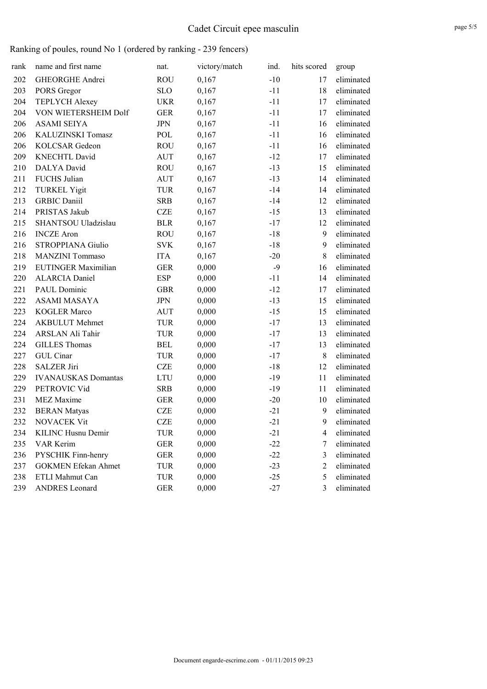| rank | name and first name        | nat.       | victory/match | ind.  | hits scored    | group      |
|------|----------------------------|------------|---------------|-------|----------------|------------|
| 202  | <b>GHEORGHE Andrei</b>     | <b>ROU</b> | 0,167         | $-10$ | 17             | eliminated |
| 203  | PORS Gregor                | <b>SLO</b> | 0,167         | $-11$ | 18             | eliminated |
| 204  | <b>TEPLYCH Alexey</b>      | <b>UKR</b> | 0,167         | $-11$ | 17             | eliminated |
| 204  | VON WIETERSHEIM Dolf       | <b>GER</b> | 0,167         | $-11$ | 17             | eliminated |
| 206  | <b>ASAMI SEIYA</b>         | <b>JPN</b> | 0,167         | $-11$ | 16             | eliminated |
| 206  | KALUZINSKI Tomasz          | POL        | 0,167         | $-11$ | 16             | eliminated |
| 206  | KOLCSAR Gedeon             | <b>ROU</b> | 0,167         | $-11$ | 16             | eliminated |
| 209  | <b>KNECHTL David</b>       | <b>AUT</b> | 0,167         | $-12$ | 17             | eliminated |
| 210  | DALYA David                | <b>ROU</b> | 0,167         | $-13$ | 15             | eliminated |
| 211  | <b>FUCHS</b> Julian        | <b>AUT</b> | 0,167         | $-13$ | 14             | eliminated |
| 212  | <b>TURKEL Yigit</b>        | <b>TUR</b> | 0,167         | $-14$ | 14             | eliminated |
| 213  | <b>GRBIC Daniil</b>        | <b>SRB</b> | 0,167         | $-14$ | 12             | eliminated |
| 214  | PRISTAS Jakub              | <b>CZE</b> | 0,167         | $-15$ | 13             | eliminated |
| 215  | SHANTSOU Uladzislau        | <b>BLR</b> | 0,167         | $-17$ | 12             | eliminated |
| 216  | <b>INCZE</b> Aron          | <b>ROU</b> | 0,167         | $-18$ | 9              | eliminated |
| 216  | STROPPIANA Giulio          | <b>SVK</b> | 0,167         | $-18$ | 9              | eliminated |
| 218  | <b>MANZINI</b> Tommaso     | <b>ITA</b> | 0,167         | $-20$ | 8              | eliminated |
| 219  | EUTINGER Maximilian        | <b>GER</b> | 0,000         | $-9$  | 16             | eliminated |
| 220  | <b>ALARCIA Daniel</b>      | ESP        | 0,000         | $-11$ | 14             | eliminated |
| 221  | PAUL Dominic               | <b>GBR</b> | 0,000         | $-12$ | 17             | eliminated |
| 222  | <b>ASAMI MASAYA</b>        | <b>JPN</b> | 0,000         | $-13$ | 15             | eliminated |
| 223  | <b>KOGLER Marco</b>        | <b>AUT</b> | 0,000         | $-15$ | 15             | eliminated |
| 224  | <b>AKBULUT</b> Mehmet      | <b>TUR</b> | 0,000         | $-17$ | 13             | eliminated |
| 224  | ARSLAN Ali Tahir           | <b>TUR</b> | 0,000         | $-17$ | 13             | eliminated |
| 224  | <b>GILLES Thomas</b>       | <b>BEL</b> | 0,000         | $-17$ | 13             | eliminated |
| 227  | GUL Cinar                  | <b>TUR</b> | 0,000         | $-17$ | 8              | eliminated |
| 228  | <b>SALZER Jiri</b>         | <b>CZE</b> | 0,000         | $-18$ | 12             | eliminated |
| 229  | <b>IVANAUSKAS</b> Domantas | <b>LTU</b> | 0,000         | $-19$ | 11             | eliminated |
| 229  | PETROVIC Vid               | <b>SRB</b> | 0,000         | $-19$ | 11             | eliminated |
| 231  | <b>MEZ</b> Maxime          | <b>GER</b> | 0,000         | $-20$ | 10             | eliminated |
| 232  | <b>BERAN Matyas</b>        | <b>CZE</b> | 0,000         | $-21$ | 9              | eliminated |
| 232  | <b>NOVACEK Vit</b>         | <b>CZE</b> | 0,000         | $-21$ | 9              | eliminated |
| 234  | KILINC Husnu Demir         | TUR        | 0,000         | $-21$ | $\overline{4}$ | eliminated |
| 235  | VAR Kerim                  | <b>GER</b> | 0,000         | $-22$ | 7              | eliminated |
| 236  | PYSCHIK Finn-henry         | <b>GER</b> | 0,000         | $-22$ | 3              | eliminated |
| 237  | <b>GOKMEN Efekan Ahmet</b> | <b>TUR</b> | 0,000         | $-23$ | 2              | eliminated |
| 238  | ETLI Mahmut Can            | TUR        | 0,000         | $-25$ | 5              | eliminated |
| 239  | <b>ANDRES</b> Leonard      | <b>GER</b> | 0,000         | $-27$ | 3              | eliminated |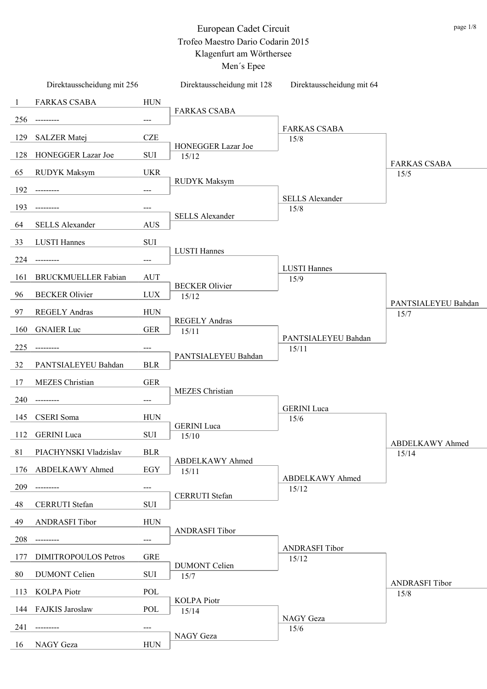|              | Direktausscheidung mit 256  |                        | Direktausscheidung mit 128     | Direktausscheidung mit 64      |                             |
|--------------|-----------------------------|------------------------|--------------------------------|--------------------------------|-----------------------------|
| $\mathbf{1}$ | <b>FARKAS CSABA</b>         | <b>HUN</b>             |                                |                                |                             |
| 256          | ---------                   | $--$                   | <b>FARKAS CSABA</b>            |                                |                             |
| 129          | <b>SALZER</b> Matej         | <b>CZE</b>             |                                | <b>FARKAS CSABA</b><br>15/8    |                             |
| 128          | HONEGGER Lazar Joe          | SUI                    | HONEGGER Lazar Joe<br>15/12    |                                |                             |
| 65           | <b>RUDYK Maksym</b>         | <b>UKR</b>             |                                |                                | <b>FARKAS CSABA</b><br>15/5 |
| 192          | ----------                  | $\qquad \qquad \cdots$ | <b>RUDYK Maksym</b>            |                                |                             |
| 193          |                             | ---                    |                                | <b>SELLS Alexander</b><br>15/8 |                             |
| 64           | <b>SELLS Alexander</b>      | <b>AUS</b>             | <b>SELLS Alexander</b>         |                                |                             |
| 33           | <b>LUSTI Hannes</b>         | SUI                    |                                |                                |                             |
| 224          | ----------                  | ---                    | <b>LUSTI Hannes</b>            |                                |                             |
| 161          | <b>BRUCKMUELLER Fabian</b>  | <b>AUT</b>             |                                | <b>LUSTI Hannes</b><br>15/9    |                             |
| 96           | <b>BECKER</b> Olivier       | <b>LUX</b>             | <b>BECKER</b> Olivier<br>15/12 |                                |                             |
| 97           | <b>REGELY Andras</b>        | <b>HUN</b>             |                                |                                | PANTSIALEYEU Bahdan<br>15/7 |
| 160          | <b>GNAIER Luc</b>           | <b>GER</b>             | <b>REGELY Andras</b><br>15/11  |                                |                             |
| 225          |                             | ---                    |                                | PANTSIALEYEU Bahdan<br>15/11   |                             |
| 32           | PANTSIALEYEU Bahdan         | <b>BLR</b>             | PANTSIALEYEU Bahdan            |                                |                             |
| 17           | <b>MEZES</b> Christian      | <b>GER</b>             |                                |                                |                             |
| 240          | ---------                   | ---                    | <b>MEZES</b> Christian         |                                |                             |
| 145          | <b>CSERI</b> Soma           | <b>HUN</b>             |                                | <b>GERINI</b> Luca<br>15/6     |                             |
|              | 112 GERINI Luca             | <b>SUI</b>             | <b>GERINI</b> Luca             |                                |                             |
| 81           | PIACHYNSKI Vladzislav       | <b>BLR</b>             | 15/10                          |                                | <b>ABDELKAWY Ahmed</b>      |
| 176          | ABDELKAWY Ahmed             | EGY                    | ABDELKAWY Ahmed                |                                | 15/14                       |
| 209          |                             | ---                    | 15/11                          | ABDELKAWY Ahmed                |                             |
| 48           | CERRUTI Stefan              | <b>SUI</b>             | CERRUTI Stefan                 | 15/12                          |                             |
| 49           | <b>ANDRASFI Tibor</b>       | <b>HUN</b>             |                                |                                |                             |
|              |                             |                        | <b>ANDRASFI Tibor</b>          |                                |                             |
| 208          | -------                     | ---                    |                                | <b>ANDRASFI Tibor</b>          |                             |
| 177          | <b>DIMITROPOULOS Petros</b> | <b>GRE</b>             | <b>DUMONT</b> Celien           | 15/12                          |                             |
| 80           | <b>DUMONT</b> Celien        | <b>SUI</b>             | 15/7                           |                                | <b>ANDRASFI Tibor</b>       |
| 113          | <b>KOLPA Piotr</b>          | POL                    | <b>KOLPA</b> Piotr             |                                | 15/8                        |
| 144          | <b>FAJKIS Jaroslaw</b>      | POL                    | 15/14                          | NAGY Geza                      |                             |
| 241          |                             |                        | NAGY Geza                      | 15/6                           |                             |
| 16           | NAGY Geza                   | <b>HUN</b>             |                                |                                |                             |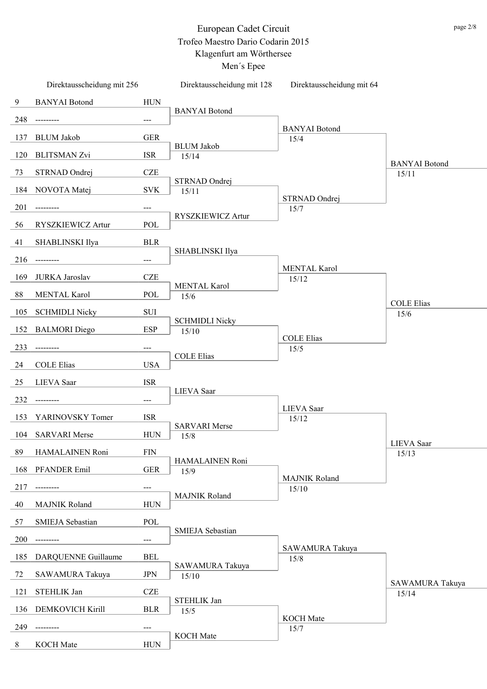|     | Direktausscheidung mit 256 |            | Direktausscheidung mit 128     | Direktausscheidung mit 64    |                               |
|-----|----------------------------|------------|--------------------------------|------------------------------|-------------------------------|
| 9   | <b>BANYAI</b> Botond       | <b>HUN</b> | <b>BANYAI</b> Botond           |                              |                               |
| 248 | ---------                  | ---        |                                |                              |                               |
| 137 | <b>BLUM Jakob</b>          | <b>GER</b> |                                | <b>BANYAI</b> Botond<br>15/4 |                               |
| 120 | <b>BLITSMAN Zvi</b>        | <b>ISR</b> | <b>BLUM</b> Jakob<br>15/14     |                              |                               |
| 73  | STRNAD Ondrej              | <b>CZE</b> |                                |                              | <b>BANYAI</b> Botond<br>15/11 |
| 184 | NOVOTA Matej               | <b>SVK</b> | STRNAD Ondrej<br>15/11         |                              |                               |
| 201 |                            |            |                                | STRNAD Ondrej                |                               |
|     |                            | ---        | RYSZKIEWICZ Artur              | 15/7                         |                               |
| 56  | RYSZKIEWICZ Artur          | POL        |                                |                              |                               |
| 41  | SHABLINSKI Ilya            | <b>BLR</b> | SHABLINSKI Ilya                |                              |                               |
| 216 | ---------                  | ---        |                                | <b>MENTAL Karol</b>          |                               |
| 169 | JURKA Jaroslav             | <b>CZE</b> | <b>MENTAL Karol</b>            | 15/12                        |                               |
| 88  | MENTAL Karol               | POL        | 15/6                           |                              |                               |
| 105 | <b>SCHMIDLI Nicky</b>      | SUI        |                                |                              | <b>COLE Elias</b><br>15/6     |
| 152 | <b>BALMORI</b> Diego       | <b>ESP</b> | <b>SCHMIDLI Nicky</b><br>15/10 |                              |                               |
| 233 |                            | ---        |                                | <b>COLE Elias</b><br>15/5    |                               |
| 24  | <b>COLE Elias</b>          | <b>USA</b> | <b>COLE Elias</b>              |                              |                               |
| 25  | LIEVA Saar                 | <b>ISR</b> |                                |                              |                               |
|     |                            |            | LIEVA Saar                     |                              |                               |
| 232 | ---------                  | ---        |                                | LIEVA Saar                   |                               |
| 153 | YARINOVSKY Tomer           | <b>ISR</b> | <b>SARVARI</b> Merse           | 15/12                        |                               |
| 104 | <b>SARVARI Merse</b>       | <b>HUN</b> | 15/8                           |                              | <b>LIEVA</b> Saar             |
| 89  | HAMALAINEN Roni            | <b>FIN</b> | HAMALAINEN Roni                |                              | 15/13                         |
| 168 | PFANDER Emil               | <b>GER</b> | 15/9                           | <b>MAJNIK Roland</b>         |                               |
| 217 |                            | ---        |                                | 15/10                        |                               |
| 40  | <b>MAJNIK Roland</b>       | <b>HUN</b> | <b>MAJNIK Roland</b>           |                              |                               |
| 57  | SMIEJA Sebastian           | POL        |                                |                              |                               |
| 200 | ---------                  | ---        | SMIEJA Sebastian               |                              |                               |
| 185 | DARQUENNE Guillaume        | <b>BEL</b> |                                | SAWAMURA Takuya<br>15/8      |                               |
| 72  | SAWAMURA Takuya            | <b>JPN</b> | SAWAMURA Takuya                |                              |                               |
|     |                            |            | 15/10                          |                              | SAWAMURA Takuya               |
| 121 | STEHLIK Jan                | <b>CZE</b> | STEHLIK Jan                    |                              | 15/14                         |
| 136 | DEMKOVICH Kirill           | <b>BLR</b> | 15/5                           | <b>KOCH</b> Mate             |                               |
| 249 |                            | ---        | <b>KOCH</b> Mate               | 15/7                         |                               |
| 8   | <b>KOCH</b> Mate           | <b>HUN</b> |                                |                              |                               |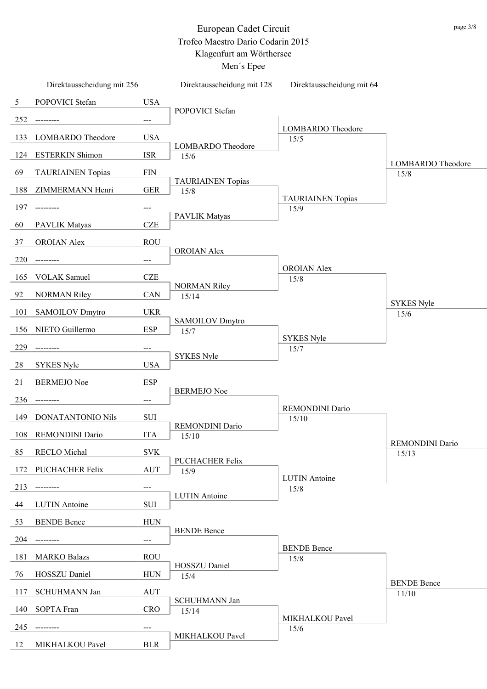|     | Direktausscheidung mit 256 |                           | Direktausscheidung mit 128       | Direktausscheidung mit 64        |                                  |
|-----|----------------------------|---------------------------|----------------------------------|----------------------------------|----------------------------------|
| 5   | POPOVICI Stefan            | <b>USA</b>                | POPOVICI Stefan                  |                                  |                                  |
| 252 | ---------                  | ---                       |                                  |                                  |                                  |
| 133 | <b>LOMBARDO</b> Theodore   | <b>USA</b>                |                                  | <b>LOMBARDO</b> Theodore<br>15/5 |                                  |
| 124 | <b>ESTERKIN Shimon</b>     | <b>ISR</b>                | <b>LOMBARDO</b> Theodore<br>15/6 |                                  |                                  |
| 69  | <b>TAURIAINEN Topias</b>   | <b>FIN</b>                |                                  |                                  | <b>LOMBARDO</b> Theodore<br>15/8 |
| 188 | ZIMMERMANN Henri           | <b>GER</b>                | <b>TAURIAINEN Topias</b><br>15/8 |                                  |                                  |
| 197 | ---------                  | ---                       |                                  | <b>TAURIAINEN Topias</b><br>15/9 |                                  |
| 60  | <b>PAVLIK Matyas</b>       | <b>CZE</b>                | <b>PAVLIK Matyas</b>             |                                  |                                  |
| 37  | <b>OROIAN</b> Alex         | <b>ROU</b>                |                                  |                                  |                                  |
| 220 |                            | ---                       | <b>OROIAN Alex</b>               |                                  |                                  |
| 165 | <b>VOLAK</b> Samuel        | <b>CZE</b>                |                                  | <b>OROIAN Alex</b><br>15/8       |                                  |
| 92  | <b>NORMAN Riley</b>        | CAN                       | <b>NORMAN Riley</b><br>15/14     |                                  |                                  |
| 101 | <b>SAMOILOV Dmytro</b>     | <b>UKR</b>                |                                  |                                  | <b>SYKES Nyle</b>                |
| 156 | NIETO Guillermo            | <b>ESP</b>                | SAMOILOV Dmytro                  |                                  | 15/6                             |
|     |                            |                           | 15/7                             | <b>SYKES Nyle</b>                |                                  |
| 229 | ---------                  | ---                       | <b>SYKES Nyle</b>                | 15/7                             |                                  |
| 28  | <b>SYKES Nyle</b>          | <b>USA</b>                |                                  |                                  |                                  |
| 21  | <b>BERMEJO Noe</b>         | <b>ESP</b>                | <b>BERMEJO</b> Noe               |                                  |                                  |
| 236 |                            | $---$                     |                                  | REMONDINI Dario                  |                                  |
| 149 | DONATANTONIO Nils          | <b>SUI</b>                | REMONDINI Dario                  | 15/10                            |                                  |
| 108 | <b>REMONDINI Dario</b>     | <b>ITA</b>                | 15/10                            |                                  | <b>REMONDINI Dario</b>           |
| 85  | <b>RECLO</b> Michal        | <b>SVK</b>                | <b>PUCHACHER Felix</b>           |                                  | 15/13                            |
| 172 | <b>PUCHACHER Felix</b>     | <b>AUT</b>                | 15/9                             | <b>LUTIN</b> Antoine             |                                  |
| 213 | ---------                  | ---                       | <b>LUTIN</b> Antoine             | 15/8                             |                                  |
| 44  | <b>LUTIN</b> Antoine       | SUI                       |                                  |                                  |                                  |
| 53  | <b>BENDE Bence</b>         | <b>HUN</b>                |                                  |                                  |                                  |
| 204 |                            | ---                       | <b>BENDE Bence</b>               |                                  |                                  |
| 181 | <b>MARKO Balazs</b>        | <b>ROU</b>                |                                  | <b>BENDE Bence</b><br>15/8       |                                  |
| 76  | HOSSZU Daniel              | <b>HUN</b>                | <b>HOSSZU</b> Daniel<br>15/4     |                                  |                                  |
| 117 | <b>SCHUHMANN Jan</b>       | <b>AUT</b>                |                                  |                                  | <b>BENDE Bence</b><br>11/10      |
| 140 | <b>SOPTA Fran</b>          | <b>CRO</b>                | <b>SCHUHMANN Jan</b><br>15/14    |                                  |                                  |
| 245 |                            | $\qquad \qquad -\qquad -$ |                                  | MIKHALKOU Pavel<br>15/6          |                                  |
| 12  | MIKHALKOU Pavel            | <b>BLR</b>                | MIKHALKOU Pavel                  |                                  |                                  |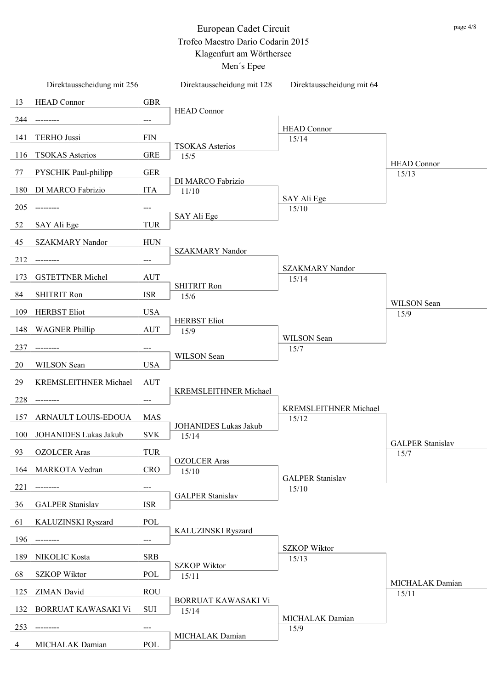|     | Direktausscheidung mit 256 |                                                           | Direktausscheidung mit 128     | Direktausscheidung mit 64        |                             |
|-----|----------------------------|-----------------------------------------------------------|--------------------------------|----------------------------------|-----------------------------|
| 13  | <b>HEAD Connor</b>         | <b>GBR</b>                                                |                                |                                  |                             |
| 244 | ---------                  | $\qquad \qquad \text{---}$                                | <b>HEAD Connor</b>             |                                  |                             |
| 141 | <b>TERHO Jussi</b>         | <b>FIN</b>                                                |                                | <b>HEAD Connor</b><br>15/14      |                             |
| 116 | <b>TSOKAS</b> Asterios     | <b>GRE</b>                                                | <b>TSOKAS Asterios</b><br>15/5 |                                  |                             |
| 77  | PYSCHIK Paul-philipp       | <b>GER</b>                                                |                                |                                  | <b>HEAD Connor</b><br>15/13 |
| 180 | DI MARCO Fabrizio          | <b>ITA</b>                                                | DI MARCO Fabrizio              |                                  |                             |
|     |                            |                                                           | 11/10                          | SAY Ali Ege                      |                             |
| 205 | ---------                  | ---                                                       | SAY Ali Ege                    | 15/10                            |                             |
| 52  | SAY Ali Ege                | <b>TUR</b>                                                |                                |                                  |                             |
| 45  | <b>SZAKMARY Nandor</b>     | <b>HUN</b>                                                | <b>SZAKMARY Nandor</b>         |                                  |                             |
| 212 | ---------                  | ---                                                       |                                | <b>SZAKMARY Nandor</b>           |                             |
| 173 | <b>GSTETTNER Michel</b>    | <b>AUT</b>                                                | <b>SHITRIT Ron</b>             | 15/14                            |                             |
| 84  | <b>SHITRIT Ron</b>         | <b>ISR</b>                                                | 15/6                           |                                  |                             |
| 109 | <b>HERBST Eliot</b>        | <b>USA</b>                                                |                                |                                  | WILSON Sean<br>15/9         |
| 148 | <b>WAGNER Phillip</b>      | <b>AUT</b>                                                | <b>HERBST Eliot</b><br>15/9    |                                  |                             |
| 237 | ---------                  | ---                                                       |                                | WILSON Sean<br>15/7              |                             |
| 20  | WILSON Sean                | <b>USA</b>                                                | WILSON Sean                    |                                  |                             |
|     |                            |                                                           |                                |                                  |                             |
| 29  | KREMSLEITHNER Michael      | <b>AUT</b>                                                | <b>KREMSLEITHNER Michael</b>   |                                  |                             |
| 228 | ---------                  | $\hspace{0.05cm}$ – $\hspace{0.05cm}$ – $\hspace{0.05cm}$ |                                | KREMSLEITHNER Michael            |                             |
| 157 | ARNAULT LOUIS-EDOUA        | <b>MAS</b>                                                | <b>JOHANIDES Lukas Jakub</b>   | 15/12                            |                             |
| 100 | JOHANIDES Lukas Jakub      | <b>SVK</b>                                                | 15/14                          |                                  | <b>GALPER Stanislav</b>     |
| 93  | <b>OZOLCER</b> Aras        | <b>TUR</b>                                                | <b>OZOLCER</b> Aras            |                                  | 15/7                        |
| 164 | MARKOTA Vedran             | <b>CRO</b>                                                | 15/10                          |                                  |                             |
| 221 |                            |                                                           |                                | <b>GALPER Stanislav</b><br>15/10 |                             |
| 36  | <b>GALPER Stanislav</b>    | <b>ISR</b>                                                | <b>GALPER Stanislav</b>        |                                  |                             |
| 61  | KALUZINSKI Ryszard         | POL                                                       |                                |                                  |                             |
| 196 | ---------                  | $\qquad \qquad \text{---}$                                | KALUZINSKI Ryszard             |                                  |                             |
| 189 | NIKOLIC Kosta              | <b>SRB</b>                                                |                                | <b>SZKOP Wiktor</b><br>15/13     |                             |
| 68  | <b>SZKOP Wiktor</b>        | POL                                                       | <b>SZKOP Wiktor</b><br>15/11   |                                  |                             |
| 125 | <b>ZIMAN</b> David         | <b>ROU</b>                                                |                                |                                  | MICHALAK Damian             |
|     | <b>BORRUAT KAWASAKI Vi</b> |                                                           | <b>BORRUAT KAWASAKI Vi</b>     |                                  | 15/11                       |
| 132 |                            | SUI                                                       | 15/14                          | MICHALAK Damian                  |                             |
| 253 |                            | ---                                                       | MICHALAK Damian                | 15/9                             |                             |
| 4   | MICHALAK Damian            | POL                                                       |                                |                                  |                             |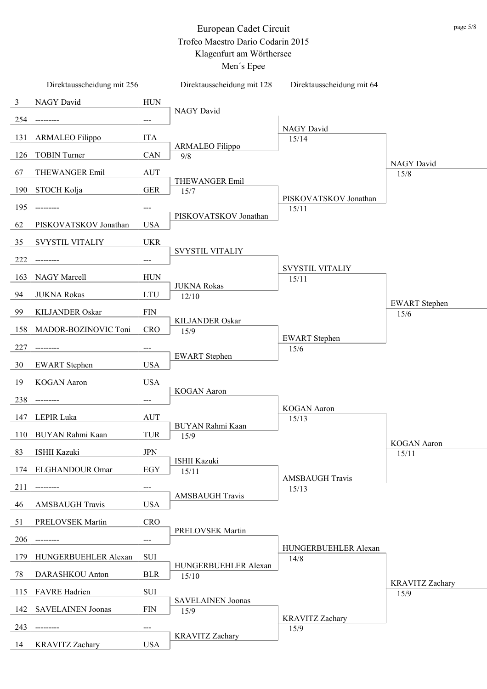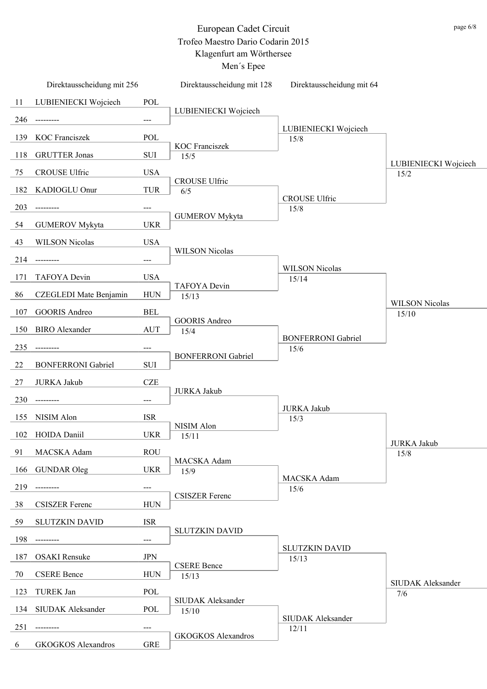|     | Direktausscheidung mit 256 |                      | Direktausscheidung mit 128        | Direktausscheidung mit 64      |                                 |
|-----|----------------------------|----------------------|-----------------------------------|--------------------------------|---------------------------------|
| 11  | LUBIENIECKI Wojciech       | POL                  |                                   |                                |                                 |
| 246 | ---------                  | ---                  | LUBIENIECKI Wojciech              |                                |                                 |
| 139 | <b>KOC</b> Franciszek      | POL                  |                                   | LUBIENIECKI Wojciech<br>15/8   |                                 |
| 118 | <b>GRUTTER Jonas</b>       | <b>SUI</b>           | <b>KOC</b> Franciszek<br>15/5     |                                |                                 |
| 75  | <b>CROUSE Ulfric</b>       | <b>USA</b>           |                                   |                                | LUBIENIECKI Wojciech<br>15/2    |
| 182 | KADIOGLU Onur              | <b>TUR</b>           | <b>CROUSE Ulfric</b><br>6/5       |                                |                                 |
| 203 | ---------                  | ---                  |                                   | <b>CROUSE Ulfric</b><br>15/8   |                                 |
| 54  | <b>GUMEROV Mykyta</b>      | <b>UKR</b>           | <b>GUMEROV Mykyta</b>             |                                |                                 |
| 43  | <b>WILSON Nicolas</b>      | <b>USA</b>           |                                   |                                |                                 |
| 214 | ----------                 | ---                  | <b>WILSON Nicolas</b>             |                                |                                 |
|     |                            |                      |                                   | <b>WILSON Nicolas</b>          |                                 |
| 171 | TAFOYA Devin               | <b>USA</b>           | TAFOYA Devin                      | 15/14                          |                                 |
| 86  | CZEGLEDI Mate Benjamin     | <b>HUN</b>           | 15/13                             |                                | <b>WILSON Nicolas</b>           |
| 107 | <b>GOORIS Andreo</b>       | $\operatorname{BEL}$ | <b>GOORIS Andreo</b>              |                                | 15/10                           |
| 150 | <b>BIRO</b> Alexander      | <b>AUT</b>           | 15/4                              | <b>BONFERRONI</b> Gabriel      |                                 |
| 235 | ----------                 | ---                  | <b>BONFERRONI Gabriel</b>         | 15/6                           |                                 |
| 22  | <b>BONFERRONI Gabriel</b>  | <b>SUI</b>           |                                   |                                |                                 |
| 27  | <b>JURKA Jakub</b>         | <b>CZE</b>           | <b>JURKA Jakub</b>                |                                |                                 |
| 230 | ---------                  | ---                  |                                   | <b>JURKA Jakub</b>             |                                 |
| 155 | NISIM Alon                 | <b>ISR</b>           | NISIM Alon                        | 15/3                           |                                 |
|     | 102 HOIDA Daniil           | <b>UKR</b>           | 15/11                             |                                | <b>JURKA Jakub</b>              |
| 91  | MACSKA Adam                | <b>ROU</b>           |                                   |                                | 15/8                            |
| 166 | <b>GUNDAR Oleg</b>         | <b>UKR</b>           | MACSKA Adam<br>15/9               |                                |                                 |
| 219 | ---------                  | ---                  |                                   | MACSKA Adam<br>15/6            |                                 |
| 38  | <b>CSISZER Ferenc</b>      | <b>HUN</b>           | <b>CSISZER</b> Ferenc             |                                |                                 |
| 59  | <b>SLUTZKIN DAVID</b>      | <b>ISR</b>           |                                   |                                |                                 |
| 198 | ------                     | ---                  | <b>SLUTZKIN DAVID</b>             |                                |                                 |
| 187 | <b>OSAKI</b> Rensuke       | <b>JPN</b>           |                                   | <b>SLUTZKIN DAVID</b><br>15/13 |                                 |
| 70  | <b>CSERE Bence</b>         | <b>HUN</b>           | <b>CSERE</b> Bence<br>15/13       |                                |                                 |
| 123 | TUREK Jan                  | POL                  |                                   |                                | <b>SIUDAK Aleksander</b><br>7/6 |
| 134 | SIUDAK Aleksander          | POL                  | <b>SIUDAK Aleksander</b><br>15/10 |                                |                                 |
| 251 |                            | ---                  |                                   | SIUDAK Aleksander<br>12/11     |                                 |
| 6   | <b>GKOGKOS Alexandros</b>  | <b>GRE</b>           | <b>GKOGKOS</b> Alexandros         |                                |                                 |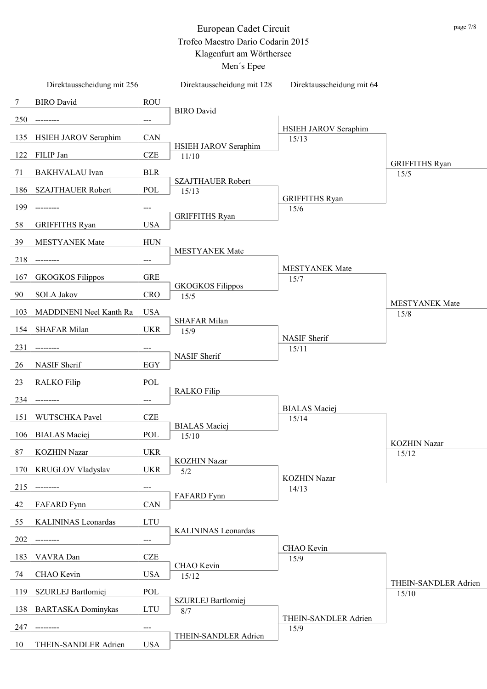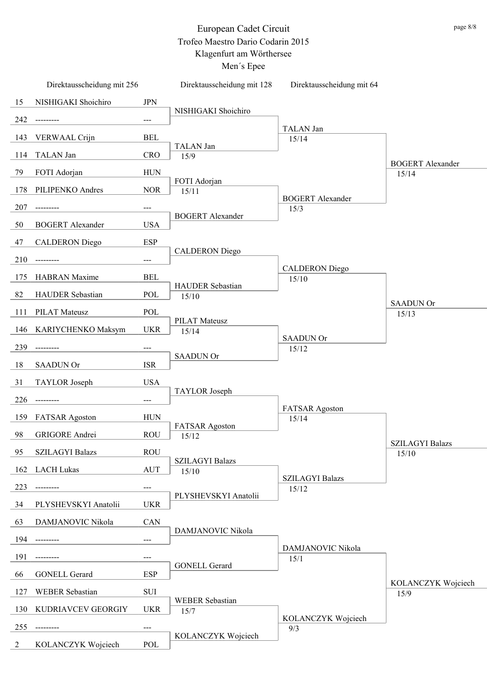|                | Direktausscheidung mit 256 |            | Direktausscheidung mit 128       | Direktausscheidung mit 64      |                                  |
|----------------|----------------------------|------------|----------------------------------|--------------------------------|----------------------------------|
| 15             | NISHIGAKI Shoichiro        | <b>JPN</b> |                                  |                                |                                  |
| 242            | ---------                  | ---        | NISHIGAKI Shoichiro              |                                |                                  |
| 143            | <b>VERWAAL Crijn</b>       | <b>BEL</b> |                                  | TALAN Jan<br>15/14             |                                  |
| 114            | TALAN Jan                  | <b>CRO</b> | TALAN Jan<br>15/9                |                                |                                  |
| 79             | FOTI Adorjan               | <b>HUN</b> |                                  |                                | <b>BOGERT</b> Alexander<br>15/14 |
| 178            | PILIPENKO Andres           | <b>NOR</b> | FOTI Adorjan<br>15/11            |                                |                                  |
| 207            | ---------                  |            |                                  | <b>BOGERT</b> Alexander        |                                  |
|                |                            | ---        | <b>BOGERT</b> Alexander          | 15/3                           |                                  |
| 50             | <b>BOGERT</b> Alexander    | <b>USA</b> |                                  |                                |                                  |
| 47             | <b>CALDERON</b> Diego      | <b>ESP</b> | <b>CALDERON</b> Diego            |                                |                                  |
| 210            | ----------                 | ---        |                                  |                                |                                  |
| 175            | <b>HABRAN</b> Maxime       | <b>BEL</b> |                                  | <b>CALDERON</b> Diego<br>15/10 |                                  |
| 82             | <b>HAUDER Sebastian</b>    | POL        | <b>HAUDER Sebastian</b><br>15/10 |                                |                                  |
| 111            | PILAT Mateusz              | POL        |                                  |                                | <b>SAADUN Or</b><br>15/13        |
|                |                            |            | PILAT Mateusz                    |                                |                                  |
| 146            | KARIYCHENKO Maksym         | <b>UKR</b> | 15/14                            | <b>SAADUN Or</b>               |                                  |
| 239            | ---------                  | ---        | <b>SAADUN Or</b>                 | 15/12                          |                                  |
| 18             | <b>SAADUN Or</b>           | <b>ISR</b> |                                  |                                |                                  |
| 31             | TAYLOR Joseph              | <b>USA</b> |                                  |                                |                                  |
| 226            | ---------                  | ---        | TAYLOR Joseph                    |                                |                                  |
| 159            | <b>FATSAR Agoston</b>      | <b>HUN</b> |                                  | <b>FATSAR Agoston</b><br>15/14 |                                  |
| 98             | <b>GRIGORE</b> Andrei      | <b>ROU</b> | <b>FATSAR Agoston</b><br>15/12   |                                |                                  |
| 95             | <b>SZILAGYI Balazs</b>     | <b>ROU</b> |                                  |                                | <b>SZILAGYI Balazs</b>           |
|                |                            |            | <b>SZILAGYI Balazs</b>           |                                | 15/10                            |
| 162            | <b>LACH Lukas</b>          | <b>AUT</b> | 15/10                            | <b>SZILAGYI Balazs</b>         |                                  |
| 223            |                            | $---$      | PLYSHEVSKYI Anatolii             | 15/12                          |                                  |
| 34             | PLYSHEVSKYI Anatolii       | <b>UKR</b> |                                  |                                |                                  |
| 63             | DAMJANOVIC Nikola          | CAN        |                                  |                                |                                  |
| 194            | -------                    | ---        | DAMJANOVIC Nikola                |                                |                                  |
| 191            |                            |            |                                  | DAMJANOVIC Nikola<br>15/1      |                                  |
| 66             | <b>GONELL Gerard</b>       | <b>ESP</b> | <b>GONELL Gerard</b>             |                                |                                  |
|                |                            |            |                                  |                                | KOLANCZYK Wojciech               |
| 127            | <b>WEBER Sebastian</b>     | <b>SUI</b> | <b>WEBER Sebastian</b>           |                                | 15/9                             |
| 130            | KUDRIAVCEV GEORGIY         | <b>UKR</b> | 15/7                             | KOLANCZYK Wojciech             |                                  |
| 255            | ---------                  | ---        | KOLANCZYK Wojciech               | 9/3                            |                                  |
| $\overline{2}$ | KOLANCZYK Wojciech         | POL        |                                  |                                |                                  |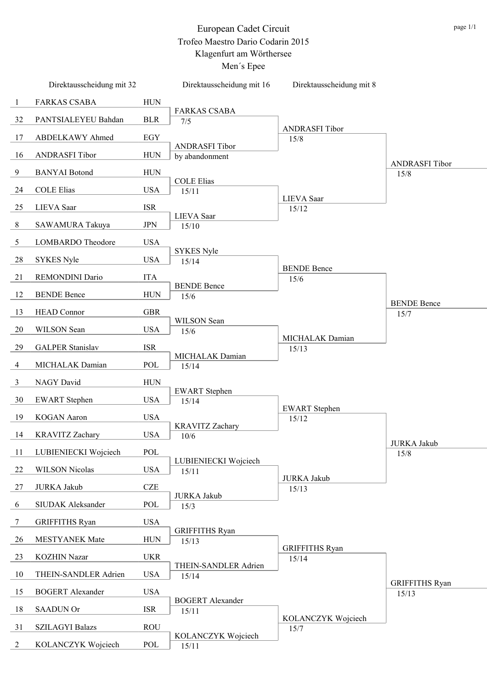|                | Direktausscheidung mit 32 |            | Direktausscheidung mit 16        | Direktausscheidung mit 8      |                       |
|----------------|---------------------------|------------|----------------------------------|-------------------------------|-----------------------|
| $\mathbf{1}$   | <b>FARKAS CSABA</b>       | <b>HUN</b> |                                  |                               |                       |
| 32             | PANTSIALEYEU Bahdan       | <b>BLR</b> | <b>FARKAS CSABA</b><br>7/5       |                               |                       |
| 17             | ABDELKAWY Ahmed           | EGY        |                                  | <b>ANDRASFI Tibor</b><br>15/8 |                       |
| 16             | <b>ANDRASFI Tibor</b>     | <b>HUN</b> | <b>ANDRASFI Tibor</b>            |                               |                       |
|                |                           |            | by abandonment                   |                               | <b>ANDRASFI Tibor</b> |
| 9              | <b>BANYAI</b> Botond      | <b>HUN</b> | <b>COLE Elias</b>                |                               | 15/8                  |
| 24             | <b>COLE Elias</b>         | <b>USA</b> | 15/11                            | <b>LIEVA</b> Saar             |                       |
| 25             | LIEVA Saar                | <b>ISR</b> | LIEVA Saar                       | 15/12                         |                       |
| 8              | SAWAMURA Takuya           | <b>JPN</b> | 15/10                            |                               |                       |
| 5              | LOMBARDO Theodore         | <b>USA</b> |                                  |                               |                       |
| 28             | <b>SYKES Nyle</b>         | <b>USA</b> | <b>SYKES Nyle</b><br>15/14       |                               |                       |
| 21             | REMONDINI Dario           | <b>ITA</b> |                                  | <b>BENDE Bence</b>            |                       |
|                |                           |            | <b>BENDE Bence</b>               | 15/6                          |                       |
| 12             | <b>BENDE Bence</b>        | <b>HUN</b> | 15/6                             |                               | <b>BENDE Bence</b>    |
| 13             | <b>HEAD Connor</b>        | <b>GBR</b> | WILSON Sean                      |                               | 15/7                  |
| 20             | WILSON Sean               | <b>USA</b> | 15/6                             |                               |                       |
| 29             | <b>GALPER Stanislav</b>   | <b>ISR</b> |                                  | MICHALAK Damian<br>15/13      |                       |
| 4              | MICHALAK Damian           | POL        | MICHALAK Damian<br>15/14         |                               |                       |
| 3              | NAGY David                | <b>HUN</b> |                                  |                               |                       |
|                |                           |            | <b>EWART</b> Stephen             |                               |                       |
| 30             | <b>EWART</b> Stephen      | <b>USA</b> | 15/14                            | <b>EWART</b> Stephen          |                       |
| 19             | <b>KOGAN</b> Aaron        | <b>USA</b> | <b>KRAVITZ Zachary</b>           | 15/12                         |                       |
| 14             | <b>KRAVITZ Zachary</b>    | <b>USA</b> | 10/6                             |                               | <b>JURKA Jakub</b>    |
| 11             | LUBIENIECKI Wojciech      | POL        |                                  |                               | 15/8                  |
| 22             | <b>WILSON Nicolas</b>     | <b>USA</b> | LUBIENIECKI Wojciech<br>15/11    |                               |                       |
| 27             | <b>JURKA Jakub</b>        | <b>CZE</b> |                                  | <b>JURKA Jakub</b><br>15/13   |                       |
| 6              | <b>SIUDAK Aleksander</b>  | POL        | <b>JURKA Jakub</b><br>15/3       |                               |                       |
| $\tau$         | <b>GRIFFITHS Ryan</b>     | <b>USA</b> |                                  |                               |                       |
|                |                           |            | <b>GRIFFITHS Ryan</b>            |                               |                       |
| 26             | MESTYANEK Mate            | <b>HUN</b> | 15/13                            | <b>GRIFFITHS Ryan</b>         |                       |
| 23             | <b>KOZHIN Nazar</b>       | <b>UKR</b> | THEIN-SANDLER Adrien             | 15/14                         |                       |
| 10             | THEIN-SANDLER Adrien      | <b>USA</b> | 15/14                            |                               | <b>GRIFFITHS Ryan</b> |
| 15             | <b>BOGERT Alexander</b>   | <b>USA</b> |                                  |                               | 15/13                 |
| 18             | <b>SAADUN Or</b>          | <b>ISR</b> | <b>BOGERT Alexander</b><br>15/11 |                               |                       |
| 31             | <b>SZILAGYI Balazs</b>    | <b>ROU</b> |                                  | KOLANCZYK Wojciech<br>15/7    |                       |
| $\overline{2}$ | KOLANCZYK Wojciech        | POL        | KOLANCZYK Wojciech<br>15/11      |                               |                       |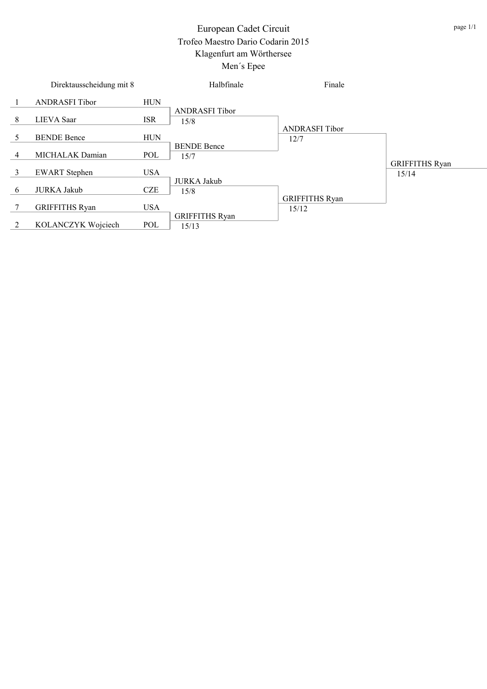|   | Direktausscheidung mit 8 |            | Halbfinale                     | Finale                         |                                |
|---|--------------------------|------------|--------------------------------|--------------------------------|--------------------------------|
|   | <b>ANDRASFI Tibor</b>    | <b>HUN</b> |                                |                                |                                |
| 8 | <b>LIEVA</b> Saar        | ISR        | <b>ANDRASFI</b> Tibor<br>15/8  |                                |                                |
| 5 | <b>BENDE Bence</b>       | <b>HUN</b> |                                | <b>ANDRASFI Tibor</b><br>12/7  |                                |
| 4 | MICHALAK Damian          | POL        | <b>BENDE Bence</b><br>15/7     |                                |                                |
| 3 | <b>EWART</b> Stephen     | <b>USA</b> |                                |                                | <b>GRIFFITHS Ryan</b><br>15/14 |
| 6 | <b>JURKA Jakub</b>       | <b>CZE</b> | <b>JURKA Jakub</b><br>15/8     |                                |                                |
|   | <b>GRIFFITHS Ryan</b>    | <b>USA</b> |                                | <b>GRIFFITHS Ryan</b><br>15/12 |                                |
| 2 | KOLANCZYK Wojciech       | POL        | <b>GRIFFITHS Ryan</b><br>15/13 |                                |                                |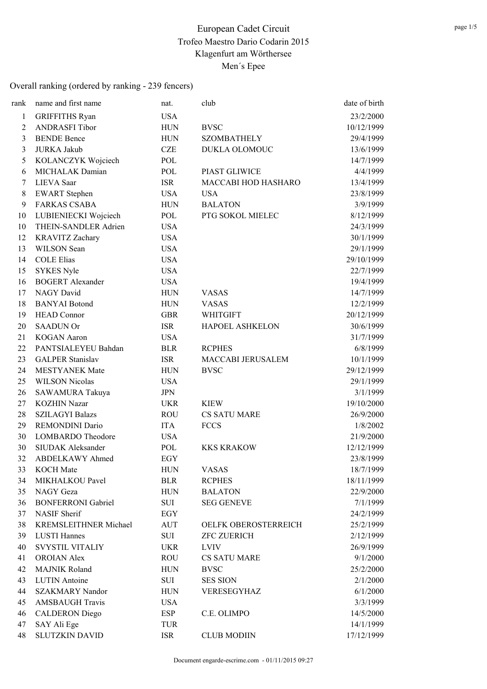### Overall ranking (ordered by ranking - 239 fencers)

| rank             | name and first name          | nat.       | club                   | date of birth |
|------------------|------------------------------|------------|------------------------|---------------|
| $\mathbf{1}$     | <b>GRIFFITHS Ryan</b>        | <b>USA</b> |                        | 23/2/2000     |
| $\overline{c}$   | <b>ANDRASFI Tibor</b>        | <b>HUN</b> | <b>BVSC</b>            | 10/12/1999    |
| $\mathfrak{Z}$   | <b>BENDE Bence</b>           | <b>HUN</b> | <b>SZOMBATHELY</b>     | 29/4/1999     |
| $\mathfrak{Z}$   | <b>JURKA Jakub</b>           | <b>CZE</b> | DUKLA OLOMOUC          | 13/6/1999     |
| 5                | KOLANCZYK Wojciech           | POL        |                        | 14/7/1999     |
| 6                | MICHALAK Damian              | POL        | PIAST GLIWICE          | 4/4/1999      |
| 7                | LIEVA Saar                   | <b>ISR</b> | MACCABI HOD HASHARO    | 13/4/1999     |
| 8                | <b>EWART</b> Stephen         | <b>USA</b> | <b>USA</b>             | 23/8/1999     |
| $\boldsymbol{9}$ | <b>FARKAS CSABA</b>          | <b>HUN</b> | <b>BALATON</b>         | 3/9/1999      |
| 10               | LUBIENIECKI Wojciech         | POL        | PTG SOKOL MIELEC       | 8/12/1999     |
| 10               | THEIN-SANDLER Adrien         | <b>USA</b> |                        | 24/3/1999     |
| 12               | <b>KRAVITZ Zachary</b>       | <b>USA</b> |                        | 30/1/1999     |
| 13               | WILSON Sean                  | <b>USA</b> |                        | 29/1/1999     |
| 14               | <b>COLE Elias</b>            | <b>USA</b> |                        | 29/10/1999    |
| 15               | <b>SYKES Nyle</b>            | <b>USA</b> |                        | 22/7/1999     |
| 16               | <b>BOGERT Alexander</b>      | <b>USA</b> |                        | 19/4/1999     |
| 17               | NAGY David                   | <b>HUN</b> | <b>VASAS</b>           | 14/7/1999     |
| 18               | <b>BANYAI</b> Botond         | <b>HUN</b> | <b>VASAS</b>           | 12/2/1999     |
| 19               | <b>HEAD Connor</b>           | <b>GBR</b> | <b>WHITGIFT</b>        | 20/12/1999    |
| 20               | <b>SAADUN Or</b>             | <b>ISR</b> | <b>HAPOEL ASHKELON</b> | 30/6/1999     |
| 21               | <b>KOGAN</b> Aaron           | <b>USA</b> |                        | 31/7/1999     |
| 22               | PANTSIALEYEU Bahdan          | <b>BLR</b> | <b>RCPHES</b>          | 6/8/1999      |
| 23               | <b>GALPER Stanislav</b>      | <b>ISR</b> | MACCABI JERUSALEM      | 10/1/1999     |
| 24               | MESTYANEK Mate               | <b>HUN</b> | <b>BVSC</b>            | 29/12/1999    |
| 25               | <b>WILSON Nicolas</b>        | <b>USA</b> |                        | 29/1/1999     |
| 26               | SAWAMURA Takuya              | <b>JPN</b> |                        | 3/1/1999      |
| 27               | <b>KOZHIN Nazar</b>          | <b>UKR</b> | <b>KIEW</b>            | 19/10/2000    |
| 28               | <b>SZILAGYI Balazs</b>       | <b>ROU</b> | <b>CS SATU MARE</b>    | 26/9/2000     |
| 29               | <b>REMONDINI Dario</b>       | <b>ITA</b> | <b>FCCS</b>            | 1/8/2002      |
| 30               | <b>LOMBARDO</b> Theodore     | <b>USA</b> |                        | 21/9/2000     |
| 30               | SIUDAK Aleksander            | POL        | <b>KKS KRAKOW</b>      | 12/12/1999    |
| 32               | ABDELKAWY Ahmed              | EGY        |                        | 23/8/1999     |
| 33               | <b>KOCH</b> Mate             | <b>HUN</b> | <b>VASAS</b>           | 18/7/1999     |
| 34               | MIKHALKOU Pavel              | <b>BLR</b> | <b>RCPHES</b>          | 18/11/1999    |
| 35               | NAGY Geza                    | <b>HUN</b> | <b>BALATON</b>         | 22/9/2000     |
| 36               | <b>BONFERRONI</b> Gabriel    | SUI        | <b>SEG GENEVE</b>      | 7/1/1999      |
| 37               | <b>NASIF Sherif</b>          | EGY        |                        | 24/2/1999     |
| 38               | <b>KREMSLEITHNER Michael</b> | <b>AUT</b> | OELFK OBEROSTERREICH   | 25/2/1999     |
| 39               | <b>LUSTI Hannes</b>          | SUI        | <b>ZFC ZUERICH</b>     | 2/12/1999     |
| 40               | <b>SVYSTIL VITALIY</b>       | <b>UKR</b> | <b>LVIV</b>            | 26/9/1999     |
| 41               | <b>OROIAN Alex</b>           | <b>ROU</b> | <b>CS SATU MARE</b>    | 9/1/2000      |
| 42               | <b>MAJNIK Roland</b>         | <b>HUN</b> | <b>BVSC</b>            | 25/2/2000     |
| 43               | <b>LUTIN</b> Antoine         | SUI        | <b>SES SION</b>        | 2/1/2000      |
| 44               | <b>SZAKMARY Nandor</b>       | <b>HUN</b> | VERESEGYHAZ            | 6/1/2000      |
| 45               | <b>AMSBAUGH Travis</b>       | <b>USA</b> |                        | 3/3/1999      |
| 46               | <b>CALDERON</b> Diego        | <b>ESP</b> | C.E. OLIMPO            | 14/5/2000     |
| 47               | SAY Ali Ege                  | <b>TUR</b> |                        | 14/1/1999     |
| 48               | <b>SLUTZKIN DAVID</b>        | <b>ISR</b> | <b>CLUB MODIIN</b>     | 17/12/1999    |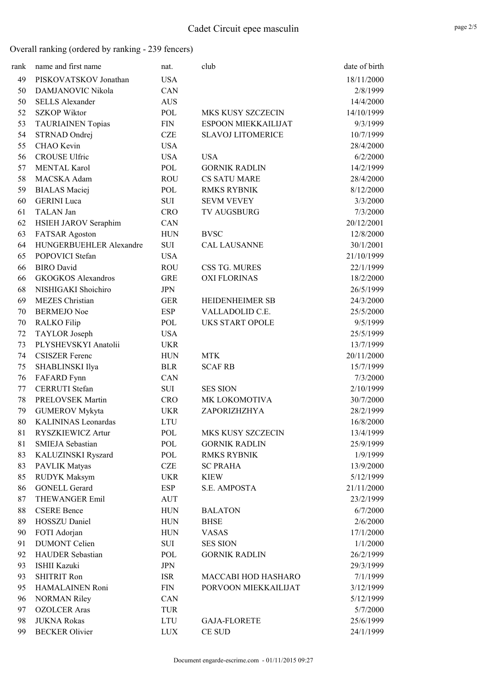| rank | name and first name        | nat.        | club                     | date of birth |
|------|----------------------------|-------------|--------------------------|---------------|
| 49   | PISKOVATSKOV Jonathan      | <b>USA</b>  |                          | 18/11/2000    |
| 50   | DAMJANOVIC Nikola          | CAN         |                          | 2/8/1999      |
| 50   | <b>SELLS Alexander</b>     | <b>AUS</b>  |                          | 14/4/2000     |
| 52   | <b>SZKOP Wiktor</b>        | POL         | MKS KUSY SZCZECIN        | 14/10/1999    |
| 53   | <b>TAURIAINEN Topias</b>   | ${\rm FIN}$ | ESPOON MIEKKAILIJAT      | 9/3/1999      |
| 54   | STRNAD Ondrej              | <b>CZE</b>  | <b>SLAVOJ LITOMERICE</b> | 10/7/1999     |
| 55   | CHAO Kevin                 | <b>USA</b>  |                          | 28/4/2000     |
| 56   | <b>CROUSE Ulfric</b>       | <b>USA</b>  | <b>USA</b>               | 6/2/2000      |
| 57   | <b>MENTAL Karol</b>        | POL         | <b>GORNIK RADLIN</b>     | 14/2/1999     |
| 58   | MACSKA Adam                | <b>ROU</b>  | <b>CS SATU MARE</b>      | 28/4/2000     |
| 59   | <b>BIALAS</b> Maciej       | POL         | <b>RMKS RYBNIK</b>       | 8/12/2000     |
| 60   | <b>GERINI</b> Luca         | SUI         | <b>SEVM VEVEY</b>        | 3/3/2000      |
| 61   | TALAN Jan                  | <b>CRO</b>  | <b>TV AUGSBURG</b>       | 7/3/2000      |
| 62   | HSIEH JAROV Seraphim       | CAN         |                          | 20/12/2001    |
| 63   | <b>FATSAR Agoston</b>      | <b>HUN</b>  | <b>BVSC</b>              | 12/8/2000     |
| 64   | HUNGERBUEHLER Alexandre    | SUI         | <b>CAL LAUSANNE</b>      | 30/1/2001     |
| 65   | POPOVICI Stefan            | <b>USA</b>  |                          | 21/10/1999    |
| 66   | <b>BIRO</b> David          | <b>ROU</b>  | CSS TG. MURES            | 22/1/1999     |
| 66   | <b>GKOGKOS</b> Alexandros  | <b>GRE</b>  | <b>OXI FLORINAS</b>      | 18/2/2000     |
| 68   | NISHIGAKI Shoichiro        | <b>JPN</b>  |                          | 26/5/1999     |
| 69   | <b>MEZES</b> Christian     | <b>GER</b>  | HEIDENHEIMER SB          | 24/3/2000     |
| 70   | <b>BERMEJO Noe</b>         | <b>ESP</b>  | VALLADOLID C.E.          | 25/5/2000     |
| 70   | <b>RALKO Filip</b>         | POL         | <b>UKS START OPOLE</b>   | 9/5/1999      |
| 72   | TAYLOR Joseph              | <b>USA</b>  |                          | 25/5/1999     |
| 73   | PLYSHEVSKYI Anatolii       | <b>UKR</b>  |                          | 13/7/1999     |
| 74   | <b>CSISZER Ferenc</b>      | <b>HUN</b>  | <b>MTK</b>               | 20/11/2000    |
| 75   | SHABLINSKI Ilya            | <b>BLR</b>  | <b>SCAF RB</b>           | 15/7/1999     |
| 76   | FAFARD Fynn                | CAN         |                          | 7/3/2000      |
| 77   | <b>CERRUTI</b> Stefan      | SUI         | <b>SES SION</b>          | 2/10/1999     |
| 78   | PRELOVSEK Martin           | <b>CRO</b>  | MK LOKOMOTIVA            | 30/7/2000     |
| 79   | <b>GUMEROV Mykyta</b>      | <b>UKR</b>  | ZAPORIZHZHYA             | 28/2/1999     |
| 80   | <b>KALININAS Leonardas</b> | <b>LTU</b>  |                          | 16/8/2000     |
| 81   | RYSZKIEWICZ Artur          | POL         | MKS KUSY SZCZECIN        | 13/4/1999     |
| 81   | SMIEJA Sebastian           | POL         | <b>GORNIK RADLIN</b>     | 25/9/1999     |
| 83   | KALUZINSKI Ryszard         | POL         | <b>RMKS RYBNIK</b>       | 1/9/1999      |
| 83   | PAVLIK Matyas              | <b>CZE</b>  | <b>SC PRAHA</b>          | 13/9/2000     |
| 85   | <b>RUDYK Maksym</b>        | <b>UKR</b>  | KIEW                     | 5/12/1999     |
| 86   | <b>GONELL Gerard</b>       | <b>ESP</b>  | S.E. AMPOSTA             | 21/11/2000    |
| 87   | THEWANGER Emil             | <b>AUT</b>  |                          | 23/2/1999     |
| 88   | <b>CSERE Bence</b>         | <b>HUN</b>  | <b>BALATON</b>           | 6/7/2000      |
| 89   | HOSSZU Daniel              | <b>HUN</b>  | <b>BHSE</b>              | 2/6/2000      |
| 90   | FOTI Adorjan               | <b>HUN</b>  | <b>VASAS</b>             | 17/1/2000     |
| 91   | <b>DUMONT Celien</b>       | SUI         | <b>SES SION</b>          | 1/1/2000      |
| 92   | <b>HAUDER Sebastian</b>    | POL         | <b>GORNIK RADLIN</b>     | 26/2/1999     |
| 93   | ISHII Kazuki               | <b>JPN</b>  |                          | 29/3/1999     |
| 93   | <b>SHITRIT Ron</b>         | ISR         | MACCABI HOD HASHARO      | 7/1/1999      |
| 95   | HAMALAINEN Roni            | <b>FIN</b>  | PORVOON MIEKKAILIJAT     | 3/12/1999     |
| 96   | <b>NORMAN Riley</b>        | CAN         |                          | 5/12/1999     |
| 97   | <b>OZOLCER</b> Aras        | TUR         |                          | 5/7/2000      |
| 98   | <b>JUKNA Rokas</b>         | <b>LTU</b>  | <b>GAJA-FLORETE</b>      | 25/6/1999     |
| 99   | <b>BECKER</b> Olivier      | <b>LUX</b>  | CE SUD                   | 24/1/1999     |
|      |                            |             |                          |               |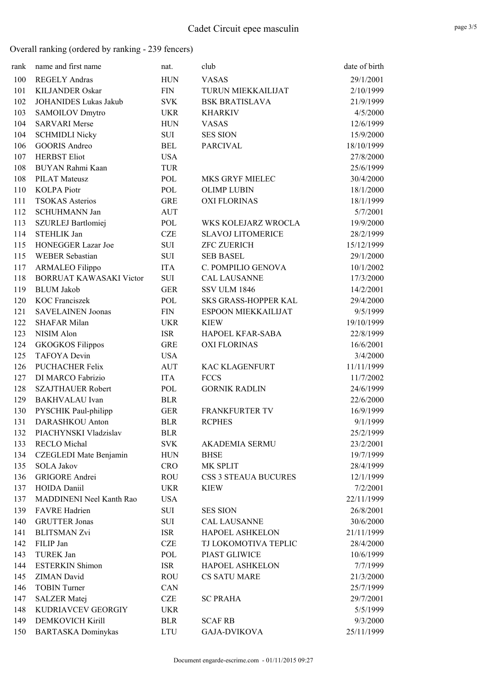| rank | name and first name            | nat.       | club                     | date of birth |
|------|--------------------------------|------------|--------------------------|---------------|
| 100  | <b>REGELY Andras</b>           | <b>HUN</b> | <b>VASAS</b>             | 29/1/2001     |
| 101  | <b>KILJANDER Oskar</b>         | <b>FIN</b> | TURUN MIEKKAILIJAT       | 2/10/1999     |
| 102  | <b>JOHANIDES Lukas Jakub</b>   | <b>SVK</b> | <b>BSK BRATISLAVA</b>    | 21/9/1999     |
| 103  | SAMOILOV Dmytro                | <b>UKR</b> | <b>KHARKIV</b>           | 4/5/2000      |
| 104  | <b>SARVARI Merse</b>           | <b>HUN</b> | <b>VASAS</b>             | 12/6/1999     |
| 104  | <b>SCHMIDLI Nicky</b>          | SUI        | <b>SES SION</b>          | 15/9/2000     |
| 106  | <b>GOORIS Andreo</b>           | <b>BEL</b> | <b>PARCIVAL</b>          | 18/10/1999    |
| 107  | <b>HERBST Eliot</b>            | <b>USA</b> |                          | 27/8/2000     |
| 108  | BUYAN Rahmi Kaan               | <b>TUR</b> |                          | 25/6/1999     |
| 108  | <b>PILAT Mateusz</b>           | POL        | MKS GRYF MIELEC          | 30/4/2000     |
| 110  | <b>KOLPA Piotr</b>             | POL        | <b>OLIMP LUBIN</b>       | 18/1/2000     |
| 111  | <b>TSOKAS</b> Asterios         | <b>GRE</b> | <b>OXI FLORINAS</b>      | 18/1/1999     |
| 112  | <b>SCHUHMANN Jan</b>           | <b>AUT</b> |                          | 5/7/2001      |
| 113  | SZURLEJ Bartlomiej             | POL        | WKS KOLEJARZ WROCLA      | 19/9/2000     |
| 114  | <b>STEHLIK Jan</b>             | <b>CZE</b> | <b>SLAVOJ LITOMERICE</b> | 28/2/1999     |
| 115  | HONEGGER Lazar Joe             | SUI        | <b>ZFC ZUERICH</b>       | 15/12/1999    |
| 115  | <b>WEBER Sebastian</b>         | SUI        | <b>SEB BASEL</b>         | 29/1/2000     |
| 117  | <b>ARMALEO</b> Filippo         | <b>ITA</b> | C. POMPILIO GENOVA       | 10/1/2002     |
| 118  | <b>BORRUAT KAWASAKI Victor</b> | <b>SUI</b> | <b>CAL LAUSANNE</b>      | 17/3/2000     |
| 119  | <b>BLUM</b> Jakob              | <b>GER</b> | SSV ULM 1846             | 14/2/2001     |
| 120  | <b>KOC</b> Franciszek          | POL        | SKS GRASS-HOPPER KAL     | 29/4/2000     |
| 121  | <b>SAVELAINEN Joonas</b>       | <b>FIN</b> | ESPOON MIEKKAILIJAT      | 9/5/1999      |
| 122  | <b>SHAFAR Milan</b>            | <b>UKR</b> | <b>KIEW</b>              | 19/10/1999    |
| 123  | NISIM Alon                     | ISR        | HAPOEL KFAR-SABA         | 22/8/1999     |
| 124  | <b>GKOGKOS Filippos</b>        | <b>GRE</b> | <b>OXI FLORINAS</b>      | 16/6/2001     |
| 125  | <b>TAFOYA</b> Devin            | <b>USA</b> |                          | 3/4/2000      |
| 126  | <b>PUCHACHER Felix</b>         | <b>AUT</b> | KAC KLAGENFURT           | 11/11/1999    |
| 127  | DI MARCO Fabrizio              | <b>ITA</b> | <b>FCCS</b>              | 11/7/2002     |
| 128  | <b>SZAJTHAUER Robert</b>       | POL        | <b>GORNIK RADLIN</b>     | 24/6/1999     |
| 129  | <b>BAKHVALAU</b> Ivan          | <b>BLR</b> |                          | 22/6/2000     |
| 130  | PYSCHIK Paul-philipp           | <b>GER</b> | <b>FRANKFURTER TV</b>    | 16/9/1999     |
| 131  | DARASHKOU Anton                | <b>BLR</b> | <b>RCPHES</b>            | 9/1/1999      |
| 132  | PIACHYNSKI Vladzislav          | <b>BLR</b> |                          | 25/2/1999     |
| 133  | <b>RECLO Michal</b>            | <b>SVK</b> | AKADEMIA SERMU           | 23/2/2001     |
| 134  | <b>CZEGLEDI</b> Mate Benjamin  | <b>HUN</b> | <b>BHSE</b>              | 19/7/1999     |
| 135  | <b>SOLA Jakov</b>              | <b>CRO</b> | MK SPLIT                 | 28/4/1999     |
| 136  | <b>GRIGORE</b> Andrei          | <b>ROU</b> | CSS 3 STEAUA BUCURES     | 12/1/1999     |
| 137  | <b>HOIDA</b> Daniil            | <b>UKR</b> | <b>KIEW</b>              | 7/2/2001      |
| 137  | MADDINENI Neel Kanth Rao       | <b>USA</b> |                          | 22/11/1999    |
| 139  | <b>FAVRE</b> Hadrien           | SUI        | <b>SES SION</b>          | 26/8/2001     |
| 140  | <b>GRUTTER Jonas</b>           | SUI        | <b>CAL LAUSANNE</b>      | 30/6/2000     |
| 141  | <b>BLITSMAN Zvi</b>            | <b>ISR</b> | HAPOEL ASHKELON          | 21/11/1999    |
| 142  | FILIP Jan                      | <b>CZE</b> | TJ LOKOMOTIVA TEPLIC     | 28/4/2000     |
| 143  | TUREK Jan                      | POL        | PIAST GLIWICE            | 10/6/1999     |
| 144  | <b>ESTERKIN Shimon</b>         | ISR        | <b>HAPOEL ASHKELON</b>   | 7/7/1999      |
| 145  | ZIMAN David                    | <b>ROU</b> | <b>CS SATU MARE</b>      | 21/3/2000     |
| 146  | <b>TOBIN Turner</b>            | CAN        |                          | 25/7/1999     |
| 147  | <b>SALZER</b> Matej            | <b>CZE</b> | <b>SC PRAHA</b>          | 29/7/2001     |
| 148  | KUDRIAVCEV GEORGIY             | <b>UKR</b> |                          | 5/5/1999      |
| 149  | <b>DEMKOVICH Kirill</b>        | <b>BLR</b> | <b>SCAF RB</b>           | 9/3/2000      |
| 150  | <b>BARTASKA</b> Dominykas      | <b>LTU</b> | <b>GAJA-DVIKOVA</b>      | 25/11/1999    |

page 3/5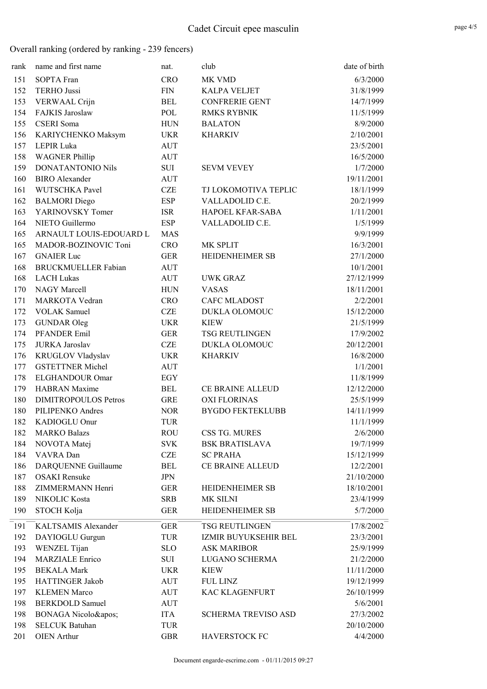| rank | name and first name         | nat.       | club                       | date of birth |
|------|-----------------------------|------------|----------------------------|---------------|
| 151  | <b>SOPTA Fran</b>           | <b>CRO</b> | MK VMD                     | 6/3/2000      |
| 152  | <b>TERHO Jussi</b>          | <b>FIN</b> | <b>KALPA VELJET</b>        | 31/8/1999     |
| 153  | <b>VERWAAL</b> Crijn        | <b>BEL</b> | <b>CONFRERIE GENT</b>      | 14/7/1999     |
| 154  | FAJKIS Jaroslaw             | POL        | <b>RMKS RYBNIK</b>         | 11/5/1999     |
| 155  | <b>CSERI</b> Soma           | <b>HUN</b> | <b>BALATON</b>             | 8/9/2000      |
| 156  | KARIYCHENKO Maksym          | <b>UKR</b> | <b>KHARKIV</b>             | 2/10/2001     |
| 157  | LEPIR Luka                  | <b>AUT</b> |                            | 23/5/2001     |
| 158  | <b>WAGNER Phillip</b>       | <b>AUT</b> |                            | 16/5/2000     |
| 159  | <b>DONATANTONIO Nils</b>    | SUI        | <b>SEVM VEVEY</b>          | 1/7/2000      |
| 160  | <b>BIRO</b> Alexander       | <b>AUT</b> |                            | 19/11/2001    |
| 161  | WUTSCHKA Pavel              | <b>CZE</b> | TJ LOKOMOTIVA TEPLIC       | 18/1/1999     |
| 162  | <b>BALMORI</b> Diego        | <b>ESP</b> | VALLADOLID C.E.            | 20/2/1999     |
| 163  | YARINOVSKY Tomer            | <b>ISR</b> | HAPOEL KFAR-SABA           | 1/11/2001     |
| 164  | NIETO Guillermo             | <b>ESP</b> | VALLADOLID C.E.            | 1/5/1999      |
| 165  | ARNAULT LOUIS-EDOUARD L     | <b>MAS</b> |                            | 9/9/1999      |
| 165  | MADOR-BOZINOVIC Toni        | <b>CRO</b> | MK SPLIT                   | 16/3/2001     |
| 167  | <b>GNAIER Luc</b>           | <b>GER</b> | HEIDENHEIMER SB            | 27/1/2000     |
| 168  | <b>BRUCKMUELLER Fabian</b>  | <b>AUT</b> |                            | 10/1/2001     |
| 168  | <b>LACH Lukas</b>           | <b>AUT</b> | <b>UWK GRAZ</b>            | 27/12/1999    |
| 170  | NAGY Marcell                | <b>HUN</b> | <b>VASAS</b>               | 18/11/2001    |
| 171  | <b>MARKOTA Vedran</b>       | <b>CRO</b> | <b>CAFC MLADOST</b>        | 2/2/2001      |
| 172  | <b>VOLAK Samuel</b>         | <b>CZE</b> | DUKLA OLOMOUC              | 15/12/2000    |
| 173  | <b>GUNDAR Oleg</b>          | <b>UKR</b> | <b>KIEW</b>                | 21/5/1999     |
| 174  | PFANDER Emil                | <b>GER</b> | TSG REUTLINGEN             | 17/9/2002     |
| 175  | <b>JURKA</b> Jaroslav       | <b>CZE</b> | DUKLA OLOMOUC              | 20/12/2001    |
| 176  | KRUGLOV Vladyslav           | <b>UKR</b> | <b>KHARKIV</b>             | 16/8/2000     |
| 177  | <b>GSTETTNER Michel</b>     | <b>AUT</b> |                            | 1/1/2001      |
| 178  | ELGHANDOUR Omar             | EGY        |                            | 11/8/1999     |
| 179  | <b>HABRAN</b> Maxime        | <b>BEL</b> | <b>CE BRAINE ALLEUD</b>    | 12/12/2000    |
| 180  | <b>DIMITROPOULOS Petros</b> | <b>GRE</b> | <b>OXI FLORINAS</b>        | 25/5/1999     |
| 180  | PILIPENKO Andres            | <b>NOR</b> | <b>BYGDO FEKTEKLUBB</b>    | 14/11/1999    |
| 182  | KADIOGLU Onur               | <b>TUR</b> |                            | 11/1/1999     |
| 182  | <b>MARKO Balazs</b>         | <b>ROU</b> | CSS TG. MURES              | 2/6/2000      |
| 184  | NOVOTA Matej                | <b>SVK</b> | <b>BSK BRATISLAVA</b>      | 19/7/1999     |
| 184  | VAVRA Dan                   | <b>CZE</b> | <b>SC PRAHA</b>            | 15/12/1999    |
| 186  | <b>DARQUENNE Guillaume</b>  | <b>BEL</b> | CE BRAINE ALLEUD           | 12/2/2001     |
| 187  | <b>OSAKI</b> Rensuke        | <b>JPN</b> |                            | 21/10/2000    |
| 188  | ZIMMERMANN Henri            | <b>GER</b> | <b>HEIDENHEIMER SB</b>     | 18/10/2001    |
| 189  | NIKOLIC Kosta               | <b>SRB</b> | MK SILNI                   | 23/4/1999     |
| 190  | STOCH Kolja                 | <b>GER</b> | HEIDENHEIMER SB            | 5/7/2000      |
| 191  | KALTSAMIS Alexander         | <b>GER</b> | <b>TSG REUTLINGEN</b>      | 17/8/2002     |
| 192  | DAYIOGLU Gurgun             | TUR        | IZMIR BUYUKSEHIR BEL       | 23/3/2001     |
| 193  | WENZEL Tijan                | <b>SLO</b> | <b>ASK MARIBOR</b>         | 25/9/1999     |
| 194  | <b>MARZIALE Enrico</b>      | SUI        | LUGANO SCHERMA             | 21/2/2000     |
| 195  | <b>BEKALA Mark</b>          | <b>UKR</b> | <b>KIEW</b>                | 11/11/2000    |
| 195  | HATTINGER Jakob             | <b>AUT</b> | <b>FUL LINZ</b>            | 19/12/1999    |
| 197  | <b>KLEMEN Marco</b>         | <b>AUT</b> | KAC KLAGENFURT             | 26/10/1999    |
| 198  | <b>BERKDOLD Samuel</b>      | <b>AUT</b> |                            | 5/6/2001      |
| 198  | BONAGA Nicolo'              | <b>ITA</b> | <b>SCHERMA TREVISO ASD</b> | 27/3/2002     |
| 198  | <b>SELCUK Batuhan</b>       | TUR        |                            | 20/10/2000    |
| 201  | <b>OIEN</b> Arthur          | <b>GBR</b> | HAVERSTOCK FC              | 4/4/2000      |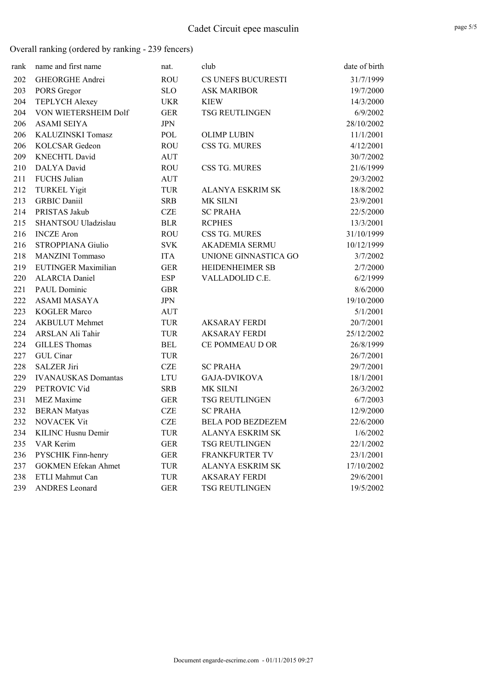| rank | name and first name        | nat.       | club                     | date of birth |
|------|----------------------------|------------|--------------------------|---------------|
| 202  | <b>GHEORGHE Andrei</b>     | <b>ROU</b> | CS UNEFS BUCURESTI       | 31/7/1999     |
| 203  | PORS Gregor                | <b>SLO</b> | <b>ASK MARIBOR</b>       | 19/7/2000     |
| 204  | TEPLYCH Alexey             | <b>UKR</b> | <b>KIEW</b>              | 14/3/2000     |
| 204  | VON WIETERSHEIM Dolf       | <b>GER</b> | <b>TSG REUTLINGEN</b>    | 6/9/2002      |
| 206  | <b>ASAMI SEIYA</b>         | <b>JPN</b> |                          | 28/10/2002    |
| 206  | KALUZINSKI Tomasz          | POL        | <b>OLIMP LUBIN</b>       | 11/1/2001     |
| 206  | KOLCSAR Gedeon             | <b>ROU</b> | CSS TG. MURES            | 4/12/2001     |
| 209  | <b>KNECHTL David</b>       | <b>AUT</b> |                          | 30/7/2002     |
| 210  | DALYA David                | <b>ROU</b> | CSS TG. MURES            | 21/6/1999     |
| 211  | FUCHS Julian               | <b>AUT</b> |                          | 29/3/2002     |
| 212  | <b>TURKEL Yigit</b>        | TUR        | <b>ALANYA ESKRIM SK</b>  | 18/8/2002     |
| 213  | <b>GRBIC Daniil</b>        | <b>SRB</b> | MK SILNI                 | 23/9/2001     |
| 214  | PRISTAS Jakub              | <b>CZE</b> | <b>SC PRAHA</b>          | 22/5/2000     |
| 215  | SHANTSOU Uladzislau        | <b>BLR</b> | <b>RCPHES</b>            | 13/3/2001     |
| 216  | <b>INCZE</b> Aron          | <b>ROU</b> | CSS TG. MURES            | 31/10/1999    |
| 216  | <b>STROPPIANA Giulio</b>   | <b>SVK</b> | <b>AKADEMIA SERMU</b>    | 10/12/1999    |
| 218  | <b>MANZINI</b> Tommaso     | <b>ITA</b> | UNIONE GINNASTICA GO     | 3/7/2002      |
| 219  | <b>EUTINGER Maximilian</b> | <b>GER</b> | HEIDENHEIMER SB          | 2/7/2000      |
| 220  | <b>ALARCIA Daniel</b>      | <b>ESP</b> | VALLADOLID C.E.          | 6/2/1999      |
| 221  | PAUL Dominic               | <b>GBR</b> |                          | 8/6/2000      |
| 222  | <b>ASAMI MASAYA</b>        | <b>JPN</b> |                          | 19/10/2000    |
| 223  | <b>KOGLER Marco</b>        | <b>AUT</b> |                          | 5/1/2001      |
| 224  | <b>AKBULUT</b> Mehmet      | TUR        | <b>AKSARAY FERDI</b>     | 20/7/2001     |
| 224  | ARSLAN Ali Tahir           | <b>TUR</b> | <b>AKSARAY FERDI</b>     | 25/12/2002    |
| 224  | <b>GILLES Thomas</b>       | <b>BEL</b> | CE POMMEAU D OR          | 26/8/1999     |
| 227  | GUL Cinar                  | TUR        |                          | 26/7/2001     |
| 228  | <b>SALZER Jiri</b>         | <b>CZE</b> | <b>SC PRAHA</b>          | 29/7/2001     |
| 229  | <b>IVANAUSKAS</b> Domantas | <b>LTU</b> | <b>GAJA-DVIKOVA</b>      | 18/1/2001     |
| 229  | PETROVIC Vid               | <b>SRB</b> | MK SILNI                 | 26/3/2002     |
| 231  | MEZ Maxime                 | <b>GER</b> | <b>TSG REUTLINGEN</b>    | 6/7/2003      |
| 232  | <b>BERAN</b> Matyas        | <b>CZE</b> | <b>SC PRAHA</b>          | 12/9/2000     |
| 232  | <b>NOVACEK Vit</b>         | <b>CZE</b> | <b>BELA POD BEZDEZEM</b> | 22/6/2000     |
| 234  | KILINC Husnu Demir         | <b>TUR</b> | ALANYA ESKRIM SK         | 1/6/2002      |
| 235  | VAR Kerim                  | <b>GER</b> | TSG REUTLINGEN           | 22/1/2002     |
| 236  | PYSCHIK Finn-henry         | <b>GER</b> | <b>FRANKFURTER TV</b>    | 23/1/2001     |
| 237  | <b>GOKMEN Efekan Ahmet</b> | TUR        | <b>ALANYA ESKRIM SK</b>  | 17/10/2002    |
| 238  | ETLI Mahmut Can            | TUR        | <b>AKSARAY FERDI</b>     | 29/6/2001     |
| 239  | <b>ANDRES</b> Leonard      | <b>GER</b> | <b>TSG REUTLINGEN</b>    | 19/5/2002     |